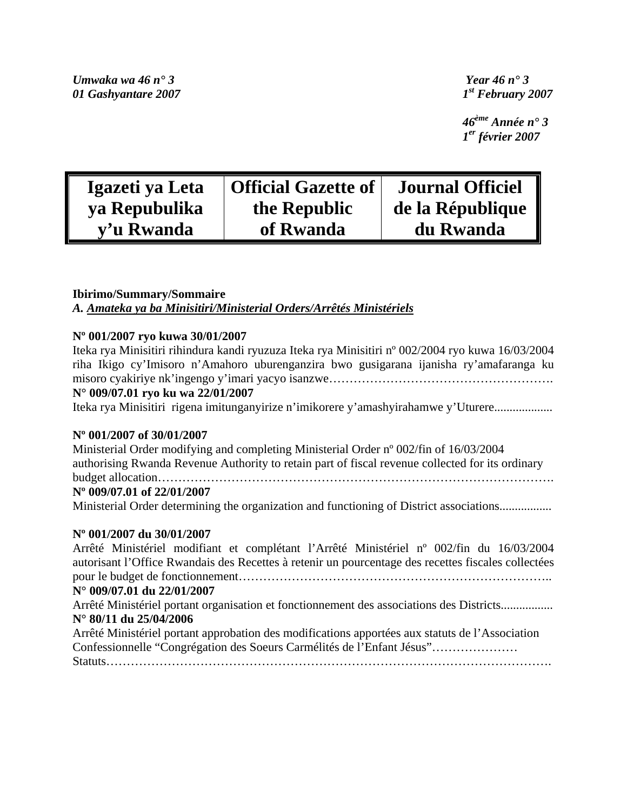*Umwaka wa 46 n° 3 Year 46 n° 3 01 Gashyantare 2007 1st February 2007* 

 *46ème Année n° 3 1er février 2007* 

| Igazeti ya Leta | <b>Official Gazette of</b> | <b>Journal Officiel</b> |
|-----------------|----------------------------|-------------------------|
| ya Repubulika   | the Republic               | de la République        |
| y'u Rwanda      | of Rwanda                  | du Rwanda               |

# **Ibirimo/Summary/Sommaire**  *A. Amateka ya ba Minisitiri/Ministerial Orders/Arrêtés Ministériels*

# **Nº 001/2007 ryo kuwa 30/01/2007**

| Iteka rya Minisitiri rihindura kandi ryuzuza Iteka rya Minisitiri nº 002/2004 ryo kuwa 16/03/2004                                                                                         |  |  |  |  |
|-------------------------------------------------------------------------------------------------------------------------------------------------------------------------------------------|--|--|--|--|
| riha Ikigo cy'Imisoro n'Amahoro uburenganzira bwo gusigarana ijanisha ry'amafaranga ku                                                                                                    |  |  |  |  |
|                                                                                                                                                                                           |  |  |  |  |
| N° 009/07.01 ryo ku wa 22/01/2007                                                                                                                                                         |  |  |  |  |
| Iteka rya Minisitiri rigena imitunganyirize n'imikorere y'amashyirahamwe y'Uturere                                                                                                        |  |  |  |  |
| N° 001/2007 of 30/01/2007                                                                                                                                                                 |  |  |  |  |
| Ministerial Order modifying and completing Ministerial Order n° 002/fin of 16/03/2004<br>authorising Rwanda Revenue Authority to retain part of fiscal revenue collected for its ordinary |  |  |  |  |
|                                                                                                                                                                                           |  |  |  |  |
| N° 009/07.01 of 22/01/2007                                                                                                                                                                |  |  |  |  |
| Ministerial Order determining the organization and functioning of District associations                                                                                                   |  |  |  |  |
| N° 001/2007 du 30/01/2007                                                                                                                                                                 |  |  |  |  |
| Arrêté Ministériel modifiant et complétant l'Arrêté Ministériel n° 002/fin du 16/03/2004                                                                                                  |  |  |  |  |

autorisant l'Office Rwandais des Recettes à retenir un pourcentage des recettes fiscales collectées pour le budget de fonctionnement………………………………………………………………….. **N° 009/07.01 du 22/01/2007**  Arrêté Ministériel portant organisation et fonctionnement des associations des Districts................. **N° 80/11 du 25/04/2006** 

Arrêté Ministériel portant approbation des modifications apportées aux statuts de l'Association Confessionnelle "Congrégation des Soeurs Carmélités de l'Enfant Jésus"………………… Statuts……………………………………………………………………………………………….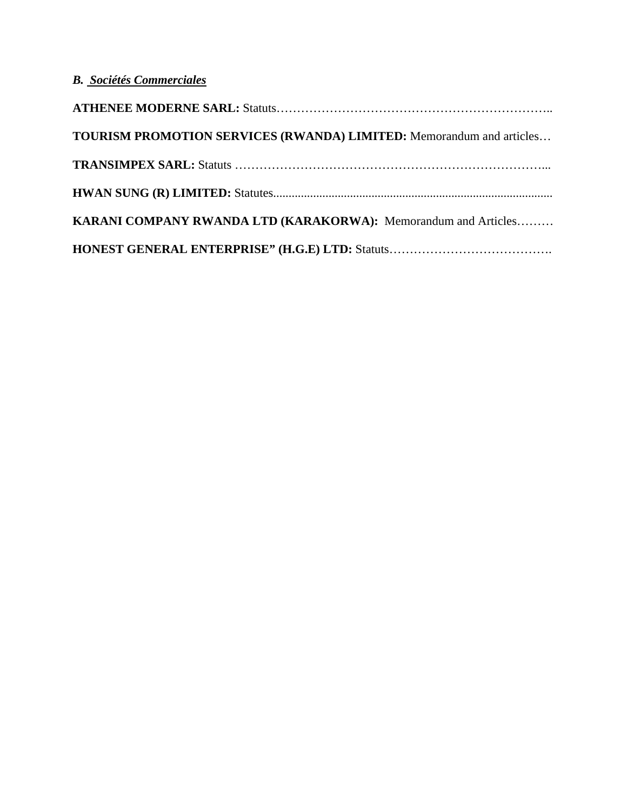# *B. Sociétés Commerciales*

| <b>TOURISM PROMOTION SERVICES (RWANDA) LIMITED:</b> Memorandum and articles |
|-----------------------------------------------------------------------------|
|                                                                             |
|                                                                             |
| KARANI COMPANY RWANDA LTD (KARAKORWA): Memorandum and Articles              |
|                                                                             |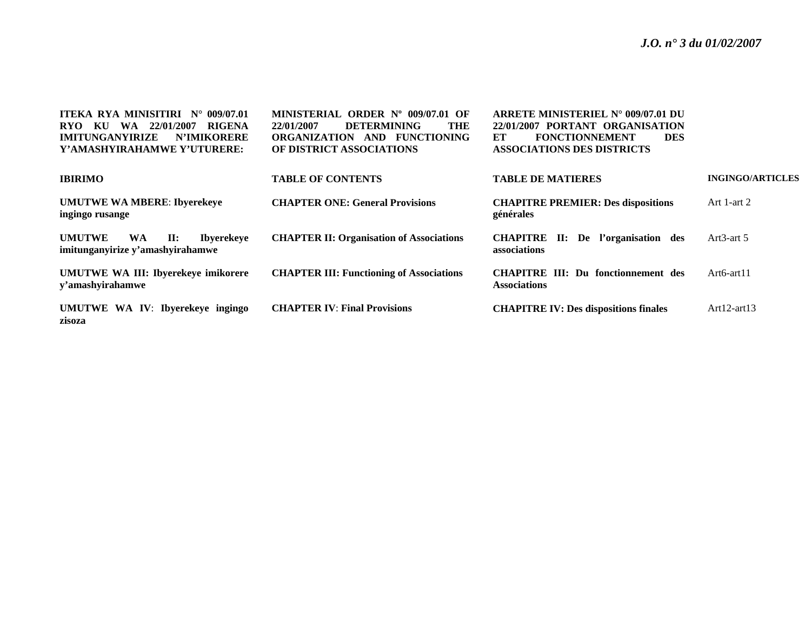| <b>ITEKA RYA MINISITIRI N° 009/07.01</b><br>KU WA 22/01/2007 RIGENA<br>RYO –<br><b>IMITUNGANYIRIZE</b><br><b>N'IMIKORERE</b><br>Y'AMASHYIRAHAMWE Y'UTURERE: | MINISTERIAL ORDER N° 009/07.01 OF<br>THE<br><b>DETERMINING</b><br>22/01/2007<br>ORGANIZATION AND FUNCTIONING<br>OF DISTRICT ASSOCIATIONS | ARRETE MINISTERIEL N° 009/07.01 DU<br>22/01/2007 PORTANT ORGANISATION<br><b>FONCTIONNEMENT</b><br>ET<br><b>DES</b><br><b>ASSOCIATIONS DES DISTRICTS</b> |                         |
|-------------------------------------------------------------------------------------------------------------------------------------------------------------|------------------------------------------------------------------------------------------------------------------------------------------|---------------------------------------------------------------------------------------------------------------------------------------------------------|-------------------------|
| <b>IBIRIMO</b>                                                                                                                                              | <b>TABLE OF CONTENTS</b>                                                                                                                 | <b>TABLE DE MATIERES</b>                                                                                                                                | <b>INGINGO/ARTICLES</b> |
| <b>UMUTWE WA MBERE: Ibyerekeye</b><br>ingingo rusange                                                                                                       | <b>CHAPTER ONE: General Provisions</b>                                                                                                   | <b>CHAPITRE PREMIER: Des dispositions</b><br>générales                                                                                                  | Art 1-art 2             |
| <b>UMUTWE</b><br>$\mathbf{II}$ :<br><b>WA</b><br><b>Ibverekeve</b><br>imitunganyirize y'amashyirahamwe                                                      | <b>CHAPTER II: Organisation of Associations</b>                                                                                          | <b>CHAPITRE II:</b> De l'organisation des<br><b>associations</b>                                                                                        | Art $3$ -art $5$        |
| <b>UMUTWE WA III: Ibyerekeye imikorere</b><br>y'amashyirahamwe                                                                                              | <b>CHAPTER III: Functioning of Associations</b>                                                                                          | <b>CHAPITRE III: Du fonctionnement des</b><br>Associations                                                                                              | $Art6-art11$            |
| UMUTWE WA IV: Ibyerekeye ingingo<br>zisoza                                                                                                                  | <b>CHAPTER IV: Final Provisions</b>                                                                                                      | <b>CHAPITRE IV: Des dispositions finales</b>                                                                                                            | $Art12-art13$           |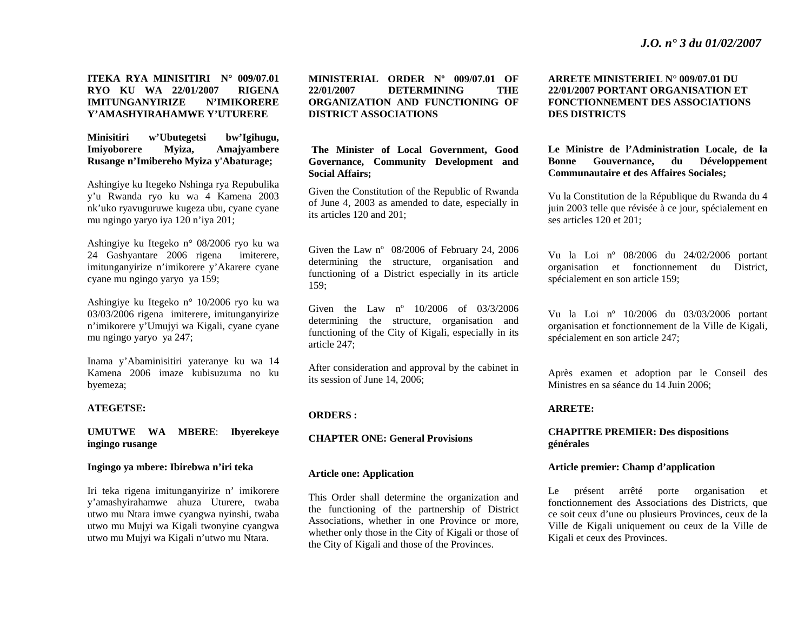# **ITEKA RYA MINISITIRI N° 009/07.01 RYO KU WA 22/01/2007 RIGENA IMITUNGANYIRIZE N'IMIKORERE Y'AMASHYIRAHAMWE Y'UTURERE**

**Minisitiri w'Ubutegetsi bw'Igihugu, Imiyoborere Myiza, Amajyambere Rusange n'Imibereho Myiza y'Abaturage;** 

Ashingiye ku Itegeko Nshinga rya Repubulika y'u Rwanda ryo ku wa 4 Kamena 2003 nk'uko ryavuguruwe kugeza ubu, cyane cyane mu ngingo yaryo iya 120 n'iya 201;

Ashingiye ku Itegeko n° 08/2006 ryo ku wa 24 Gashyantare 2006 rigena imiterere, imitunganyirize n'imikorere y'Akarere cyane cyane mu ngingo yaryo ya 159;

Ashingiye ku Itegeko n° 10/2006 ryo ku wa 03/03/2006 rigena imiterere, imitunganyirize <sup>n</sup>'imikorere y'Umujyi wa Kigali, cyane cyane mu ngingo yaryo ya 247;

Inama y'Abaminisitiri yateranye ku wa 14 Kamena 2006 imaze kubisuzuma no ku byemeza;

#### **ATEGETSE:**

# **UMUTWE WA MBERE**: **Ibyerekeye ingingo rusange**

#### **Ingingo ya mbere: Ibirebwa n'iri teka**

Iri teka rigena imitunganyirize n' imikorere y'amashyirahamwe ahuza Uturere, twaba utwo mu Ntara imwe cyangwa nyinshi, twaba utwo mu Mujyi wa Kigali twonyine cyangwa utwo mu Mujyi wa Kigali n'utwo mu Ntara.

**MINISTERIAL ORDER Nº 009/07.01 OF 22/01/2007 DETERMINING THE ORGANIZATION AND FUNCTIONING OF DISTRICT ASSOCIATIONS** 

**The Minister of Local Government, Good Governance, Community Development and Social Affairs;** 

Given the Constitution of the Republic of Rwanda of June 4, 2003 as amended to date, especially in its articles 120 and 201;

Given the Law nº 08/2006 of February 24, 2006 determining the structure, organisation and functioning of a District especially in its article 159;

Given the Law nº 10/2006 of 03/3/2006 determining the structure, organisation and functioning of the City of Kigali, especially in its article 247;

After consideration and approval by the cabinet in its session of June 14, 2006;

# **ORDERS :**

# **CHAPTER ONE: General Provisions**

#### **Article one: Application**

This Order shall determine the organization and the functioning of the partnership of District Associations, whether in one Province or more, whether only those in the City of Kigali or those of the City of Kigali and those of the Provinces.

# **ARRETE MINISTERIEL N° 009/07.01 DU 22/01/2007 PORTANT ORGANISATION ET FONCTIONNEMENT DES ASSOCIATIONS DES DISTRICTS**

# **Le Ministre de l'Administration Locale, de la Bonne Gouvernance, du Développement Communautaire et des Affaires Sociales;**

Vu la Constitution de la République du Rwanda du 4 juin 2003 telle que révisée à ce jour, spécialement en ses articles 120 et 201;

Vu la Loi nº 08/2006 du 24/02/2006 portant organisation et fonctionnement du District, spécialement en son article 159;

Vu la Loi nº 10/2006 du 03/03/2006 portant organisation et fonctionnement de la Ville de Kigali, spécialement en son article 247;

Après examen et adoption par le Conseil des Ministres en sa séance du 14 Juin 2006;

#### **ARRETE:**

# **CHAPITRE PREMIER: Des dispositions générales**

#### **Article premier: Champ d'application**

Le présent arrêté porte organisation et fonctionnement des Associations des Districts, que ce soit ceux d'une ou plusieurs Provinces, ceux de la Ville de Kigali uniquement ou ceux de la Ville de Kigali et ceux des Provinces.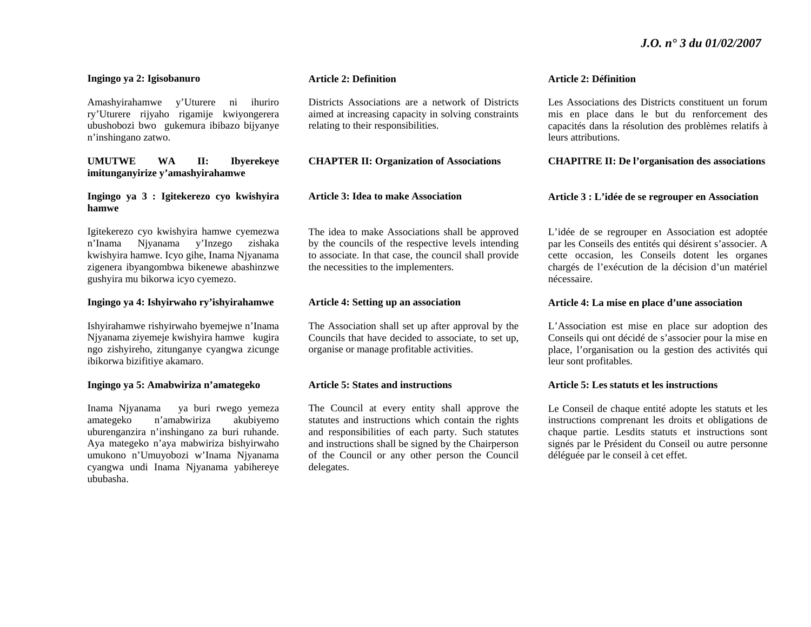#### **Ingingo ya 2: Igisobanuro**

Amashyirahamwe y'Uturere ni ihuriro ry'Uturere rijyaho rigamije kwiyongerera ubushobozi bwo gukemura ibibazo bijyanye <sup>n</sup>'inshingano zatwo.

**UMUTWE WA II: Ibyerekeye imitunganyirize y'amashyirahamwe** 

**Ingingo ya 3 : Igitekerezo cyo kwishyira hamwe** 

Igitekerezo cyo kwishyira hamwe cyemezwa <sup>n</sup>'Inama Njyanama y'Inzego zishaka kwishyira hamwe. Icyo gihe, Inama Njyanama zigenera ibyangombwa bikenewe abashinzwe gushyira mu bikorwa icyo cyemezo.

#### **Ingingo ya 4: Ishyirwaho ry'ishyirahamwe**

Ishyirahamwe rishyirwaho byemejwe n'Inama Njyanama ziyemeje kwishyira hamwe kugira ngo zishyireho, zitunganye cyangwa zicunge ibikorwa bizifitiye akamaro.

#### **Ingingo ya 5: Amabwiriza n'amategeko**

Inama Njyanama ya buri rwego yemeza amategeko n'amabwiriza akubiyemo uburenganzira n'inshingano za buri ruhande. Aya mategeko n'aya mabwiriza bishyirwaho umukono n'Umuyobozi w'Inama Njyanama cyangwa undi Inama Njyanama yabihereye ububasha.

#### **Article 2: Definition**

Districts Associations are a network of Districts aimed at increasing capacity in solving constraints relating to their responsibilities.

#### **CHAPTER II: Organization of Associations**

#### **Article 3: Idea to make Association**

The idea to make Associations shall be approved by the councils of the respective levels intending to associate. In that case, the council shall provide the necessities to the implementers.

# **Article 4: Setting up an association**

The Association shall set up after approval by the Councils that have decided to associate, to set up, organise or manage profitable activities.

#### **Article 5: States and instructions**

The Council at every entity shall approve the statutes and instructions which contain the rights and responsibilities of each party. Such statutes and instructions shall be signed by the Chairperson of the Council or any other person the Council delegates.

#### **Article 2: Définition**

Les Associations des Districts constituent un forum mis en place dans le but du renforcement des capacités dans la résolution des problèmes relatifs à leurs attributions.

#### **CHAPITRE II: De l'organisation des associations**

#### **Article 3 : L'idée de se regrouper en Association**

L'idée de se regrouper en Association est adoptée par les Conseils des entités qui désirent s'associer. A cette occasion, les Conseils dotent les organes chargés de l'exécution de la décision d'un matériel nécessaire.

#### **Article 4: La mise en place d'une association**

L'Association est mise en place sur adoption des Conseils qui ont décidé de s'associer pour la mise en place, l'organisation ou la gestion des activités qui leur sont profitables.

#### **Article 5: Les statuts et les instructions**

Le Conseil de chaque entité adopte les statuts et les instructions comprenant les droits et obligations de chaque partie. Lesdits statuts et instructions sont signés par le Président du Conseil ou autre personne déléguée par le conseil à cet effet.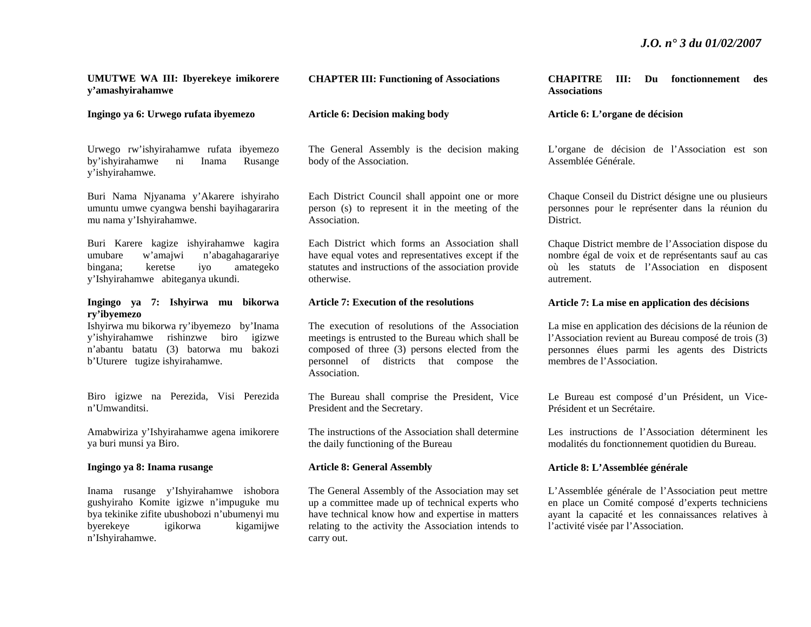# **UMUTWE WA III: Ibyerekeye imikorere y'amashyirahamwe**

**Ingingo ya 6: Urwego rufata ibyemezo** 

Urwego rw'ishyirahamwe rufata ibyemezo by'ishyirahamwe ni Inama Rusange y'ishyirahamwe.

Buri Nama Njyanama y'Akarere ishyiraho umuntu umwe cyangwa benshi bayihagararira mu nama y'Ishyirahamwe.

Buri Karere kagize ishyirahamwe kagira umubare w'amajwi n'abagahagarariye bingana; keretse iyo amategeko y'Ishyirahamwe abiteganya ukundi.

## **Ingingo ya 7: Ishyirwa mu bikorwa ry'ibyemezo**

Ishyirwa mu bikorwa ry'ibyemezo by'Inama y'ishyirahamwe rishinzwe biro igizwe <sup>n</sup>'abantu batatu (3) batorwa mu bakozi b'Uturere tugize ishyirahamwe.

Biro igizwe na Perezida, Visi Perezida n'Umwanditsi.

Amabwiriza y'Ishyirahamwe agena imikorere ya buri munsi ya Biro.

# **Ingingo ya 8: Inama rusange**

Inama rusange y'Ishyirahamwe ishobora gushyiraho Komite igizwe n'impuguke mu bya tekinike zifite ubushobozi n'ubumenyi mu byerekeye igikorwa kigamijwe <sup>n</sup>'Ishyirahamwe.

# **CHAPTER III: Functioning of Associations**

#### **Article 6: Decision making body**

The General Assembly is the decision making body of the Association.

Each District Council shall appoint one or more person (s) to represent it in the meeting of the Association.

Each District which forms an Association shall have equal votes and representatives except if the statutes and instructions of the association provide otherwise.

#### **Article 7: Execution of the resolutions**

The execution of resolutions of the Association meetings is entrusted to the Bureau which shall be composed of three (3) persons elected from the personnel of districts that compose the Association.

The Bureau shall comprise the President, Vice President and the Secretary.

The instructions of the Association shall determine the daily functioning of the Bureau

# **Article 8: General Assembly**

The General Assembly of the Association may set up a committee made up of technical experts who have technical know how and expertise in matters relating to the activity the Association intends to carry out.

**CHAPITRE III: Du fonctionnement des Associations** 

#### **Article 6: L'organe de décision**

L'organe de décision de l'Association est son Assemblée Générale.

Chaque Conseil du District désigne une ou plusieurs personnes pour le représenter dans la réunion du District.

Chaque District membre de l'Association dispose du nombre égal de voix et de représentants sauf au cas où les statuts de l'Association en disposent autrement.

#### **Article 7: La mise en application des décisions**

La mise en application des décisions de la réunion de l'Association revient au Bureau composé de trois (3) personnes élues parmi les agents des Districts membres de l'Association.

Le Bureau est composé d'un Président, un Vice-Président et un Secrétaire.

Les instructions de l'Association déterminent les modalités du fonctionnement quotidien du Bureau.

#### **Article 8: L'Assemblée générale**

L'Assemblée générale de l'Association peut mettre en place un Comité composé d'experts techniciens ayant la capacité et les connaissances relatives à l'activité visée par l'Association.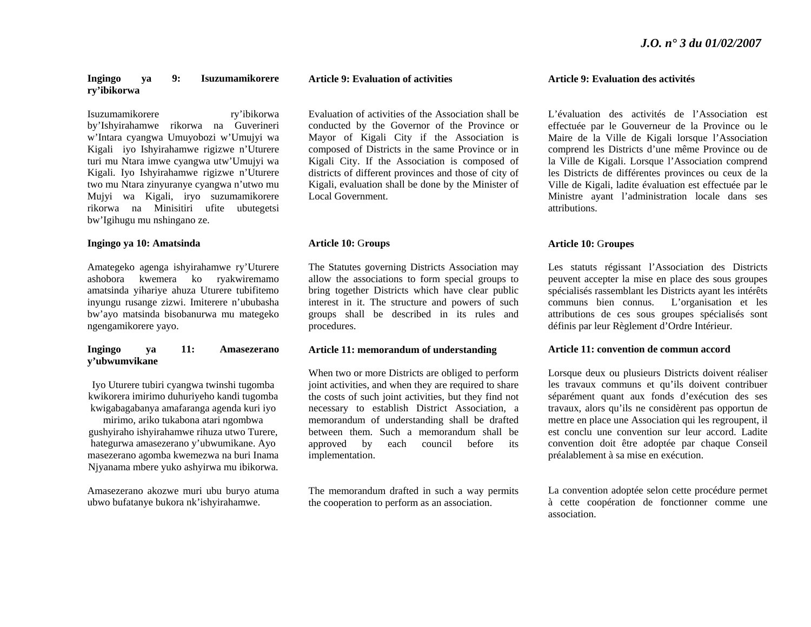#### **Ingingo ya 9: Isuzumamikorere ry'ibikorwa**

Isuzumamikorere ry'ibikorwa by'Ishyirahamwe rikorwa na Guverineri <sup>w</sup>'Intara cyangwa Umuyobozi w'Umujyi wa Kigali iyo Ishyirahamwe rigizwe n'Uturere turi mu Ntara imwe cyangwa utw'Umujyi wa Kigali. Iyo Ishyirahamwe rigizwe n'Uturere two mu Ntara zinyuranye cyangwa n'utwo mu Mujyi wa Kigali, iryo suzumamikorere rikorwa na Minisitiri ufite ubutegetsi bw'Igihugu mu nshingano ze.

#### **Ingingo ya 10: Amatsinda**

Amategeko agenga ishyirahamwe ry'Uturere ashobora kwemera ko ryakwiremamo amatsinda yihariye ahuza Uturere tubifitemo inyungu rusange zizwi. Imiterere n'ububasha bw'ayo matsinda bisobanurwa mu mategeko ngengamikorere yayo.

#### **Ingingo ya 11: Amasezerano y'ubwumvikane**

Iyo Uturere tubiri cyangwa twinshi tugomba kwikorera imirimo duhuriyeho kandi tugomba kwigabagabanya amafaranga agenda kuri iyo

mirimo, ariko tukabona atari ngombwa gushyiraho ishyirahamwe rihuza utwo Turere, hategurwa amasezerano y'ubwumikane. Ayo masezerano agomba kwemezwa na buri Inama Njyanama mbere yuko ashyirwa mu ibikorwa.

Amasezerano akozwe muri ubu buryo atuma ubwo bufatanye bukora nk'ishyirahamwe.

#### **Article 9: Evaluation of activities**

Evaluation of activities of the Association shall be conducted by the Governor of the Province or Mayor of Kigali City if the Association is composed of Districts in the same Province or in Kigali City. If the Association is composed of districts of different provinces and those of city of Kigali, evaluation shall be done by the Minister of Local Government.

#### **Article 10:** G**roups**

The Statutes governing Districts Association may allow the associations to form special groups to bring together Districts which have clear public interest in it. The structure and powers of such groups shall be described in its rules and procedures.

#### **Article 11: memorandum of understanding**

When two or more Districts are obliged to perform joint activities, and when they are required to share the costs of such joint activities, but they find not necessary to establish District Association, a memorandum of understanding shall be drafted between them. Such a memorandum shall be approved by each council before its implementation.

The memorandum drafted in such a way permits the cooperation to perform as an association.

#### **Article 9: Evaluation des activités**

L'évaluation des activités de l'Association est effectuée par le Gouverneur de la Province ou le Maire de la Ville de Kigali lorsque l'Association comprend les Districts d'une même Province ou de la Ville de Kigali. Lorsque l'Association comprend les Districts de différentes provinces ou ceux de la Ville de Kigali, ladite évaluation est effectuée par le Ministre ayant l'administration locale dans ses attributions.

# **Article 10:** G**roupes**

Les statuts régissant l'Association des Districts peuvent accepter la mise en place des sous groupes spécialisés rassemblant les Districts ayant les intérêts communs bien connus. L'organisation et les attributions de ces sous groupes spécialisés sont définis par leur Règlement d'Ordre Intérieur.

#### **Article 11: convention de commun accord**

Lorsque deux ou plusieurs Districts doivent réaliser les travaux communs et qu'ils doivent contribuer séparément quant aux fonds d'exécution des ses travaux, alors qu'ils ne considèrent pas opportun de mettre en place une Association qui les regroupent, il est conclu une convention sur leur accord. Ladite convention doit être adoptée par chaque Conseil préalablement à sa mise en exécution.

La convention adoptée selon cette procédure permet à cette coopération de fonctionner comme une association.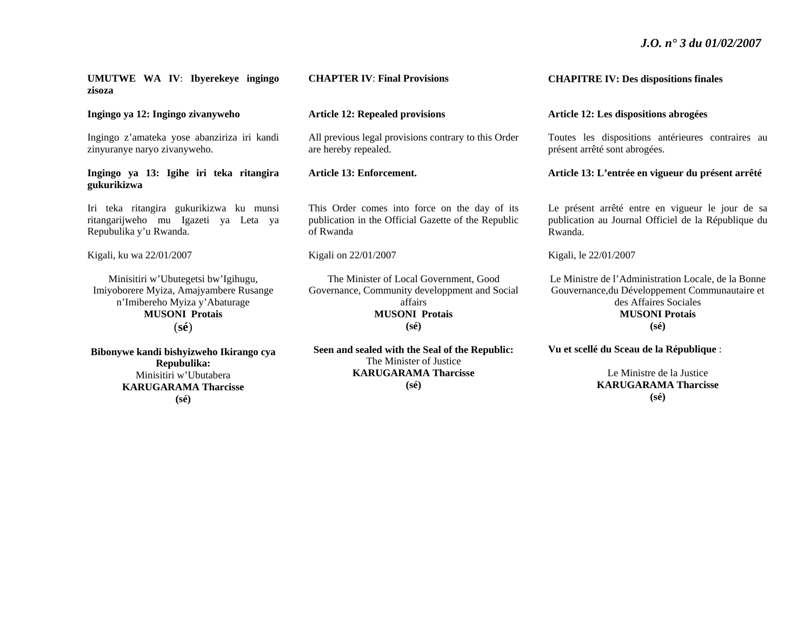**UMUTWE WA IV**: **Ibyerekeye ingingo zisoza** 

**Ingingo ya 12: Ingingo zivanyweho** 

Ingingo z'amateka yose abanziriza iri kandi zinyuranye naryo zivanyweho.

# **Ingingo ya 13: Igihe iri teka ritangira gukurikizwa**

Iri teka ritangira gukurikizwa ku munsi ritangarijweho mu Igazeti ya Leta ya Repubulika y'u Rwanda.

Kigali, ku wa 22/01/2007

Minisitiri w'Ubutegetsi bw'Igihugu, Imiyoborere Myiza, Amajyambere Rusange <sup>n</sup>'Imibereho Myiza y'Abaturage **MUSONI Protais** (**sé**)

**Bibonywe kandi bishyizweho Ikirango cya Repubulika:**  Minisitiri w'Ubutabera **KARUGARAMA Tharcisse (sé)** 

# **CHAPTER IV**: **Final Provisions**

# **Article 12: Repealed provisions**

All previous legal provisions contrary to this Order are hereby repealed.

**Article 13: Enforcement.** 

This Order comes into force on the day of its publication in the Official Gazette of the Republic of Rwanda

#### Kigali on 22/01/2007

The Minister of Local Government, Good Governance, Community developpment and Social affairs **MUSONI Protais (sé)** 

**Seen and sealed with the Seal of the Republic:**  The Minister of Justice **KARUGARAMA Tharcisse (sé)** 

**CHAPITRE IV: Des dispositions finales** 

#### **Article 12: Les dispositions abrogées**

Toutes les dispositions antérieures contraires au présent arrêté sont abrogées.

**Article 13: L'entrée en vigueur du présent arrêté** 

Le présent arrêté entre en vigueur le jour de sa publication au Journal Officiel de la République du Rwanda.

Kigali, le 22/01/2007

Le Ministre de l'Administration Locale, de la Bonne Gouvernance,du Développement Communautaire et des Affaires Sociales **MUSONI Protais (sé)** 

**Vu et scellé du Sceau de la République** :

Le Ministre de la Justice **KARUGARAMA Tharcisse (sé)**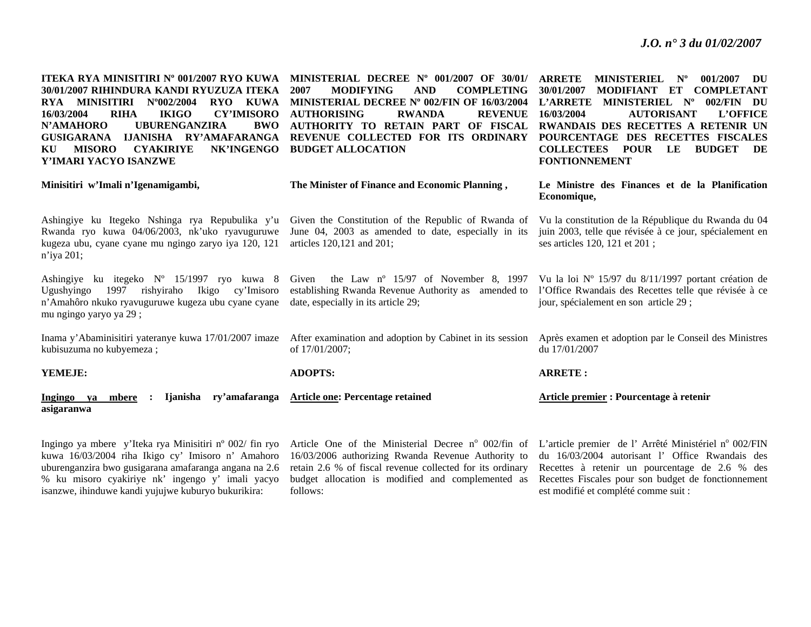**ITEKA RYA MINISITIRI Nº 001/2007 RYO KUWA MINISTERIAL DECREE Nº 001/2007 OF 30/01/ ARRETE MINISTERIEL Nº 001/2007 DU 30/01/2007 RIHINDURA KANDI RYUZUZA ITEKA RYA MINISITIRI Nº002/2004 RYO KUWA 16/03/2004 RIHA IKIGO CY'IMISORO AUTHORISING RWANDA REVENUE N'AMAHORO UBURENGANZIRA BWO GUSIGARANA IJANISHA RY'AMAFARANGA KU MISORO CYAKIRIYE NK'INGENGO BUDGET ALLOCATION Y'IMARI YACYO ISANZWE** 

Ashingiye ku Itegeko Nshinga rya Repubulika y'u Rwanda ryo kuwa 04/06/2003, nk'uko ryavuguruwe kugeza ubu, cyane cyane mu ngingo zaryo iya 120, 121

Ashingiye ku itegeko Nº 15/1997 ryo kuwa 8 Ugushyingo 1997 rishyiraho Ikigo cy'Imisoro <sup>n</sup>'Amahôro nkuko ryavuguruwe kugeza ubu cyane cyane

**2007 MODIFYING AND COMPLETING MINISTERIAL DECREE Nº 002/FIN OF 16/03/2004 AUTHORITY TO RETAIN PART OF FISCAL REVENUE COLLECTED FOR ITS ORDINARY** 

**30/01/2007 MODIFIANT ET COMPLETANT L'ARRETE MINISTERIEL Nº 002/FIN DU 16/03/2004 AUTORISANT L'OFFICE RWANDAIS DES RECETTES A RETENIR UN POURCENTAGE DES RECETTES FISCALES COLLECTEES POUR LE BUDGET DE FONTIONNEMENT**

**Minisitiri w'Imali n'Igenamigambi, The Minister of Finance and Economic Planning , Le Ministre des Finances et de la Planification Economique,** 

> Vu la loi Nº 15/97 du 8/11/1997 portant création de l'Office Rwandais des Recettes telle que révisée à ce

jour, spécialement en son article 29 ;

Given the Constitution of the Republic of Rwanda of June 04, 2003 as amended to date, especially in its articles 120,121 and 201; Vu la constitution de la République du Rwanda du 04 juin 2003, telle que révisée à ce jour, spécialement en ses articles 120, 121 et 201 ;

Given the Law nº 15/97 of November 8, 1997 establishing Rwanda Revenue Authority as amended to date, especially in its article 29;

Inama y'Abaminisitiri yateranye kuwa 17/01/2007 imaze After examination and adoption by Cabinet in its session of 17/01/2007; Après examen et adoption par le Conseil des Ministres du 17/01/2007

**YEMEJE:ADOPTS: ARRETE :**

mu ngingo yaryo ya 29 ;

kubisuzuma no kubyemeza ;

<sup>n</sup>'iya 201;

**Ingingo ya mbere : Ijanisha ry'amafaranga asigaranwa Article one: Percentage retained Article premier : Pourcentage à retenir** 

Ingingo ya mbere y'Iteka rya Minisitiri nº 002/ fin ryo kuwa 16/03/2004 riha Ikigo cy' Imisoro n' Amahoro uburenganzira bwo gusigarana amafaranga angana na 2.6 % ku misoro cyakiriye nk' ingengo y' imali yacyo isanzwe, ihinduwe kandi yujujwe kuburyo bukurikira:

Article One of the Ministerial Decree nº 002/fin of L'article premier de l'Arrêté Ministériel nº 002/FIN 16/03/2006 authorizing Rwanda Revenue Authority to retain 2.6 % of fiscal revenue collected for its ordinary budget allocation is modified and complemented as follows:

du 16/03/2004 autorisant l' Office Rwandais des Recettes à retenir un pourcentage de 2.6 % des Recettes Fiscales pour son budget de fonctionnement est modifié et complété comme suit :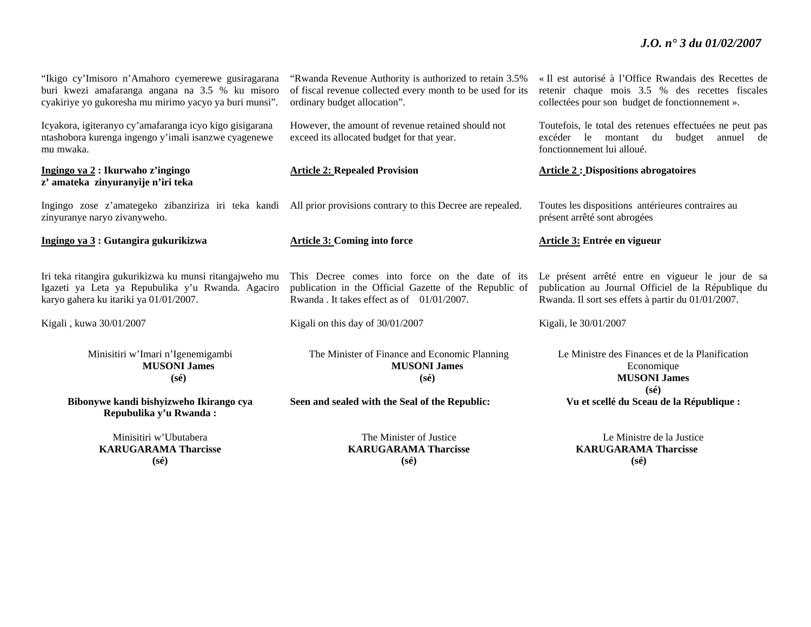"Ikigo cy'Imisoro n'Amahoro cyemerewe gusiragarana buri kwezi amafaranga angana na 3.5 % ku misoro cyakiriye yo gukoresha mu mirimo yacyo ya buri munsi".

Icyakora, igiteranyo cy'amafaranga icyo kigo gisigarana ntashobora kurenga ingengo y'imali isanzwe cyagenewe mu mwaka.

# **Ingingo ya 2 : Ikurwaho z'ingingo <sup>z</sup>' amateka zinyuranyije n'iri teka**

Ingingo zose z'amategeko zibanziriza iri teka kandi All prior provisions contrary to this Decree are repealed. Toutes les dispositions antérieures contraires au zinyuranye naryo zivanyweho.

**Ingingo ya 3 : Gutangira gukurikizwa Article 3: Coming into force Article 3: Entrée en vigueur** 

Iri teka ritangira gukurikizwa ku munsi ritangajweho mu Igazeti ya Leta ya Repubulika y'u Rwanda. Agaciro karyo gahera ku itariki ya 01/01/2007.

Kigali , kuwa 30/01/2007

Minisitiri w'Imari n'Igenemigambi **MUSONI James (sé)** 

**Bibonywe kandi bishyizweho Ikirango cya Repubulika y'u Rwanda :** 

> Minisitiri w'Ubutabera **KARUGARAMA Tharcisse (sé)**

"Rwanda Revenue Authority is authorized to retain 3.5% of fiscal revenue collected every month to be used for its ordinary budget allocation".

However, the amount of revenue retained should not exceed its allocated budget for that year.

This Decree comes into force on the date of its publication in the Official Gazette of the Republic of Rwanda . It takes effect as of  $01/01/2007$ .

Kigali on this day of 30/01/2007

The Minister of Finance and Economic Planning **MUSONI James (sé)** 

**Seen and sealed with the Seal of the Republic:** 

The Minister of Justice **KARUGARAMA Tharcisse (sé)**

« Il est autorisé à l'Office Rwandais des Recettes de retenir chaque mois 3.5 % des recettes fiscales collectées pour son budget de fonctionnement ».

Toutefois, le total des retenues effectuées ne peut pas excéder le montant du budget annuel de fonctionnement lui alloué.

**Article 2: Repealed Provision Article 2 : Dispositions abrogatoires** 

présent arrêté sont abrogées

Le présent arrêté entre en vigueur le jour de sa publication au Journal Officiel de la République du Rwanda. Il sort ses effets à partir du 01/01/2007.

Kigali, le 30/01/2007

Le Ministre des Finances et de la Planification Economique **MUSONI James (sé)**

Le Ministre de la Justice **KARUGARAMA Tharcisse (sé)**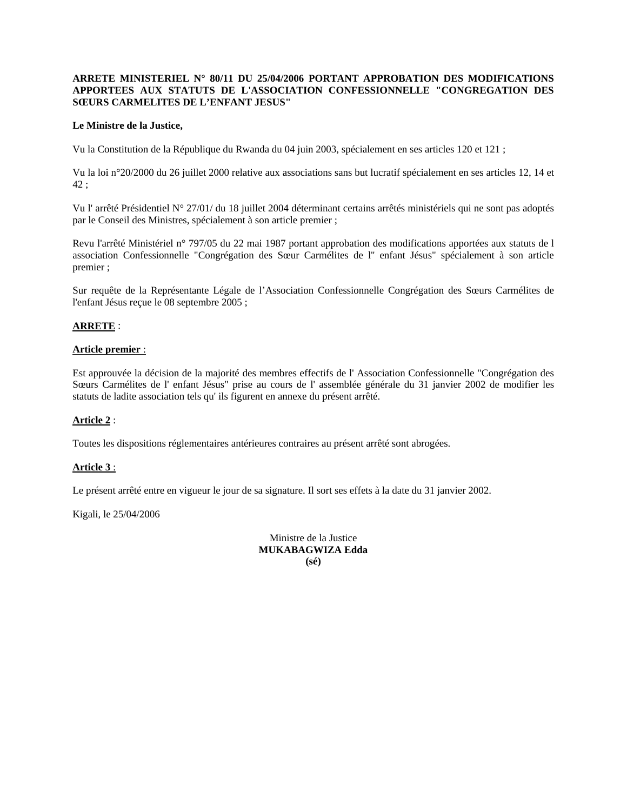# **ARRETE MINISTERIEL N° 80/11 DU 25/04/2006 PORTANT APPROBATION DES MODIFICATIONS APPORTEES AUX STATUTS DE L'ASSOCIATION CONFESSIONNELLE "CONGREGATION DES SŒURS CARMELITES DE L'ENFANT JESUS"**

# **Le Ministre de la Justice,**

Vu la Constitution de la République du Rwanda du 04 juin 2003, spécialement en ses articles 120 et 121 ;

Vu la loi n°20/2000 du 26 juillet 2000 relative aux associations sans but lucratif spécialement en ses articles 12, 14 et 42 ;

Vu l' arrêté Présidentiel N° 27/01/ du 18 juillet 2004 déterminant certains arrêtés ministériels qui ne sont pas adoptés par le Conseil des Ministres, spécialement à son article premier ;

Revu l'arrêté Ministériel n° 797/05 du 22 mai 1987 portant approbation des modifications apportées aux statuts de l association Confessionnelle "Congrégation des Sœur Carmélites de l'' enfant Jésus" spécialement à son article premier ;

Sur requête de la Représentante Légale de l'Association Confessionnelle Congrégation des Sœurs Carmélites de l'enfant Jésus reçue le 08 septembre 2005 ;

# **ARRETE** :

### **Article premier** :

Est approuvée la décision de la majorité des membres effectifs de l' Association Confessionnelle "Congrégation des Sœurs Carmélites de l' enfant Jésus" prise au cours de l' assemblée générale du 31 janvier 2002 de modifier les statuts de ladite association tels qu' ils figurent en annexe du présent arrêté.

# **Article 2** :

Toutes les dispositions réglementaires antérieures contraires au présent arrêté sont abrogées.

# **Article 3** :

Le présent arrêté entre en vigueur le jour de sa signature. Il sort ses effets à la date du 31 janvier 2002.

Kigali, le 25/04/2006

Ministre de la Justice **MUKABAGWIZA Edda (sé)**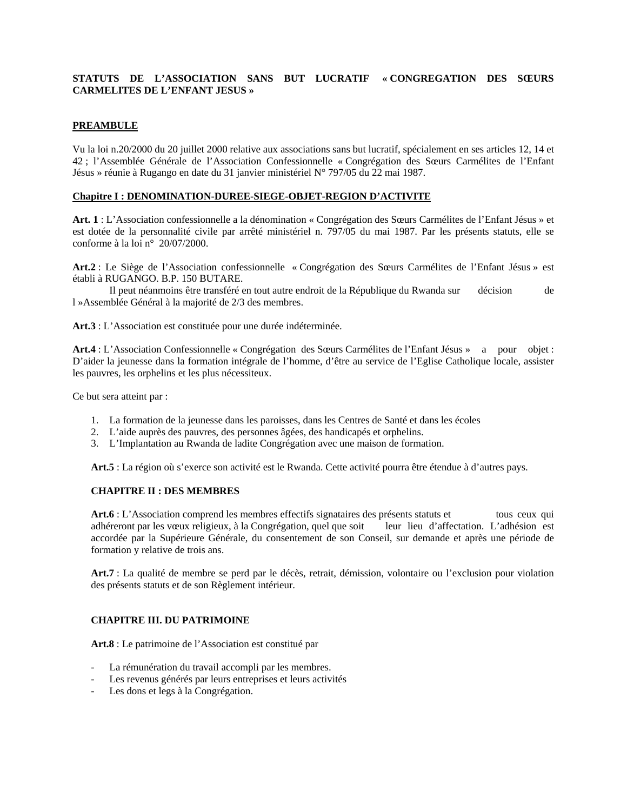# **STATUTS DE L'ASSOCIATION SANS BUT LUCRATIF « CONGREGATION DES SŒURS CARMELITES DE L'ENFANT JESUS »**

# **PREAMBULE**

Vu la loi n.20/2000 du 20 juillet 2000 relative aux associations sans but lucratif, spécialement en ses articles 12, 14 et 42 ; l'Assemblée Générale de l'Association Confessionnelle « Congrégation des Sœurs Carmélites de l'Enfant Jésus » réunie à Rugango en date du 31 janvier ministériel N° 797/05 du 22 mai 1987.

# **Chapitre I : DENOMINATION-DUREE-SIEGE-OBJET-REGION D'ACTIVITE**

**Art. 1** : L'Association confessionnelle a la dénomination « Congrégation des Sœurs Carmélites de l'Enfant Jésus » et est dotée de la personnalité civile par arrêté ministériel n. 797/05 du mai 1987. Par les présents statuts, elle se conforme à la loi n° 20/07/2000.

**Art.2** : Le Siège de l'Association confessionnelle « Congrégation des Sœurs Carmélites de l'Enfant Jésus » est établi à RUGANGO. B.P. 150 BUTARE.

 Il peut néanmoins être transféré en tout autre endroit de la République du Rwanda sur décision de l »Assemblée Général à la majorité de 2/3 des membres.

**Art.3** : L'Association est constituée pour une durée indéterminée.

**Art.4** : L'Association Confessionnelle « Congrégation des Sœurs Carmélites de l'Enfant Jésus » a pour objet : D'aider la jeunesse dans la formation intégrale de l'homme, d'être au service de l'Eglise Catholique locale, assister les pauvres, les orphelins et les plus nécessiteux.

Ce but sera atteint par :

- 1. La formation de la jeunesse dans les paroisses, dans les Centres de Santé et dans les écoles
- 2. L'aide auprès des pauvres, des personnes âgées, des handicapés et orphelins.
- 3. L'Implantation au Rwanda de ladite Congrégation avec une maison de formation.

**Art.5** : La région où s'exerce son activité est le Rwanda. Cette activité pourra être étendue à d'autres pays.

# **CHAPITRE II : DES MEMBRES**

Art.6 : L'Association comprend les membres effectifs signataires des présents statuts et tous ceux qui adhéreront par les vœux religieux, à la Congrégation, quel que soit leur lieu d'affectation. L'adhésion est accordée par la Supérieure Générale, du consentement de son Conseil, sur demande et après une période de formation y relative de trois ans.

**Art.7** : La qualité de membre se perd par le décès, retrait, démission, volontaire ou l'exclusion pour violation des présents statuts et de son Règlement intérieur.

# **CHAPITRE III. DU PATRIMOINE**

**Art.8** : Le patrimoine de l'Association est constitué par

- La rémunération du travail accompli par les membres.
- Les revenus générés par leurs entreprises et leurs activités
- Les dons et legs à la Congrégation.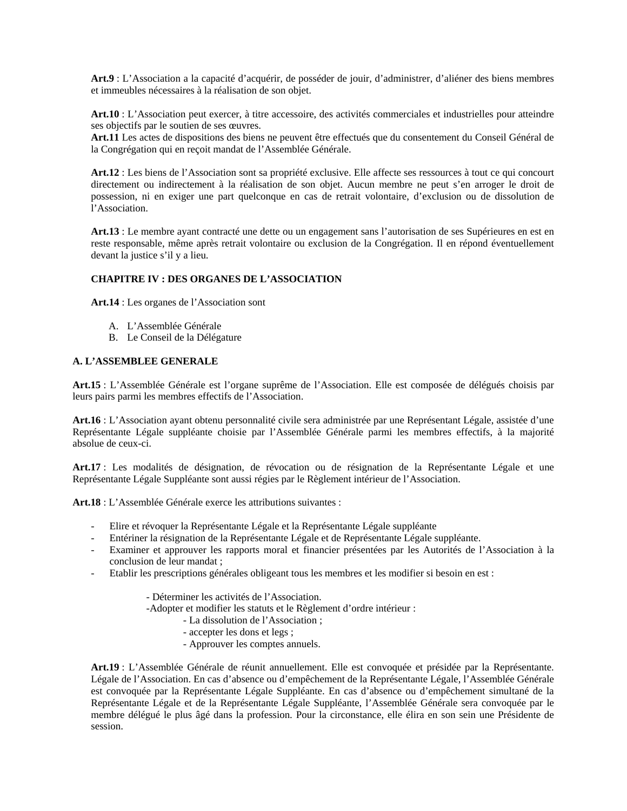**Art.9** : L'Association a la capacité d'acquérir, de posséder de jouir, d'administrer, d'aliéner des biens membres et immeubles nécessaires à la réalisation de son objet.

**Art.10** : L'Association peut exercer, à titre accessoire, des activités commerciales et industrielles pour atteindre ses objectifs par le soutien de ses œuvres.

**Art.11** Les actes de dispositions des biens ne peuvent être effectués que du consentement du Conseil Général de la Congrégation qui en reçoit mandat de l'Assemblée Générale.

**Art.12** : Les biens de l'Association sont sa propriété exclusive. Elle affecte ses ressources à tout ce qui concourt directement ou indirectement à la réalisation de son objet. Aucun membre ne peut s'en arroger le droit de possession, ni en exiger une part quelconque en cas de retrait volontaire, d'exclusion ou de dissolution de l'Association.

**Art.13** : Le membre ayant contracté une dette ou un engagement sans l'autorisation de ses Supérieures en est en reste responsable, même après retrait volontaire ou exclusion de la Congrégation. Il en répond éventuellement devant la justice s'il y a lieu.

# **CHAPITRE IV : DES ORGANES DE L'ASSOCIATION**

**Art.14** : Les organes de l'Association sont

- A. L'Assemblée Générale
- B. Le Conseil de la Délégature

# **A. L'ASSEMBLEE GENERALE**

**Art.15** : L'Assemblée Générale est l'organe suprême de l'Association. Elle est composée de délégués choisis par leurs pairs parmi les membres effectifs de l'Association.

**Art.16** : L'Association ayant obtenu personnalité civile sera administrée par une Représentant Légale, assistée d'une Représentante Légale suppléante choisie par l'Assemblée Générale parmi les membres effectifs, à la majorité absolue de ceux-ci.

**Art.17** : Les modalités de désignation, de révocation ou de résignation de la Représentante Légale et une Représentante Légale Suppléante sont aussi régies par le Règlement intérieur de l'Association.

**Art.18** : L'Assemblée Générale exerce les attributions suivantes :

- Elire et révoquer la Représentante Légale et la Représentante Légale suppléante
- Entériner la résignation de la Représentante Légale et de Représentante Légale suppléante.
- Examiner et approuver les rapports moral et financier présentées par les Autorités de l'Association à la conclusion de leur mandat ;
- Etablir les prescriptions générales obligeant tous les membres et les modifier si besoin en est :

- Déterminer les activités de l'Association.

-Adopter et modifier les statuts et le Règlement d'ordre intérieur :

- La dissolution de l'Association ;
- accepter les dons et legs ;
- Approuver les comptes annuels.

**Art.19** : L'Assemblée Générale de réunit annuellement. Elle est convoquée et présidée par la Représentante. Légale de l'Association. En cas d'absence ou d'empêchement de la Représentante Légale, l'Assemblée Générale est convoquée par la Représentante Légale Suppléante. En cas d'absence ou d'empêchement simultané de la Représentante Légale et de la Représentante Légale Suppléante, l'Assemblée Générale sera convoquée par le membre délégué le plus âgé dans la profession. Pour la circonstance, elle élira en son sein une Présidente de session.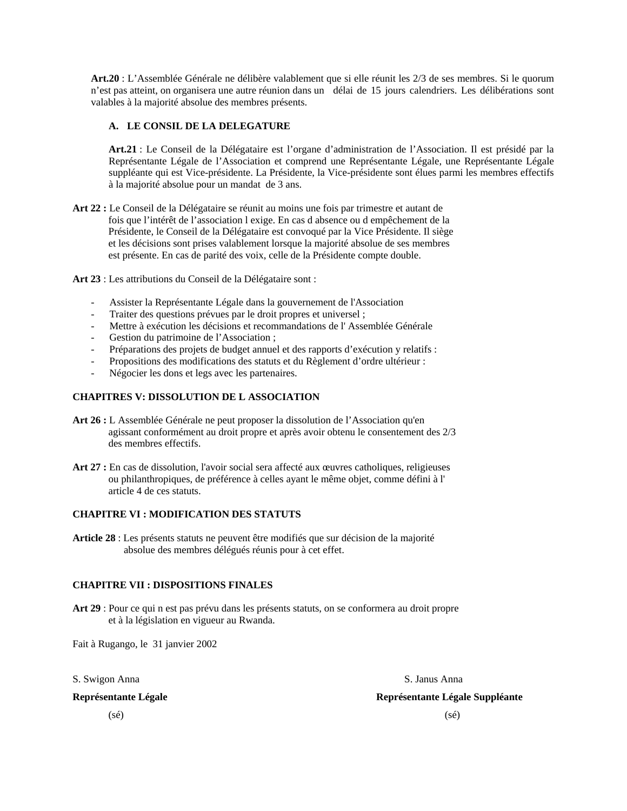**Art.20** : L'Assemblée Générale ne délibère valablement que si elle réunit les 2/3 de ses membres. Si le quorum n'est pas atteint, on organisera une autre réunion dans un délai de 15 jours calendriers. Les délibérations sont valables à la majorité absolue des membres présents.

# **A. LE CONSIL DE LA DELEGATURE**

**Art.21** : Le Conseil de la Délégataire est l'organe d'administration de l'Association. Il est présidé par la Représentante Légale de l'Association et comprend une Représentante Légale, une Représentante Légale suppléante qui est Vice-présidente. La Présidente, la Vice-présidente sont élues parmi les membres effectifs à la majorité absolue pour un mandat de 3 ans.

**Art 22 :** Le Conseil de la Délégataire se réunit au moins une fois par trimestre et autant de fois que l'intérêt de l'association l exige. En cas d absence ou d empêchement de la Présidente, le Conseil de la Délégataire est convoqué par la Vice Présidente. Il siège et les décisions sont prises valablement lorsque la majorité absolue de ses membres est présente. En cas de parité des voix, celle de la Présidente compte double.

**Art 23** : Les attributions du Conseil de la Délégataire sont :

- Assister la Représentante Légale dans la gouvernement de l'Association
- Traiter des questions prévues par le droit propres et universel ;
- Mettre à exécution les décisions et recommandations de l'Assemblée Générale
- Gestion du patrimoine de l'Association ;
- Préparations des projets de budget annuel et des rapports d'exécution y relatifs :
- Propositions des modifications des statuts et du Règlement d'ordre ultérieur :
- Négocier les dons et legs avec les partenaires.

# **CHAPITRES V: DISSOLUTION DE L ASSOCIATION**

- **Art 26 :** L Assemblée Générale ne peut proposer la dissolution de l'Association qu'en agissant conformément au droit propre et après avoir obtenu le consentement des 2/3 des membres effectifs.
- **Art 27 :** En cas de dissolution, l'avoir social sera affecté aux œuvres catholiques, religieuses ou philanthropiques, de préférence à celles ayant le même objet, comme défini à l' article 4 de ces statuts.

## **CHAPITRE VI : MODIFICATION DES STATUTS**

**Article 28** : Les présents statuts ne peuvent être modifiés que sur décision de la majorité absolue des membres délégués réunis pour à cet effet.

# **CHAPITRE VII : DISPOSITIONS FINALES**

**Art 29** : Pour ce qui n est pas prévu dans les présents statuts, on se conformera au droit propre et à la législation en vigueur au Rwanda.

Fait à Rugango, le 31 janvier 2002

S. Swigon Anna S. Janus Anna S. Janus Anna S. Janus Anna S. Janus Anna S. Janus Anna S. Janus Anna S. Janus Anna

**Représentante Légale Représentante Légale Suppléante** 

 $(s\acute{e})$  (sé)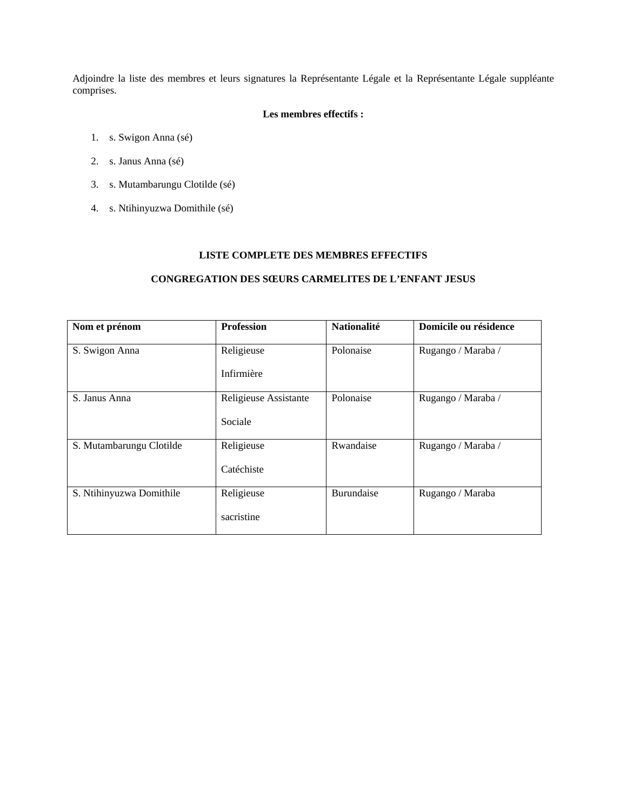Adjoindre la liste des membres et leurs signatures la Représentante Légale et la Représentante Légale suppléante comprises.

# **Les membres effectifs :**

- 1. s. Swigon Anna (sé)
- 2. s. Janus Anna (sé)
- 3. s. Mutambarungu Clotilde (sé)
- 4. s. Ntihinyuzwa Domithile (sé)

# **LISTE COMPLETE DES MEMBRES EFFECTIFS**

# **CONGREGATION DES SŒURS CARMELITES DE L'ENFANT JESUS**

| Nom et prénom            | <b>Profession</b>     | <b>Nationalité</b> | Domicile ou résidence |
|--------------------------|-----------------------|--------------------|-----------------------|
| S. Swigon Anna           | Religieuse            | Polonaise          | Rugango / Maraba /    |
|                          | Infirmière            |                    |                       |
| S. Janus Anna            | Religieuse Assistante | Polonaise          | Rugango / Maraba /    |
|                          | Sociale               |                    |                       |
| S. Mutambarungu Clotilde | Religieuse            | Rwandaise          | Rugango / Maraba /    |
|                          | Catéchiste            |                    |                       |
| S. Ntihinyuzwa Domithile | Religieuse            | Burundaise         | Rugango / Maraba      |
|                          | sacristine            |                    |                       |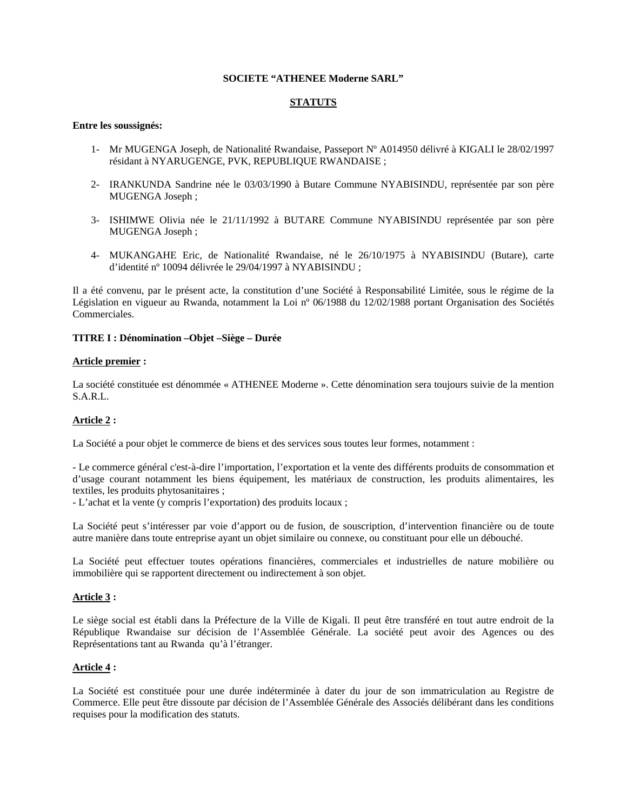# **SOCIETE "ATHENEE Moderne SARL"**

# **STATUTS**

# **Entre les soussignés:**

- 1- Mr MUGENGA Joseph, de Nationalité Rwandaise, Passeport Nº A014950 délivré à KIGALI le 28/02/1997 résidant à NYARUGENGE, PVK, REPUBLIQUE RWANDAISE ;
- 2- IRANKUNDA Sandrine née le 03/03/1990 à Butare Commune NYABISINDU, représentée par son père MUGENGA Joseph ;
- 3- ISHIMWE Olivia née le 21/11/1992 à BUTARE Commune NYABISINDU représentée par son père MUGENGA Joseph ;
- 4- MUKANGAHE Eric, de Nationalité Rwandaise, né le 26/10/1975 à NYABISINDU (Butare), carte d'identité nº 10094 délivrée le 29/04/1997 à NYABISINDU ;

Il a été convenu, par le présent acte, la constitution d'une Société à Responsabilité Limitée, sous le régime de la Législation en vigueur au Rwanda, notamment la Loi nº 06/1988 du 12/02/1988 portant Organisation des Sociétés Commerciales.

# **TITRE I : Dénomination –Objet –Siège – Durée**

#### **Article premier :**

La société constituée est dénommée « ATHENEE Moderne ». Cette dénomination sera toujours suivie de la mention S.A.R.L.

#### **Article 2 :**

La Société a pour objet le commerce de biens et des services sous toutes leur formes, notamment :

- Le commerce général c'est-à-dire l'importation, l'exportation et la vente des différents produits de consommation et d'usage courant notamment les biens équipement, les matériaux de construction, les produits alimentaires, les textiles, les produits phytosanitaires ;

- L'achat et la vente (y compris l'exportation) des produits locaux ;

La Société peut s'intéresser par voie d'apport ou de fusion, de souscription, d'intervention financière ou de toute autre manière dans toute entreprise ayant un objet similaire ou connexe, ou constituant pour elle un débouché.

La Société peut effectuer toutes opérations financières, commerciales et industrielles de nature mobilière ou immobilière qui se rapportent directement ou indirectement à son objet.

#### **Article 3 :**

Le siège social est établi dans la Préfecture de la Ville de Kigali. Il peut être transféré en tout autre endroit de la République Rwandaise sur décision de l'Assemblée Générale. La société peut avoir des Agences ou des Représentations tant au Rwanda qu'à l'étranger.

#### **Article 4 :**

La Société est constituée pour une durée indéterminée à dater du jour de son immatriculation au Registre de Commerce. Elle peut être dissoute par décision de l'Assemblée Générale des Associés délibérant dans les conditions requises pour la modification des statuts.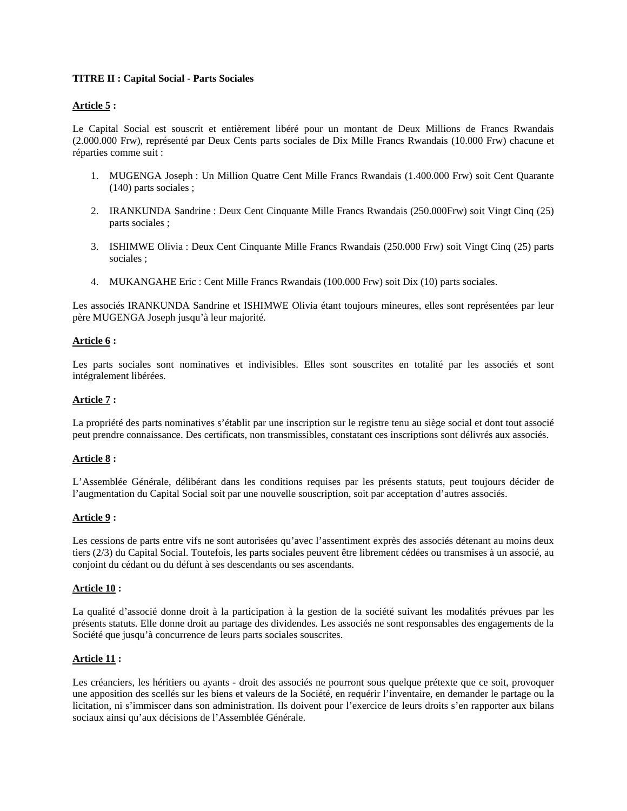# **TITRE II : Capital Social - Parts Sociales**

# **Article 5 :**

Le Capital Social est souscrit et entièrement libéré pour un montant de Deux Millions de Francs Rwandais (2.000.000 Frw), représenté par Deux Cents parts sociales de Dix Mille Francs Rwandais (10.000 Frw) chacune et réparties comme suit :

- 1. MUGENGA Joseph : Un Million Quatre Cent Mille Francs Rwandais (1.400.000 Frw) soit Cent Quarante (140) parts sociales ;
- 2. IRANKUNDA Sandrine : Deux Cent Cinquante Mille Francs Rwandais (250.000Frw) soit Vingt Cinq (25) parts sociales ;
- 3. ISHIMWE Olivia : Deux Cent Cinquante Mille Francs Rwandais (250.000 Frw) soit Vingt Cinq (25) parts sociales ;
- 4. MUKANGAHE Eric : Cent Mille Francs Rwandais (100.000 Frw) soit Dix (10) parts sociales.

Les associés IRANKUNDA Sandrine et ISHIMWE Olivia étant toujours mineures, elles sont représentées par leur père MUGENGA Joseph jusqu'à leur majorité.

# **Article 6 :**

Les parts sociales sont nominatives et indivisibles. Elles sont souscrites en totalité par les associés et sont intégralement libérées.

# **Article 7 :**

La propriété des parts nominatives s'établit par une inscription sur le registre tenu au siège social et dont tout associé peut prendre connaissance. Des certificats, non transmissibles, constatant ces inscriptions sont délivrés aux associés.

#### **Article 8 :**

L'Assemblée Générale, délibérant dans les conditions requises par les présents statuts, peut toujours décider de l'augmentation du Capital Social soit par une nouvelle souscription, soit par acceptation d'autres associés.

#### **Article 9 :**

Les cessions de parts entre vifs ne sont autorisées qu'avec l'assentiment exprès des associés détenant au moins deux tiers (2/3) du Capital Social. Toutefois, les parts sociales peuvent être librement cédées ou transmises à un associé, au conjoint du cédant ou du défunt à ses descendants ou ses ascendants.

#### **Article 10 :**

La qualité d'associé donne droit à la participation à la gestion de la société suivant les modalités prévues par les présents statuts. Elle donne droit au partage des dividendes. Les associés ne sont responsables des engagements de la Société que jusqu'à concurrence de leurs parts sociales souscrites.

#### **Article 11 :**

Les créanciers, les héritiers ou ayants - droit des associés ne pourront sous quelque prétexte que ce soit, provoquer une apposition des scellés sur les biens et valeurs de la Société, en requérir l'inventaire, en demander le partage ou la licitation, ni s'immiscer dans son administration. Ils doivent pour l'exercice de leurs droits s'en rapporter aux bilans sociaux ainsi qu'aux décisions de l'Assemblée Générale.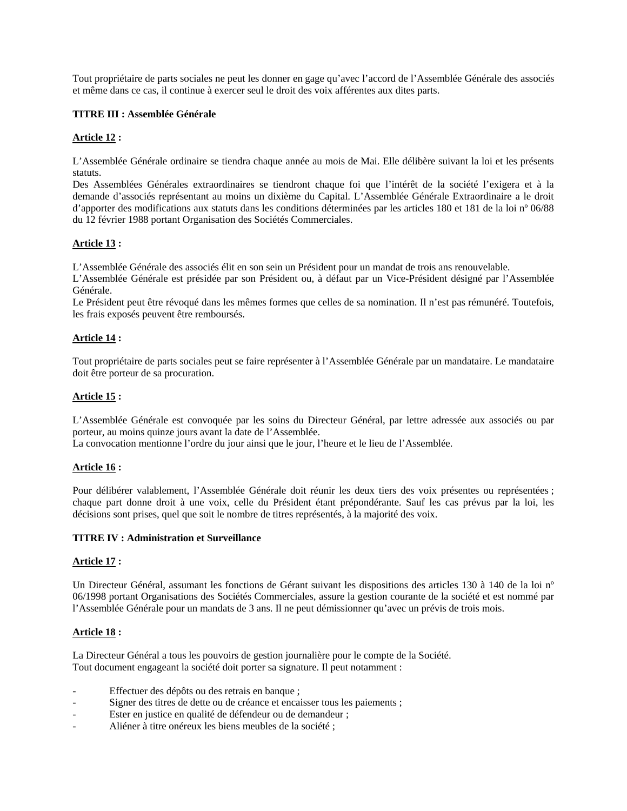Tout propriétaire de parts sociales ne peut les donner en gage qu'avec l'accord de l'Assemblée Générale des associés et même dans ce cas, il continue à exercer seul le droit des voix afférentes aux dites parts.

# **TITRE III : Assemblée Générale**

# **Article 12 :**

L'Assemblée Générale ordinaire se tiendra chaque année au mois de Mai. Elle délibère suivant la loi et les présents statuts.

Des Assemblées Générales extraordinaires se tiendront chaque foi que l'intérêt de la société l'exigera et à la demande d'associés représentant au moins un dixième du Capital. L'Assemblée Générale Extraordinaire a le droit d'apporter des modifications aux statuts dans les conditions déterminées par les articles 180 et 181 de la loi nº 06/88 du 12 février 1988 portant Organisation des Sociétés Commerciales.

# **Article 13 :**

L'Assemblée Générale des associés élit en son sein un Président pour un mandat de trois ans renouvelable.

L'Assemblée Générale est présidée par son Président ou, à défaut par un Vice-Président désigné par l'Assemblée Générale.

Le Président peut être révoqué dans les mêmes formes que celles de sa nomination. Il n'est pas rémunéré. Toutefois, les frais exposés peuvent être remboursés.

# **Article 14 :**

Tout propriétaire de parts sociales peut se faire représenter à l'Assemblée Générale par un mandataire. Le mandataire doit être porteur de sa procuration.

# **Article 15 :**

L'Assemblée Générale est convoquée par les soins du Directeur Général, par lettre adressée aux associés ou par porteur, au moins quinze jours avant la date de l'Assemblée.

La convocation mentionne l'ordre du jour ainsi que le jour, l'heure et le lieu de l'Assemblée.

#### **Article 16 :**

Pour délibérer valablement, l'Assemblée Générale doit réunir les deux tiers des voix présentes ou représentées ; chaque part donne droit à une voix, celle du Président étant prépondérante. Sauf les cas prévus par la loi, les décisions sont prises, quel que soit le nombre de titres représentés, à la majorité des voix.

#### **TITRE IV : Administration et Surveillance**

#### **Article 17 :**

Un Directeur Général, assumant les fonctions de Gérant suivant les dispositions des articles 130 à 140 de la loi nº 06/1998 portant Organisations des Sociétés Commerciales, assure la gestion courante de la société et est nommé par l'Assemblée Générale pour un mandats de 3 ans. Il ne peut démissionner qu'avec un prévis de trois mois.

#### **Article 18 :**

La Directeur Général a tous les pouvoirs de gestion journalière pour le compte de la Société. Tout document engageant la société doit porter sa signature. Il peut notamment :

- Effectuer des dépôts ou des retrais en banque ;
- Signer des titres de dette ou de créance et encaisser tous les paiements ;
- Ester en justice en qualité de défendeur ou de demandeur ;
- Aliéner à titre onéreux les biens meubles de la société ;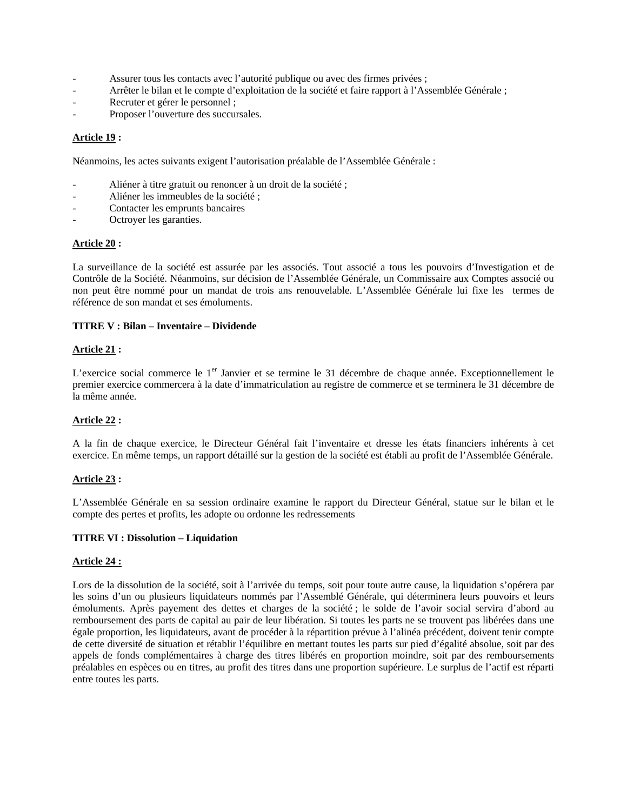- Assurer tous les contacts avec l'autorité publique ou avec des firmes privées ;
- Arrêter le bilan et le compte d'exploitation de la société et faire rapport à l'Assemblée Générale ;
- Recruter et gérer le personnel ;
- Proposer l'ouverture des succursales.

# **Article 19 :**

Néanmoins, les actes suivants exigent l'autorisation préalable de l'Assemblée Générale :

- Aliéner à titre gratuit ou renoncer à un droit de la société ;
- Aliéner les immeubles de la société ;
- Contacter les emprunts bancaires
- Octroyer les garanties.

# **Article 20 :**

La surveillance de la société est assurée par les associés. Tout associé a tous les pouvoirs d'Investigation et de Contrôle de la Société. Néanmoins, sur décision de l'Assemblée Générale, un Commissaire aux Comptes associé ou non peut être nommé pour un mandat de trois ans renouvelable. L'Assemblée Générale lui fixe les termes de référence de son mandat et ses émoluments.

# **TITRE V : Bilan – Inventaire – Dividende**

#### **Article 21 :**

L'exercice social commerce le 1<sup>er</sup> Janvier et se termine le 31 décembre de chaque année. Exceptionnellement le premier exercice commercera à la date d'immatriculation au registre de commerce et se terminera le 31 décembre de la même année.

# **Article 22 :**

A la fin de chaque exercice, le Directeur Général fait l'inventaire et dresse les états financiers inhérents à cet exercice. En même temps, un rapport détaillé sur la gestion de la société est établi au profit de l'Assemblée Générale.

# **Article 23 :**

L'Assemblée Générale en sa session ordinaire examine le rapport du Directeur Général, statue sur le bilan et le compte des pertes et profits, les adopte ou ordonne les redressements

# **TITRE VI : Dissolution – Liquidation**

#### **Article 24 :**

Lors de la dissolution de la société, soit à l'arrivée du temps, soit pour toute autre cause, la liquidation s'opérera par les soins d'un ou plusieurs liquidateurs nommés par l'Assemblé Générale, qui déterminera leurs pouvoirs et leurs émoluments. Après payement des dettes et charges de la société ; le solde de l'avoir social servira d'abord au remboursement des parts de capital au pair de leur libération. Si toutes les parts ne se trouvent pas libérées dans une égale proportion, les liquidateurs, avant de procéder à la répartition prévue à l'alinéa précédent, doivent tenir compte de cette diversité de situation et rétablir l'équilibre en mettant toutes les parts sur pied d'égalité absolue, soit par des appels de fonds complémentaires à charge des titres libérés en proportion moindre, soit par des remboursements préalables en espèces ou en titres, au profit des titres dans une proportion supérieure. Le surplus de l'actif est réparti entre toutes les parts.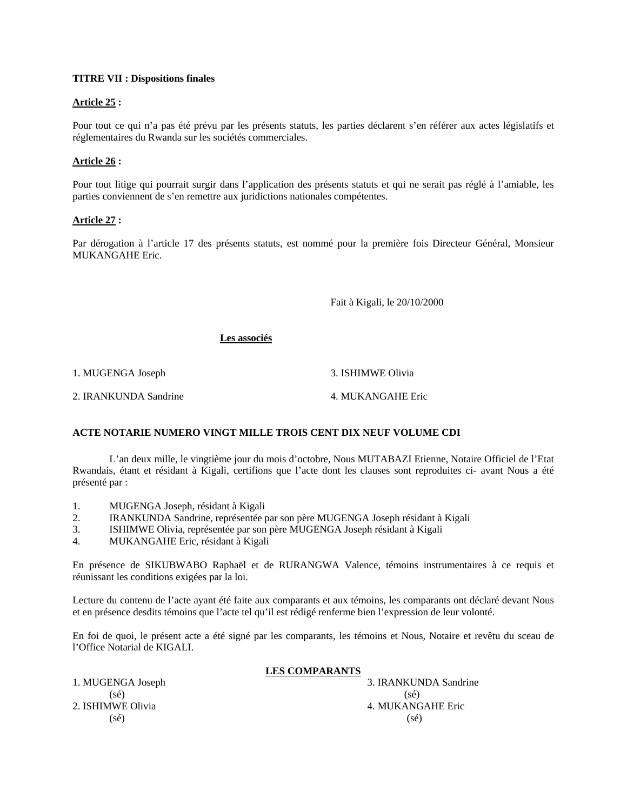# **TITRE VII : Dispositions finales**

# **Article 25 :**

Pour tout ce qui n'a pas été prévu par les présents statuts, les parties déclarent s'en référer aux actes législatifs et réglementaires du Rwanda sur les sociétés commerciales.

# **Article 26 :**

Pour tout litige qui pourrait surgir dans l'application des présents statuts et qui ne serait pas réglé à l'amiable, les parties conviennent de s'en remettre aux juridictions nationales compétentes.

#### **Article 27 :**

Par dérogation à l'article 17 des présents statuts, est nommé pour la première fois Directeur Général, Monsieur MUKANGAHE Eric.

Fait à Kigali, le 20/10/2000

# **Les associés**

1. MUGENGA Joseph 3. ISHIMWE Olivia

2. IRANKUNDA Sandrine 4. MUKANGAHE Eric

# **ACTE NOTARIE NUMERO VINGT MILLE TROIS CENT DIX NEUF VOLUME CDI**

 L'an deux mille, le vingtième jour du mois d'octobre, Nous MUTABAZI Etienne, Notaire Officiel de l'Etat Rwandais, étant et résidant à Kigali, certifions que l'acte dont les clauses sont reproduites ci- avant Nous a été présenté par :

- 1. MUGENGA Joseph, résidant à Kigali
- 2. IRANKUNDA Sandrine, représentée par son père MUGENGA Joseph résidant à Kigali
- 3. ISHIMWE Olivia, représentée par son père MUGENGA Joseph résidant à Kigali
- 4. MUKANGAHE Eric, résidant à Kigali

En présence de SIKUBWABO Raphaël et de RURANGWA Valence, témoins instrumentaires à ce requis et réunissant les conditions exigées par la loi.

Lecture du contenu de l'acte ayant été faite aux comparants et aux témoins, les comparants ont déclaré devant Nous et en présence desdits témoins que l'acte tel qu'il est rédigé renferme bien l'expression de leur volonté.

En foi de quoi, le présent acte a été signé par les comparants, les témoins et Nous, Notaire et revêtu du sceau de l'Office Notarial de KIGALI.

#### **LES COMPARANTS**

1. MUGENGA Joseph 3. IRANKUNDA Sandrine  $(s\acute{e})$  (sé) 2. ISHIMWE Olivia 2. ISHIMWE Olivia  $(s\acute{e})$  (sé)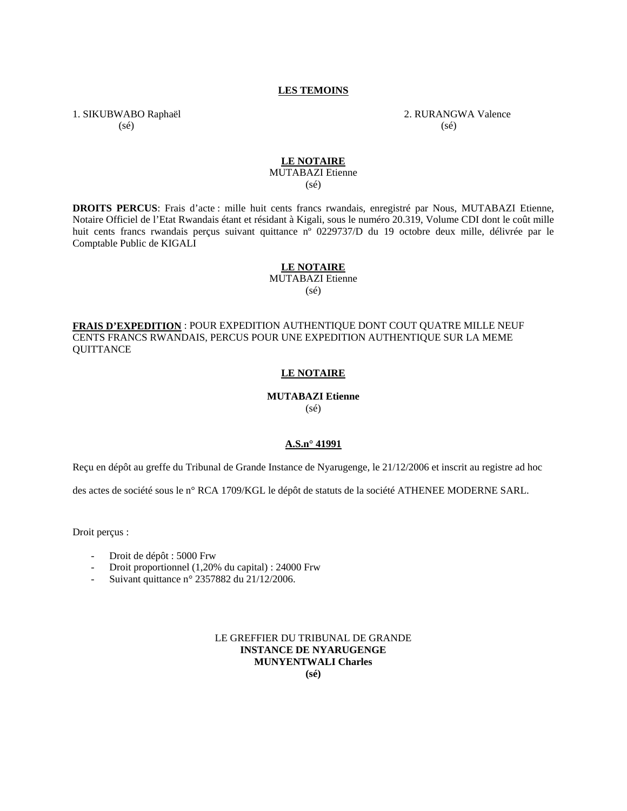# **LES TEMOINS**

1. SIKUBWABO Raphaël 2. RURANGWA Valence  $(s\acute{e})$  (sé)

# **LE NOTAIRE**

MUTABAZI Etienne

(sé)

**DROITS PERCUS**: Frais d'acte : mille huit cents francs rwandais, enregistré par Nous, MUTABAZI Etienne, Notaire Officiel de l'Etat Rwandais étant et résidant à Kigali, sous le numéro 20.319, Volume CDI dont le coût mille huit cents francs rwandais perçus suivant quittance nº 0229737/D du 19 octobre deux mille, délivrée par le Comptable Public de KIGALI

#### **LE NOTAIRE**

MUTABAZI Etienne

(sé)

**FRAIS D'EXPEDITION** : POUR EXPEDITION AUTHENTIQUE DONT COUT QUATRE MILLE NEUF CENTS FRANCS RWANDAIS, PERCUS POUR UNE EXPEDITION AUTHENTIQUE SUR LA MEME **OUITTANCE** 

#### **LE NOTAIRE**

# **MUTABAZI Etienne**

(sé)

#### **A.S.n° 41991**

Reçu en dépôt au greffe du Tribunal de Grande Instance de Nyarugenge, le 21/12/2006 et inscrit au registre ad hoc

des actes de société sous le n° RCA 1709/KGL le dépôt de statuts de la société ATHENEE MODERNE SARL.

Droit perçus :

- Droit de dépôt : 5000 Frw
- Droit proportionnel (1,20% du capital) : 24000 Frw
- Suivant quittance n° 2357882 du 21/12/2006.

LE GREFFIER DU TRIBUNAL DE GRANDE **INSTANCE DE NYARUGENGE MUNYENTWALI Charles** 

**(sé)**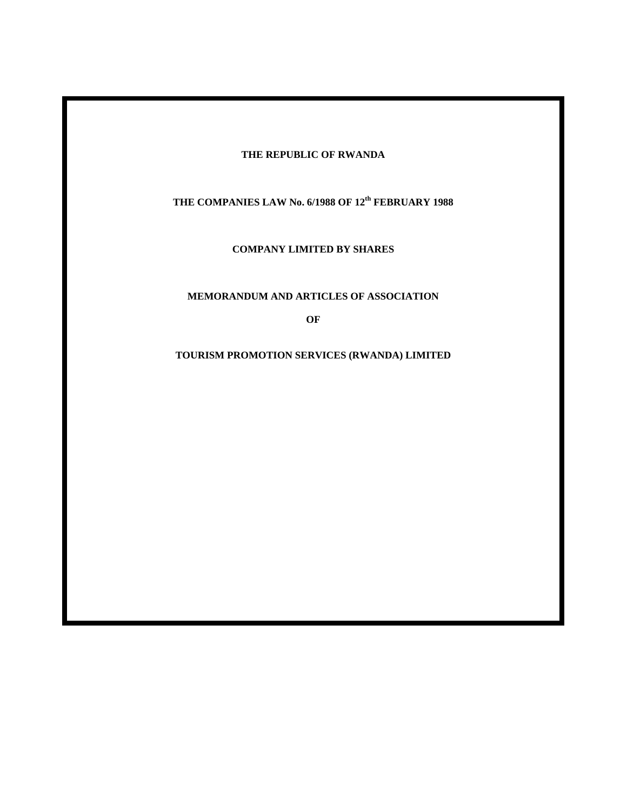# **THE REPUBLIC OF RWANDA**

**THE COMPANIES LAW No. 6/1988 OF 12th FEBRUARY 1988** 

**COMPANY LIMITED BY SHARES** 

**MEMORANDUM AND ARTICLES OF ASSOCIATION** 

**OF** 

**TOURISM PROMOTION SERVICES (RWANDA) LIMITED**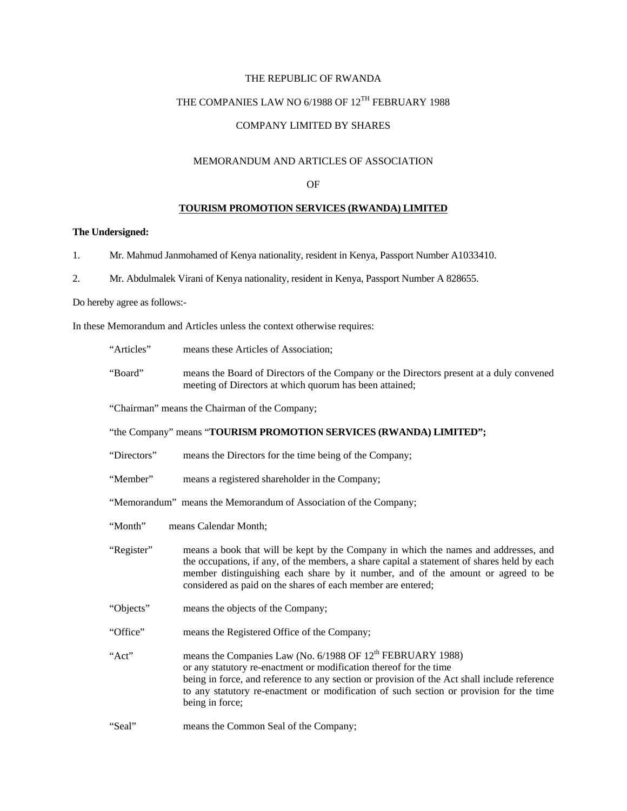# THE REPUBLIC OF RWANDA

# THE COMPANIES LAW NO 6/1988 OF 12<sup>TH</sup> FEBRUARY 1988

# COMPANY LIMITED BY SHARES

# MEMORANDUM AND ARTICLES OF ASSOCIATION

# OF

# **TOURISM PROMOTION SERVICES (RWANDA) LIMITED**

# **The Undersigned:**

- 1. Mr. Mahmud Janmohamed of Kenya nationality, resident in Kenya, Passport Number A1033410.
- 2. Mr. Abdulmalek Virani of Kenya nationality, resident in Kenya, Passport Number A 828655.

Do hereby agree as follows:-

In these Memorandum and Articles unless the context otherwise requires:

| "Articles"  | means these Articles of Association;                                                                                                                                                                                                                                                                                                                       |  |
|-------------|------------------------------------------------------------------------------------------------------------------------------------------------------------------------------------------------------------------------------------------------------------------------------------------------------------------------------------------------------------|--|
| "Board"     | means the Board of Directors of the Company or the Directors present at a duly convened<br>meeting of Directors at which quorum has been attained;                                                                                                                                                                                                         |  |
|             | "Chairman" means the Chairman of the Company;                                                                                                                                                                                                                                                                                                              |  |
|             | "the Company" means "TOURISM PROMOTION SERVICES (RWANDA) LIMITED";                                                                                                                                                                                                                                                                                         |  |
| "Directors" | means the Directors for the time being of the Company;                                                                                                                                                                                                                                                                                                     |  |
| "Member"    | means a registered shareholder in the Company;                                                                                                                                                                                                                                                                                                             |  |
|             | "Memorandum" means the Memorandum of Association of the Company;                                                                                                                                                                                                                                                                                           |  |
| "Month"     | means Calendar Month;                                                                                                                                                                                                                                                                                                                                      |  |
| "Register"  | means a book that will be kept by the Company in which the names and addresses, and<br>the occupations, if any, of the members, a share capital a statement of shares held by each<br>member distinguishing each share by it number, and of the amount or agreed to be<br>considered as paid on the shares of each member are entered;                     |  |
| "Objects"   | means the objects of the Company;                                                                                                                                                                                                                                                                                                                          |  |
| "Office"    | means the Registered Office of the Company;                                                                                                                                                                                                                                                                                                                |  |
| "Act"       | means the Companies Law (No. 6/1988 OF 12 <sup>th</sup> FEBRUARY 1988)<br>or any statutory re-enactment or modification thereof for the time<br>being in force, and reference to any section or provision of the Act shall include reference<br>to any statutory re-enactment or modification of such section or provision for the time<br>being in force; |  |
| "Seal"      | means the Common Seal of the Company:                                                                                                                                                                                                                                                                                                                      |  |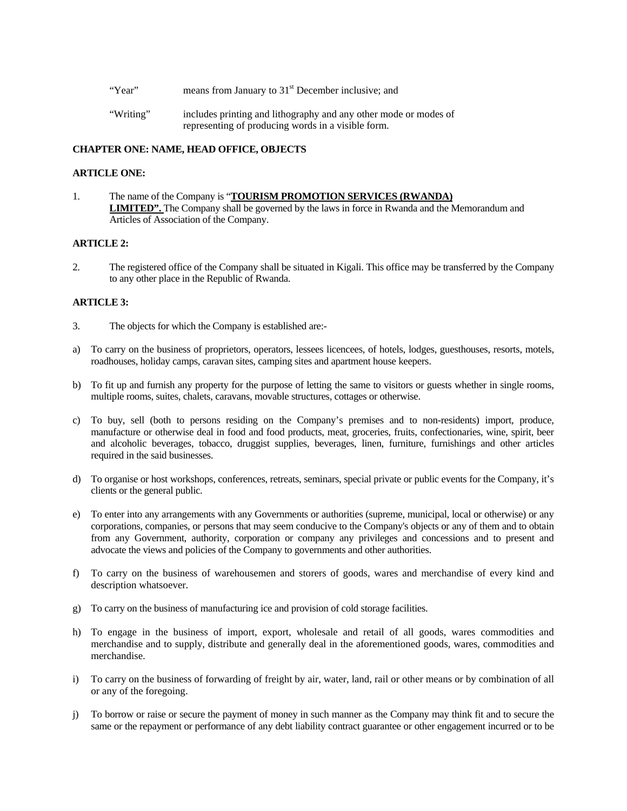- "Year" means from January to 31<sup>st</sup> December inclusive; and
- "Writing" includes printing and lithography and any other mode or modes of representing of producing words in a visible form.

# **CHAPTER ONE: NAME, HEAD OFFICE, OBJECTS**

#### **ARTICLE ONE:**

1. The name of the Company is "**TOURISM PROMOTION SERVICES (RWANDA) LIMITED".** The Company shall be governed by the laws in force in Rwanda and the Memorandum and Articles of Association of the Company.

# **ARTICLE 2:**

2. The registered office of the Company shall be situated in Kigali. This office may be transferred by the Company to any other place in the Republic of Rwanda.

#### **ARTICLE 3:**

- 3. The objects for which the Company is established are:-
- a) To carry on the business of proprietors, operators, lessees licencees, of hotels, lodges, guesthouses, resorts, motels, roadhouses, holiday camps, caravan sites, camping sites and apartment house keepers.
- b) To fit up and furnish any property for the purpose of letting the same to visitors or guests whether in single rooms, multiple rooms, suites, chalets, caravans, movable structures, cottages or otherwise.
- c) To buy, sell (both to persons residing on the Company's premises and to non-residents) import, produce, manufacture or otherwise deal in food and food products, meat, groceries, fruits, confectionaries, wine, spirit, beer and alcoholic beverages, tobacco, druggist supplies, beverages, linen, furniture, furnishings and other articles required in the said businesses.
- d) To organise or host workshops, conferences, retreats, seminars, special private or public events for the Company, it's clients or the general public.
- e) To enter into any arrangements with any Governments or authorities (supreme, municipal, local or otherwise) or any corporations, companies, or persons that may seem conducive to the Company's objects or any of them and to obtain from any Government, authority, corporation or company any privileges and concessions and to present and advocate the views and policies of the Company to governments and other authorities.
- f) To carry on the business of warehousemen and storers of goods, wares and merchandise of every kind and description whatsoever.
- g) To carry on the business of manufacturing ice and provision of cold storage facilities.
- h) To engage in the business of import, export, wholesale and retail of all goods, wares commodities and merchandise and to supply, distribute and generally deal in the aforementioned goods, wares, commodities and merchandise.
- i) To carry on the business of forwarding of freight by air, water, land, rail or other means or by combination of all or any of the foregoing.
- j) To borrow or raise or secure the payment of money in such manner as the Company may think fit and to secure the same or the repayment or performance of any debt liability contract guarantee or other engagement incurred or to be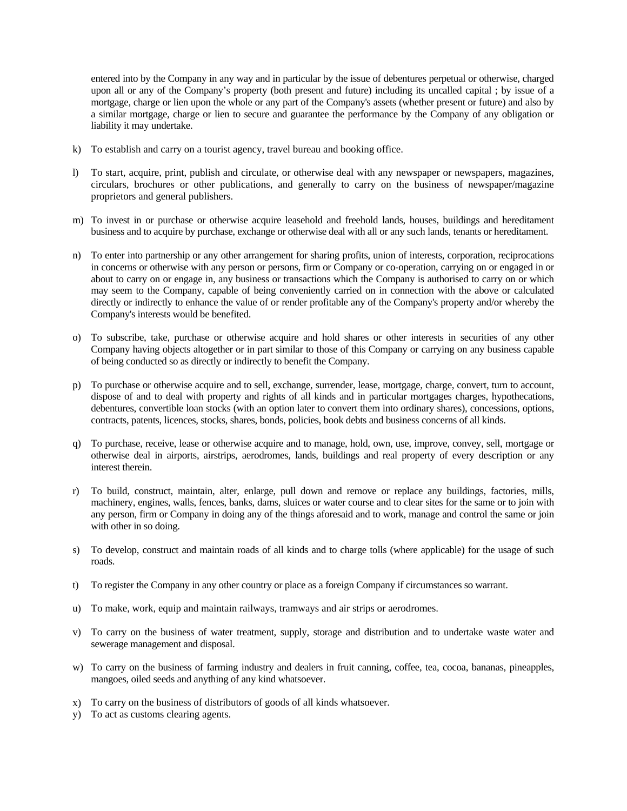entered into by the Company in any way and in particular by the issue of debentures perpetual or otherwise, charged upon all or any of the Company's property (both present and future) including its uncalled capital ; by issue of a mortgage, charge or lien upon the whole or any part of the Company's assets (whether present or future) and also by a similar mortgage, charge or lien to secure and guarantee the performance by the Company of any obligation or liability it may undertake.

- k) To establish and carry on a tourist agency, travel bureau and booking office.
- l) To start, acquire, print, publish and circulate, or otherwise deal with any newspaper or newspapers, magazines, circulars, brochures or other publications, and generally to carry on the business of newspaper/magazine proprietors and general publishers.
- m) To invest in or purchase or otherwise acquire leasehold and freehold lands, houses, buildings and hereditament business and to acquire by purchase, exchange or otherwise deal with all or any such lands, tenants or hereditament.
- n) To enter into partnership or any other arrangement for sharing profits, union of interests, corporation, reciprocations in concerns or otherwise with any person or persons, firm or Company or co-operation, carrying on or engaged in or about to carry on or engage in, any business or transactions which the Company is authorised to carry on or which may seem to the Company, capable of being conveniently carried on in connection with the above or calculated directly or indirectly to enhance the value of or render profitable any of the Company's property and/or whereby the Company's interests would be benefited.
- o) To subscribe, take, purchase or otherwise acquire and hold shares or other interests in securities of any other Company having objects altogether or in part similar to those of this Company or carrying on any business capable of being conducted so as directly or indirectly to benefit the Company.
- p) To purchase or otherwise acquire and to sell, exchange, surrender, lease, mortgage, charge, convert, turn to account, dispose of and to deal with property and rights of all kinds and in particular mortgages charges, hypothecations, debentures, convertible loan stocks (with an option later to convert them into ordinary shares), concessions, options, contracts, patents, licences, stocks, shares, bonds, policies, book debts and business concerns of all kinds.
- q) To purchase, receive, lease or otherwise acquire and to manage, hold, own, use, improve, convey, sell, mortgage or otherwise deal in airports, airstrips, aerodromes, lands, buildings and real property of every description or any interest therein.
- r) To build, construct, maintain, alter, enlarge, pull down and remove or replace any buildings, factories, mills, machinery, engines, walls, fences, banks, dams, sluices or water course and to clear sites for the same or to join with any person, firm or Company in doing any of the things aforesaid and to work, manage and control the same or join with other in so doing.
- s) To develop, construct and maintain roads of all kinds and to charge tolls (where applicable) for the usage of such roads.
- t) To register the Company in any other country or place as a foreign Company if circumstances so warrant.
- u) To make, work, equip and maintain railways, tramways and air strips or aerodromes.
- v) To carry on the business of water treatment, supply, storage and distribution and to undertake waste water and sewerage management and disposal.
- w) To carry on the business of farming industry and dealers in fruit canning, coffee, tea, cocoa, bananas, pineapples, mangoes, oiled seeds and anything of any kind whatsoever.
- x) To carry on the business of distributors of goods of all kinds whatsoever.
- y) To act as customs clearing agents.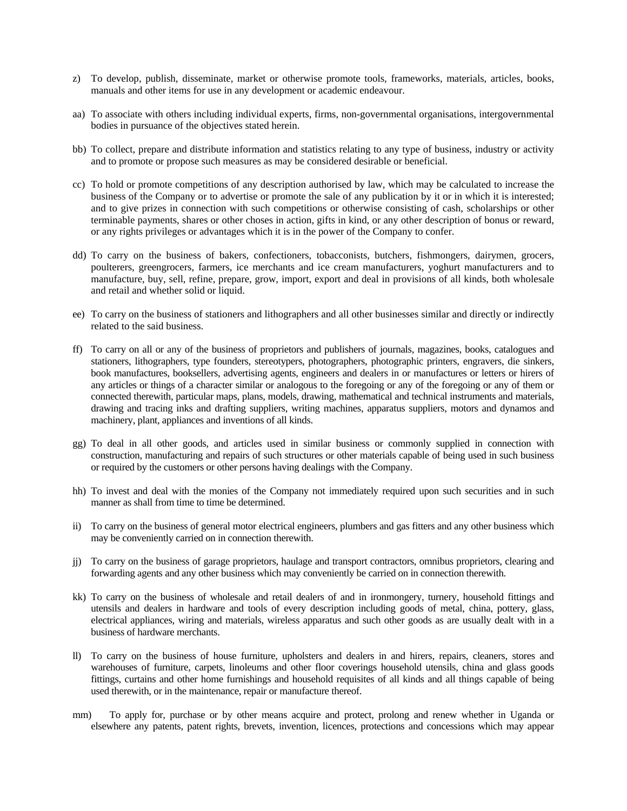- z) To develop, publish, disseminate, market or otherwise promote tools, frameworks, materials, articles, books, manuals and other items for use in any development or academic endeavour.
- aa) To associate with others including individual experts, firms, non-governmental organisations, intergovernmental bodies in pursuance of the objectives stated herein.
- bb) To collect, prepare and distribute information and statistics relating to any type of business, industry or activity and to promote or propose such measures as may be considered desirable or beneficial.
- cc) To hold or promote competitions of any description authorised by law, which may be calculated to increase the business of the Company or to advertise or promote the sale of any publication by it or in which it is interested; and to give prizes in connection with such competitions or otherwise consisting of cash, scholarships or other terminable payments, shares or other choses in action, gifts in kind, or any other description of bonus or reward, or any rights privileges or advantages which it is in the power of the Company to confer.
- dd) To carry on the business of bakers, confectioners, tobacconists, butchers, fishmongers, dairymen, grocers, poulterers, greengrocers, farmers, ice merchants and ice cream manufacturers, yoghurt manufacturers and to manufacture, buy, sell, refine, prepare, grow, import, export and deal in provisions of all kinds, both wholesale and retail and whether solid or liquid.
- ee) To carry on the business of stationers and lithographers and all other businesses similar and directly or indirectly related to the said business.
- ff) To carry on all or any of the business of proprietors and publishers of journals, magazines, books, catalogues and stationers, lithographers, type founders, stereotypers, photographers, photographic printers, engravers, die sinkers, book manufactures, booksellers, advertising agents, engineers and dealers in or manufactures or letters or hirers of any articles or things of a character similar or analogous to the foregoing or any of the foregoing or any of them or connected therewith, particular maps, plans, models, drawing, mathematical and technical instruments and materials, drawing and tracing inks and drafting suppliers, writing machines, apparatus suppliers, motors and dynamos and machinery, plant, appliances and inventions of all kinds.
- gg) To deal in all other goods, and articles used in similar business or commonly supplied in connection with construction, manufacturing and repairs of such structures or other materials capable of being used in such business or required by the customers or other persons having dealings with the Company.
- hh) To invest and deal with the monies of the Company not immediately required upon such securities and in such manner as shall from time to time be determined.
- ii) To carry on the business of general motor electrical engineers, plumbers and gas fitters and any other business which may be conveniently carried on in connection therewith.
- jj) To carry on the business of garage proprietors, haulage and transport contractors, omnibus proprietors, clearing and forwarding agents and any other business which may conveniently be carried on in connection therewith.
- kk) To carry on the business of wholesale and retail dealers of and in ironmongery, turnery, household fittings and utensils and dealers in hardware and tools of every description including goods of metal, china, pottery, glass, electrical appliances, wiring and materials, wireless apparatus and such other goods as are usually dealt with in a business of hardware merchants.
- ll) To carry on the business of house furniture, upholsters and dealers in and hirers, repairs, cleaners, stores and warehouses of furniture, carpets, linoleums and other floor coverings household utensils, china and glass goods fittings, curtains and other home furnishings and household requisites of all kinds and all things capable of being used therewith, or in the maintenance, repair or manufacture thereof.
- mm) To apply for, purchase or by other means acquire and protect, prolong and renew whether in Uganda or elsewhere any patents, patent rights, brevets, invention, licences, protections and concessions which may appear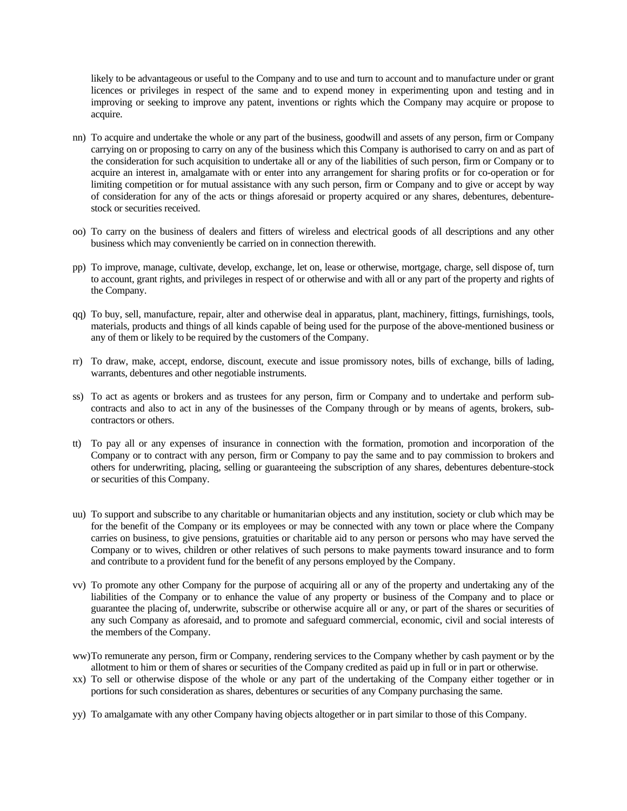likely to be advantageous or useful to the Company and to use and turn to account and to manufacture under or grant licences or privileges in respect of the same and to expend money in experimenting upon and testing and in improving or seeking to improve any patent, inventions or rights which the Company may acquire or propose to acquire.

- nn) To acquire and undertake the whole or any part of the business, goodwill and assets of any person, firm or Company carrying on or proposing to carry on any of the business which this Company is authorised to carry on and as part of the consideration for such acquisition to undertake all or any of the liabilities of such person, firm or Company or to acquire an interest in, amalgamate with or enter into any arrangement for sharing profits or for co-operation or for limiting competition or for mutual assistance with any such person, firm or Company and to give or accept by way of consideration for any of the acts or things aforesaid or property acquired or any shares, debentures, debenturestock or securities received.
- oo) To carry on the business of dealers and fitters of wireless and electrical goods of all descriptions and any other business which may conveniently be carried on in connection therewith.
- pp) To improve, manage, cultivate, develop, exchange, let on, lease or otherwise, mortgage, charge, sell dispose of, turn to account, grant rights, and privileges in respect of or otherwise and with all or any part of the property and rights of the Company.
- qq) To buy, sell, manufacture, repair, alter and otherwise deal in apparatus, plant, machinery, fittings, furnishings, tools, materials, products and things of all kinds capable of being used for the purpose of the above-mentioned business or any of them or likely to be required by the customers of the Company.
- rr) To draw, make, accept, endorse, discount, execute and issue promissory notes, bills of exchange, bills of lading, warrants, debentures and other negotiable instruments.
- ss) To act as agents or brokers and as trustees for any person, firm or Company and to undertake and perform subcontracts and also to act in any of the businesses of the Company through or by means of agents, brokers, subcontractors or others.
- tt) To pay all or any expenses of insurance in connection with the formation, promotion and incorporation of the Company or to contract with any person, firm or Company to pay the same and to pay commission to brokers and others for underwriting, placing, selling or guaranteeing the subscription of any shares, debentures debenture-stock or securities of this Company.
- uu) To support and subscribe to any charitable or humanitarian objects and any institution, society or club which may be for the benefit of the Company or its employees or may be connected with any town or place where the Company carries on business, to give pensions, gratuities or charitable aid to any person or persons who may have served the Company or to wives, children or other relatives of such persons to make payments toward insurance and to form and contribute to a provident fund for the benefit of any persons employed by the Company.
- vv) To promote any other Company for the purpose of acquiring all or any of the property and undertaking any of the liabilities of the Company or to enhance the value of any property or business of the Company and to place or guarantee the placing of, underwrite, subscribe or otherwise acquire all or any, or part of the shares or securities of any such Company as aforesaid, and to promote and safeguard commercial, economic, civil and social interests of the members of the Company.
- ww)To remunerate any person, firm or Company, rendering services to the Company whether by cash payment or by the allotment to him or them of shares or securities of the Company credited as paid up in full or in part or otherwise.
- xx) To sell or otherwise dispose of the whole or any part of the undertaking of the Company either together or in portions for such consideration as shares, debentures or securities of any Company purchasing the same.
- yy) To amalgamate with any other Company having objects altogether or in part similar to those of this Company.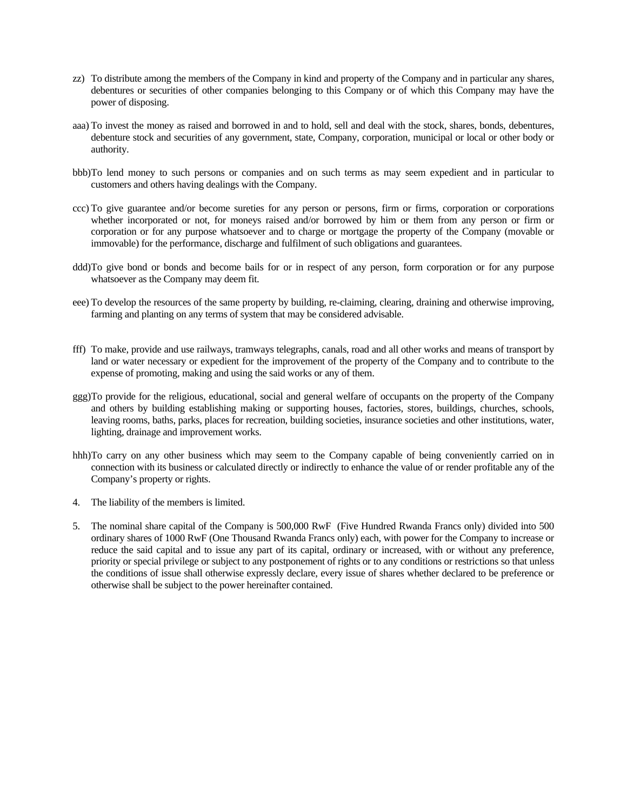- zz) To distribute among the members of the Company in kind and property of the Company and in particular any shares, debentures or securities of other companies belonging to this Company or of which this Company may have the power of disposing.
- aaa) To invest the money as raised and borrowed in and to hold, sell and deal with the stock, shares, bonds, debentures, debenture stock and securities of any government, state, Company, corporation, municipal or local or other body or authority.
- bbb)To lend money to such persons or companies and on such terms as may seem expedient and in particular to customers and others having dealings with the Company.
- ccc) To give guarantee and/or become sureties for any person or persons, firm or firms, corporation or corporations whether incorporated or not, for moneys raised and/or borrowed by him or them from any person or firm or corporation or for any purpose whatsoever and to charge or mortgage the property of the Company (movable or immovable) for the performance, discharge and fulfilment of such obligations and guarantees.
- ddd)To give bond or bonds and become bails for or in respect of any person, form corporation or for any purpose whatsoever as the Company may deem fit.
- eee) To develop the resources of the same property by building, re-claiming, clearing, draining and otherwise improving, farming and planting on any terms of system that may be considered advisable.
- fff) To make, provide and use railways, tramways telegraphs, canals, road and all other works and means of transport by land or water necessary or expedient for the improvement of the property of the Company and to contribute to the expense of promoting, making and using the said works or any of them.
- ggg)To provide for the religious, educational, social and general welfare of occupants on the property of the Company and others by building establishing making or supporting houses, factories, stores, buildings, churches, schools, leaving rooms, baths, parks, places for recreation, building societies, insurance societies and other institutions, water, lighting, drainage and improvement works.
- hhh)To carry on any other business which may seem to the Company capable of being conveniently carried on in connection with its business or calculated directly or indirectly to enhance the value of or render profitable any of the Company's property or rights.
- 4. The liability of the members is limited.
- 5. The nominal share capital of the Company is 500,000 RwF (Five Hundred Rwanda Francs only) divided into 500 ordinary shares of 1000 RwF (One Thousand Rwanda Francs only) each, with power for the Company to increase or reduce the said capital and to issue any part of its capital, ordinary or increased, with or without any preference, priority or special privilege or subject to any postponement of rights or to any conditions or restrictions so that unless the conditions of issue shall otherwise expressly declare, every issue of shares whether declared to be preference or otherwise shall be subject to the power hereinafter contained.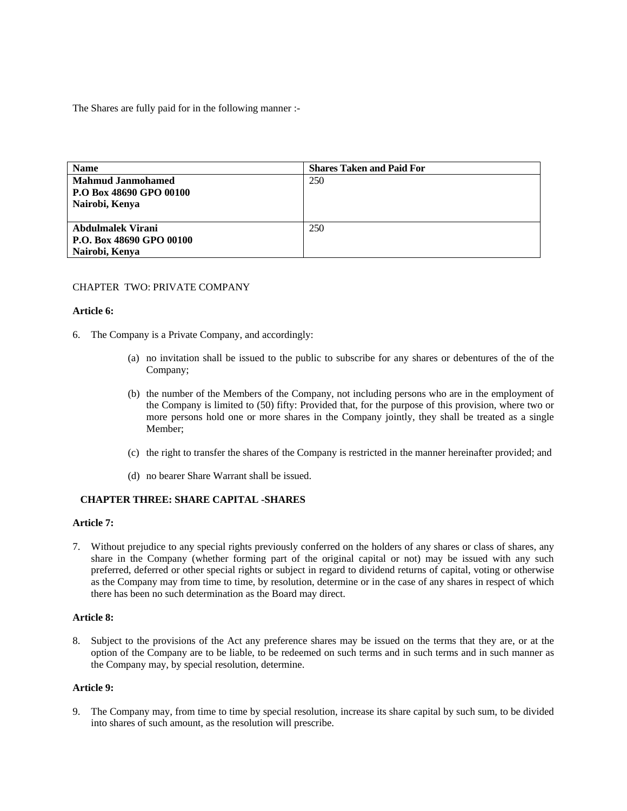The Shares are fully paid for in the following manner :-

| <b>Name</b>                                                           | <b>Shares Taken and Paid For</b> |
|-----------------------------------------------------------------------|----------------------------------|
| <b>Mahmud Janmohamed</b><br>P.O Box 48690 GPO 00100<br>Nairobi, Kenya | 250                              |
| Abdulmalek Virani<br>P.O. Box 48690 GPO 00100<br>Nairobi, Kenya       | 250                              |

# CHAPTER TWO: PRIVATE COMPANY

#### **Article 6:**

- 6. The Company is a Private Company, and accordingly:
	- (a) no invitation shall be issued to the public to subscribe for any shares or debentures of the of the Company;
	- (b) the number of the Members of the Company, not including persons who are in the employment of the Company is limited to (50) fifty: Provided that, for the purpose of this provision, where two or more persons hold one or more shares in the Company jointly, they shall be treated as a single Member;
	- (c) the right to transfer the shares of the Company is restricted in the manner hereinafter provided; and
	- (d) no bearer Share Warrant shall be issued.

#### **CHAPTER THREE: SHARE CAPITAL -SHARES**

# **Article 7:**

7. Without prejudice to any special rights previously conferred on the holders of any shares or class of shares, any share in the Company (whether forming part of the original capital or not) may be issued with any such preferred, deferred or other special rights or subject in regard to dividend returns of capital, voting or otherwise as the Company may from time to time, by resolution, determine or in the case of any shares in respect of which there has been no such determination as the Board may direct.

## **Article 8:**

8. Subject to the provisions of the Act any preference shares may be issued on the terms that they are, or at the option of the Company are to be liable, to be redeemed on such terms and in such terms and in such manner as the Company may, by special resolution, determine.

# **Article 9:**

9. The Company may, from time to time by special resolution, increase its share capital by such sum, to be divided into shares of such amount, as the resolution will prescribe.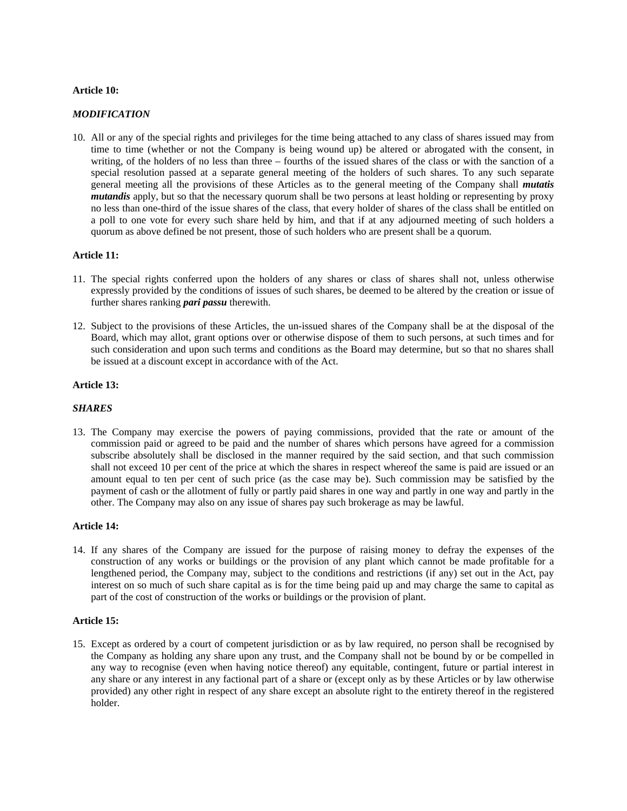# **Article 10:**

# *MODIFICATION*

10. All or any of the special rights and privileges for the time being attached to any class of shares issued may from time to time (whether or not the Company is being wound up) be altered or abrogated with the consent, in writing, of the holders of no less than three – fourths of the issued shares of the class or with the sanction of a special resolution passed at a separate general meeting of the holders of such shares. To any such separate general meeting all the provisions of these Articles as to the general meeting of the Company shall *mutatis mutandis* apply, but so that the necessary quorum shall be two persons at least holding or representing by proxy no less than one-third of the issue shares of the class, that every holder of shares of the class shall be entitled on a poll to one vote for every such share held by him, and that if at any adjourned meeting of such holders a quorum as above defined be not present, those of such holders who are present shall be a quorum.

# **Article 11:**

- 11. The special rights conferred upon the holders of any shares or class of shares shall not, unless otherwise expressly provided by the conditions of issues of such shares, be deemed to be altered by the creation or issue of further shares ranking *pari passu* therewith.
- 12. Subject to the provisions of these Articles, the un-issued shares of the Company shall be at the disposal of the Board, which may allot, grant options over or otherwise dispose of them to such persons, at such times and for such consideration and upon such terms and conditions as the Board may determine, but so that no shares shall be issued at a discount except in accordance with of the Act.

# **Article 13:**

#### *SHARES*

13. The Company may exercise the powers of paying commissions, provided that the rate or amount of the commission paid or agreed to be paid and the number of shares which persons have agreed for a commission subscribe absolutely shall be disclosed in the manner required by the said section, and that such commission shall not exceed 10 per cent of the price at which the shares in respect whereof the same is paid are issued or an amount equal to ten per cent of such price (as the case may be). Such commission may be satisfied by the payment of cash or the allotment of fully or partly paid shares in one way and partly in one way and partly in the other. The Company may also on any issue of shares pay such brokerage as may be lawful.

#### **Article 14:**

14. If any shares of the Company are issued for the purpose of raising money to defray the expenses of the construction of any works or buildings or the provision of any plant which cannot be made profitable for a lengthened period, the Company may, subject to the conditions and restrictions (if any) set out in the Act, pay interest on so much of such share capital as is for the time being paid up and may charge the same to capital as part of the cost of construction of the works or buildings or the provision of plant.

# **Article 15:**

15. Except as ordered by a court of competent jurisdiction or as by law required, no person shall be recognised by the Company as holding any share upon any trust, and the Company shall not be bound by or be compelled in any way to recognise (even when having notice thereof) any equitable, contingent, future or partial interest in any share or any interest in any factional part of a share or (except only as by these Articles or by law otherwise provided) any other right in respect of any share except an absolute right to the entirety thereof in the registered holder.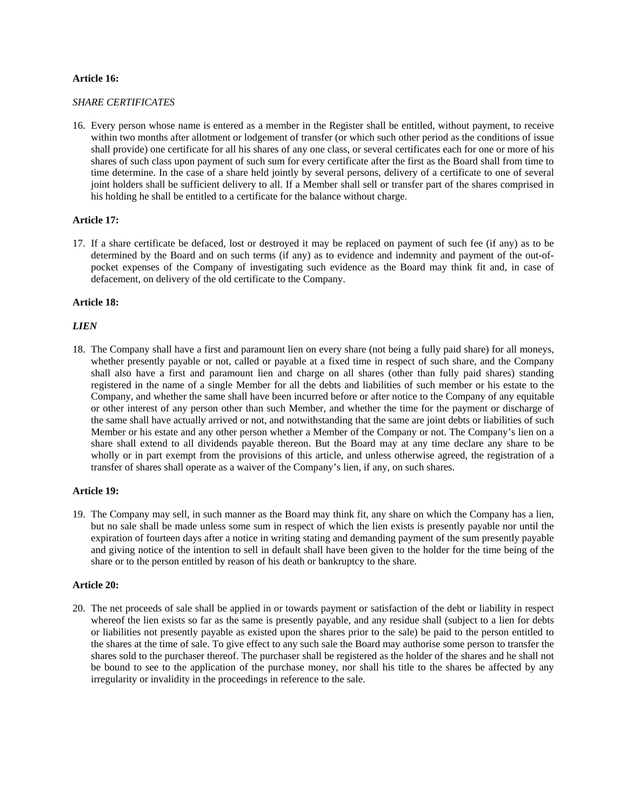# **Article 16:**

# *SHARE CERTIFICATES*

16. Every person whose name is entered as a member in the Register shall be entitled, without payment, to receive within two months after allotment or lodgement of transfer (or which such other period as the conditions of issue shall provide) one certificate for all his shares of any one class, or several certificates each for one or more of his shares of such class upon payment of such sum for every certificate after the first as the Board shall from time to time determine. In the case of a share held jointly by several persons, delivery of a certificate to one of several joint holders shall be sufficient delivery to all. If a Member shall sell or transfer part of the shares comprised in his holding he shall be entitled to a certificate for the balance without charge.

# **Article 17:**

17. If a share certificate be defaced, lost or destroyed it may be replaced on payment of such fee (if any) as to be determined by the Board and on such terms (if any) as to evidence and indemnity and payment of the out-ofpocket expenses of the Company of investigating such evidence as the Board may think fit and, in case of defacement, on delivery of the old certificate to the Company.

# **Article 18:**

# *LIEN*

18. The Company shall have a first and paramount lien on every share (not being a fully paid share) for all moneys, whether presently payable or not, called or payable at a fixed time in respect of such share, and the Company shall also have a first and paramount lien and charge on all shares (other than fully paid shares) standing registered in the name of a single Member for all the debts and liabilities of such member or his estate to the Company, and whether the same shall have been incurred before or after notice to the Company of any equitable or other interest of any person other than such Member, and whether the time for the payment or discharge of the same shall have actually arrived or not, and notwithstanding that the same are joint debts or liabilities of such Member or his estate and any other person whether a Member of the Company or not. The Company's lien on a share shall extend to all dividends payable thereon. But the Board may at any time declare any share to be wholly or in part exempt from the provisions of this article, and unless otherwise agreed, the registration of a transfer of shares shall operate as a waiver of the Company's lien, if any, on such shares.

#### **Article 19:**

19. The Company may sell, in such manner as the Board may think fit, any share on which the Company has a lien, but no sale shall be made unless some sum in respect of which the lien exists is presently payable nor until the expiration of fourteen days after a notice in writing stating and demanding payment of the sum presently payable and giving notice of the intention to sell in default shall have been given to the holder for the time being of the share or to the person entitled by reason of his death or bankruptcy to the share.

#### **Article 20:**

20. The net proceeds of sale shall be applied in or towards payment or satisfaction of the debt or liability in respect whereof the lien exists so far as the same is presently payable, and any residue shall (subject to a lien for debts or liabilities not presently payable as existed upon the shares prior to the sale) be paid to the person entitled to the shares at the time of sale. To give effect to any such sale the Board may authorise some person to transfer the shares sold to the purchaser thereof. The purchaser shall be registered as the holder of the shares and he shall not be bound to see to the application of the purchase money, nor shall his title to the shares be affected by any irregularity or invalidity in the proceedings in reference to the sale.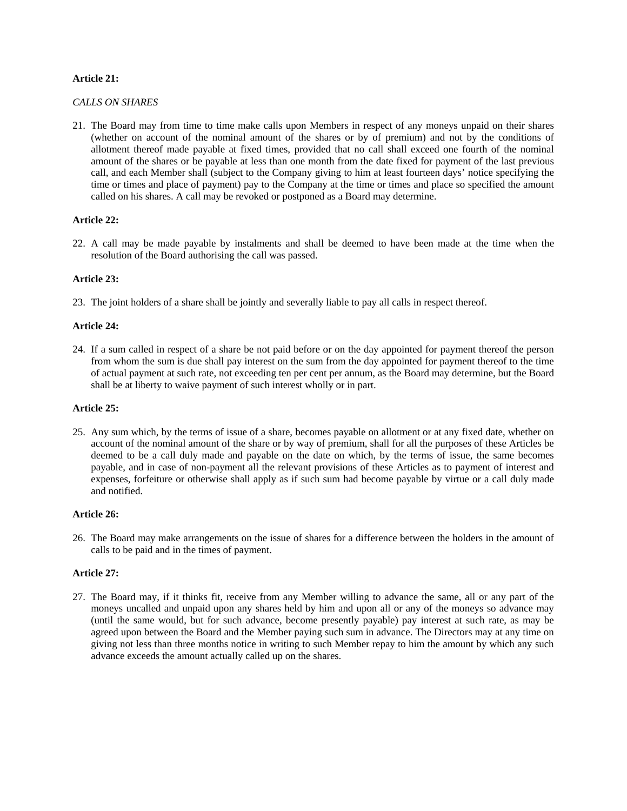# **Article 21:**

# *CALLS ON SHARES*

21. The Board may from time to time make calls upon Members in respect of any moneys unpaid on their shares (whether on account of the nominal amount of the shares or by of premium) and not by the conditions of allotment thereof made payable at fixed times, provided that no call shall exceed one fourth of the nominal amount of the shares or be payable at less than one month from the date fixed for payment of the last previous call, and each Member shall (subject to the Company giving to him at least fourteen days' notice specifying the time or times and place of payment) pay to the Company at the time or times and place so specified the amount called on his shares. A call may be revoked or postponed as a Board may determine.

# **Article 22:**

22. A call may be made payable by instalments and shall be deemed to have been made at the time when the resolution of the Board authorising the call was passed.

#### **Article 23:**

23. The joint holders of a share shall be jointly and severally liable to pay all calls in respect thereof.

# **Article 24:**

24. If a sum called in respect of a share be not paid before or on the day appointed for payment thereof the person from whom the sum is due shall pay interest on the sum from the day appointed for payment thereof to the time of actual payment at such rate, not exceeding ten per cent per annum, as the Board may determine, but the Board shall be at liberty to waive payment of such interest wholly or in part.

#### **Article 25:**

25. Any sum which, by the terms of issue of a share, becomes payable on allotment or at any fixed date, whether on account of the nominal amount of the share or by way of premium, shall for all the purposes of these Articles be deemed to be a call duly made and payable on the date on which, by the terms of issue, the same becomes payable, and in case of non-payment all the relevant provisions of these Articles as to payment of interest and expenses, forfeiture or otherwise shall apply as if such sum had become payable by virtue or a call duly made and notified.

## **Article 26:**

26. The Board may make arrangements on the issue of shares for a difference between the holders in the amount of calls to be paid and in the times of payment.

# **Article 27:**

27. The Board may, if it thinks fit, receive from any Member willing to advance the same, all or any part of the moneys uncalled and unpaid upon any shares held by him and upon all or any of the moneys so advance may (until the same would, but for such advance, become presently payable) pay interest at such rate, as may be agreed upon between the Board and the Member paying such sum in advance. The Directors may at any time on giving not less than three months notice in writing to such Member repay to him the amount by which any such advance exceeds the amount actually called up on the shares.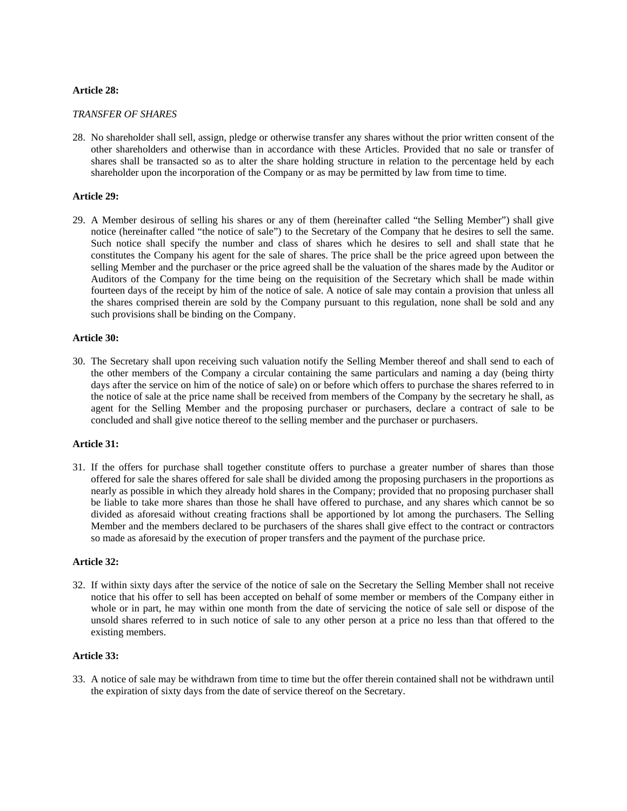# **Article 28:**

#### *TRANSFER OF SHARES*

28. No shareholder shall sell, assign, pledge or otherwise transfer any shares without the prior written consent of the other shareholders and otherwise than in accordance with these Articles. Provided that no sale or transfer of shares shall be transacted so as to alter the share holding structure in relation to the percentage held by each shareholder upon the incorporation of the Company or as may be permitted by law from time to time.

# **Article 29:**

29. A Member desirous of selling his shares or any of them (hereinafter called "the Selling Member") shall give notice (hereinafter called "the notice of sale") to the Secretary of the Company that he desires to sell the same. Such notice shall specify the number and class of shares which he desires to sell and shall state that he constitutes the Company his agent for the sale of shares. The price shall be the price agreed upon between the selling Member and the purchaser or the price agreed shall be the valuation of the shares made by the Auditor or Auditors of the Company for the time being on the requisition of the Secretary which shall be made within fourteen days of the receipt by him of the notice of sale. A notice of sale may contain a provision that unless all the shares comprised therein are sold by the Company pursuant to this regulation, none shall be sold and any such provisions shall be binding on the Company.

#### **Article 30:**

30. The Secretary shall upon receiving such valuation notify the Selling Member thereof and shall send to each of the other members of the Company a circular containing the same particulars and naming a day (being thirty days after the service on him of the notice of sale) on or before which offers to purchase the shares referred to in the notice of sale at the price name shall be received from members of the Company by the secretary he shall, as agent for the Selling Member and the proposing purchaser or purchasers, declare a contract of sale to be concluded and shall give notice thereof to the selling member and the purchaser or purchasers.

# **Article 31:**

31. If the offers for purchase shall together constitute offers to purchase a greater number of shares than those offered for sale the shares offered for sale shall be divided among the proposing purchasers in the proportions as nearly as possible in which they already hold shares in the Company; provided that no proposing purchaser shall be liable to take more shares than those he shall have offered to purchase, and any shares which cannot be so divided as aforesaid without creating fractions shall be apportioned by lot among the purchasers. The Selling Member and the members declared to be purchasers of the shares shall give effect to the contract or contractors so made as aforesaid by the execution of proper transfers and the payment of the purchase price.

#### **Article 32:**

32. If within sixty days after the service of the notice of sale on the Secretary the Selling Member shall not receive notice that his offer to sell has been accepted on behalf of some member or members of the Company either in whole or in part, he may within one month from the date of servicing the notice of sale sell or dispose of the unsold shares referred to in such notice of sale to any other person at a price no less than that offered to the existing members.

# **Article 33:**

33. A notice of sale may be withdrawn from time to time but the offer therein contained shall not be withdrawn until the expiration of sixty days from the date of service thereof on the Secretary.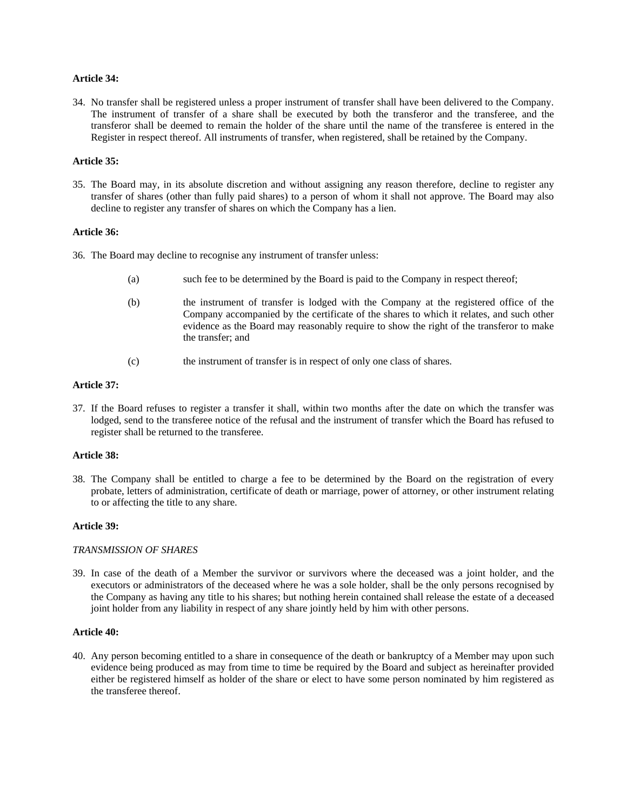# **Article 34:**

34. No transfer shall be registered unless a proper instrument of transfer shall have been delivered to the Company. The instrument of transfer of a share shall be executed by both the transferor and the transferee, and the transferor shall be deemed to remain the holder of the share until the name of the transferee is entered in the Register in respect thereof. All instruments of transfer, when registered, shall be retained by the Company.

# **Article 35:**

35. The Board may, in its absolute discretion and without assigning any reason therefore, decline to register any transfer of shares (other than fully paid shares) to a person of whom it shall not approve. The Board may also decline to register any transfer of shares on which the Company has a lien.

# **Article 36:**

36. The Board may decline to recognise any instrument of transfer unless:

- (a) such fee to be determined by the Board is paid to the Company in respect thereof;
- (b) the instrument of transfer is lodged with the Company at the registered office of the Company accompanied by the certificate of the shares to which it relates, and such other evidence as the Board may reasonably require to show the right of the transferor to make the transfer; and
- (c) the instrument of transfer is in respect of only one class of shares.

#### **Article 37:**

37. If the Board refuses to register a transfer it shall, within two months after the date on which the transfer was lodged, send to the transferee notice of the refusal and the instrument of transfer which the Board has refused to register shall be returned to the transferee.

# **Article 38:**

38. The Company shall be entitled to charge a fee to be determined by the Board on the registration of every probate, letters of administration, certificate of death or marriage, power of attorney, or other instrument relating to or affecting the title to any share.

### **Article 39:**

#### *TRANSMISSION OF SHARES*

39. In case of the death of a Member the survivor or survivors where the deceased was a joint holder, and the executors or administrators of the deceased where he was a sole holder, shall be the only persons recognised by the Company as having any title to his shares; but nothing herein contained shall release the estate of a deceased joint holder from any liability in respect of any share jointly held by him with other persons.

#### **Article 40:**

40. Any person becoming entitled to a share in consequence of the death or bankruptcy of a Member may upon such evidence being produced as may from time to time be required by the Board and subject as hereinafter provided either be registered himself as holder of the share or elect to have some person nominated by him registered as the transferee thereof.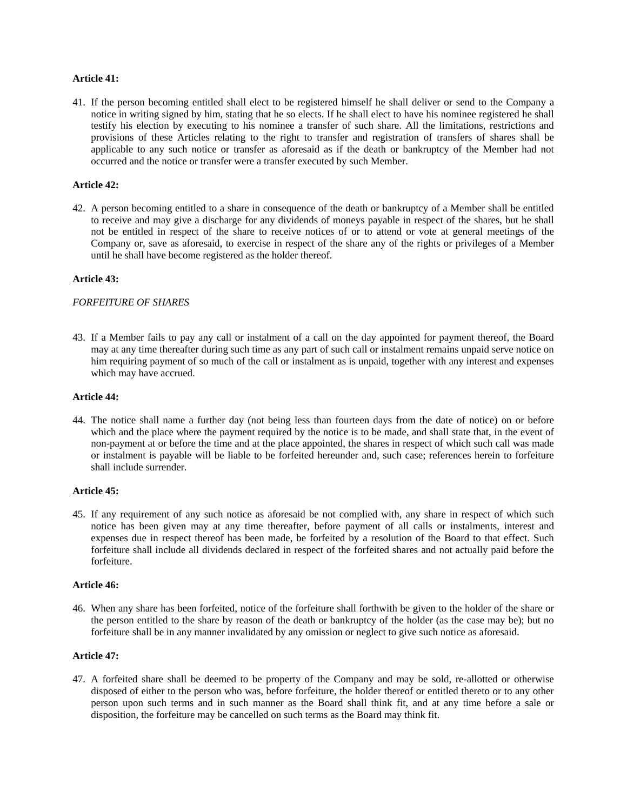# **Article 41:**

41. If the person becoming entitled shall elect to be registered himself he shall deliver or send to the Company a notice in writing signed by him, stating that he so elects. If he shall elect to have his nominee registered he shall testify his election by executing to his nominee a transfer of such share. All the limitations, restrictions and provisions of these Articles relating to the right to transfer and registration of transfers of shares shall be applicable to any such notice or transfer as aforesaid as if the death or bankruptcy of the Member had not occurred and the notice or transfer were a transfer executed by such Member.

# **Article 42:**

42. A person becoming entitled to a share in consequence of the death or bankruptcy of a Member shall be entitled to receive and may give a discharge for any dividends of moneys payable in respect of the shares, but he shall not be entitled in respect of the share to receive notices of or to attend or vote at general meetings of the Company or, save as aforesaid, to exercise in respect of the share any of the rights or privileges of a Member until he shall have become registered as the holder thereof.

# **Article 43:**

# *FORFEITURE OF SHARES*

43. If a Member fails to pay any call or instalment of a call on the day appointed for payment thereof, the Board may at any time thereafter during such time as any part of such call or instalment remains unpaid serve notice on him requiring payment of so much of the call or instalment as is unpaid, together with any interest and expenses which may have accrued.

# **Article 44:**

44. The notice shall name a further day (not being less than fourteen days from the date of notice) on or before which and the place where the payment required by the notice is to be made, and shall state that, in the event of non-payment at or before the time and at the place appointed, the shares in respect of which such call was made or instalment is payable will be liable to be forfeited hereunder and, such case; references herein to forfeiture shall include surrender.

# **Article 45:**

45. If any requirement of any such notice as aforesaid be not complied with, any share in respect of which such notice has been given may at any time thereafter, before payment of all calls or instalments, interest and expenses due in respect thereof has been made, be forfeited by a resolution of the Board to that effect. Such forfeiture shall include all dividends declared in respect of the forfeited shares and not actually paid before the forfeiture.

#### **Article 46:**

46. When any share has been forfeited, notice of the forfeiture shall forthwith be given to the holder of the share or the person entitled to the share by reason of the death or bankruptcy of the holder (as the case may be); but no forfeiture shall be in any manner invalidated by any omission or neglect to give such notice as aforesaid.

# **Article 47:**

47. A forfeited share shall be deemed to be property of the Company and may be sold, re-allotted or otherwise disposed of either to the person who was, before forfeiture, the holder thereof or entitled thereto or to any other person upon such terms and in such manner as the Board shall think fit, and at any time before a sale or disposition, the forfeiture may be cancelled on such terms as the Board may think fit.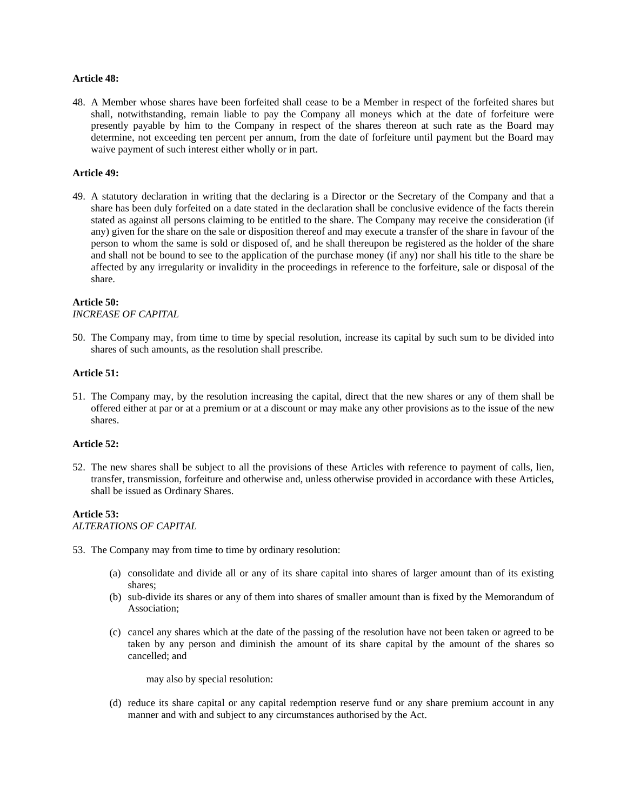#### **Article 48:**

48. A Member whose shares have been forfeited shall cease to be a Member in respect of the forfeited shares but shall, notwithstanding, remain liable to pay the Company all moneys which at the date of forfeiture were presently payable by him to the Company in respect of the shares thereon at such rate as the Board may determine, not exceeding ten percent per annum, from the date of forfeiture until payment but the Board may waive payment of such interest either wholly or in part.

#### **Article 49:**

49. A statutory declaration in writing that the declaring is a Director or the Secretary of the Company and that a share has been duly forfeited on a date stated in the declaration shall be conclusive evidence of the facts therein stated as against all persons claiming to be entitled to the share. The Company may receive the consideration (if any) given for the share on the sale or disposition thereof and may execute a transfer of the share in favour of the person to whom the same is sold or disposed of, and he shall thereupon be registered as the holder of the share and shall not be bound to see to the application of the purchase money (if any) nor shall his title to the share be affected by any irregularity or invalidity in the proceedings in reference to the forfeiture, sale or disposal of the share.

# **Article 50:**

*INCREASE OF CAPITAL* 

50. The Company may, from time to time by special resolution, increase its capital by such sum to be divided into shares of such amounts, as the resolution shall prescribe.

#### **Article 51:**

51. The Company may, by the resolution increasing the capital, direct that the new shares or any of them shall be offered either at par or at a premium or at a discount or may make any other provisions as to the issue of the new shares.

#### **Article 52:**

52. The new shares shall be subject to all the provisions of these Articles with reference to payment of calls, lien, transfer, transmission, forfeiture and otherwise and, unless otherwise provided in accordance with these Articles, shall be issued as Ordinary Shares.

# **Article 53:**

*ALTERATIONS OF CAPITAL* 

- 53. The Company may from time to time by ordinary resolution:
	- (a) consolidate and divide all or any of its share capital into shares of larger amount than of its existing shares;
	- (b) sub-divide its shares or any of them into shares of smaller amount than is fixed by the Memorandum of Association;
	- (c) cancel any shares which at the date of the passing of the resolution have not been taken or agreed to be taken by any person and diminish the amount of its share capital by the amount of the shares so cancelled; and

may also by special resolution:

(d) reduce its share capital or any capital redemption reserve fund or any share premium account in any manner and with and subject to any circumstances authorised by the Act.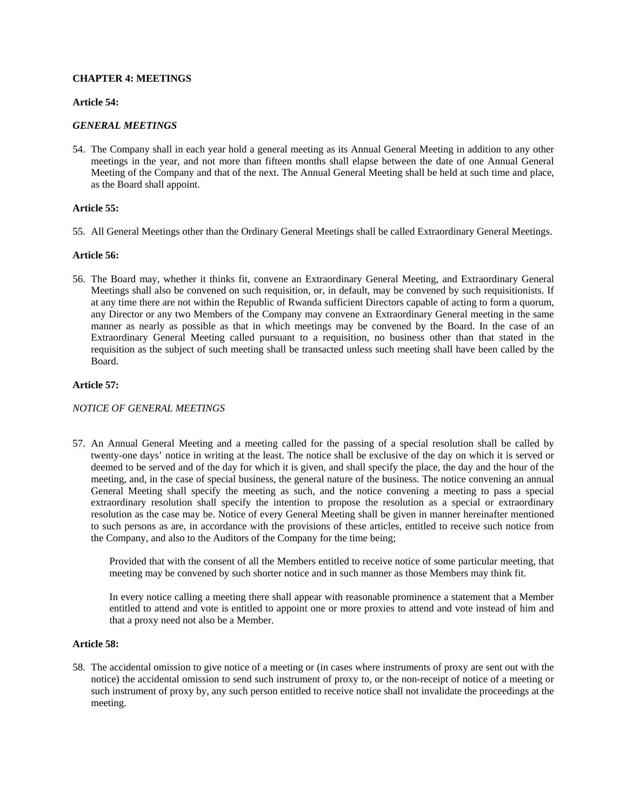## **CHAPTER 4: MEETINGS**

#### **Article 54:**

## *GENERAL MEETINGS*

54. The Company shall in each year hold a general meeting as its Annual General Meeting in addition to any other meetings in the year, and not more than fifteen months shall elapse between the date of one Annual General Meeting of the Company and that of the next. The Annual General Meeting shall be held at such time and place, as the Board shall appoint.

## **Article 55:**

55. All General Meetings other than the Ordinary General Meetings shall be called Extraordinary General Meetings.

## **Article 56:**

56. The Board may, whether it thinks fit, convene an Extraordinary General Meeting, and Extraordinary General Meetings shall also be convened on such requisition, or, in default, may be convened by such requisitionists. If at any time there are not within the Republic of Rwanda sufficient Directors capable of acting to form a quorum, any Director or any two Members of the Company may convene an Extraordinary General meeting in the same manner as nearly as possible as that in which meetings may be convened by the Board. In the case of an Extraordinary General Meeting called pursuant to a requisition, no business other than that stated in the requisition as the subject of such meeting shall be transacted unless such meeting shall have been called by the Board.

## **Article 57:**

## *NOTICE OF GENERAL MEETINGS*

57. An Annual General Meeting and a meeting called for the passing of a special resolution shall be called by twenty-one days' notice in writing at the least. The notice shall be exclusive of the day on which it is served or deemed to be served and of the day for which it is given, and shall specify the place, the day and the hour of the meeting, and, in the case of special business, the general nature of the business. The notice convening an annual General Meeting shall specify the meeting as such, and the notice convening a meeting to pass a special extraordinary resolution shall specify the intention to propose the resolution as a special or extraordinary resolution as the case may be. Notice of every General Meeting shall be given in manner hereinafter mentioned to such persons as are, in accordance with the provisions of these articles, entitled to receive such notice from the Company, and also to the Auditors of the Company for the time being;

Provided that with the consent of all the Members entitled to receive notice of some particular meeting, that meeting may be convened by such shorter notice and in such manner as those Members may think fit.

In every notice calling a meeting there shall appear with reasonable prominence a statement that a Member entitled to attend and vote is entitled to appoint one or more proxies to attend and vote instead of him and that a proxy need not also be a Member.

#### **Article 58:**

58. The accidental omission to give notice of a meeting or (in cases where instruments of proxy are sent out with the notice) the accidental omission to send such instrument of proxy to, or the non-receipt of notice of a meeting or such instrument of proxy by, any such person entitled to receive notice shall not invalidate the proceedings at the meeting.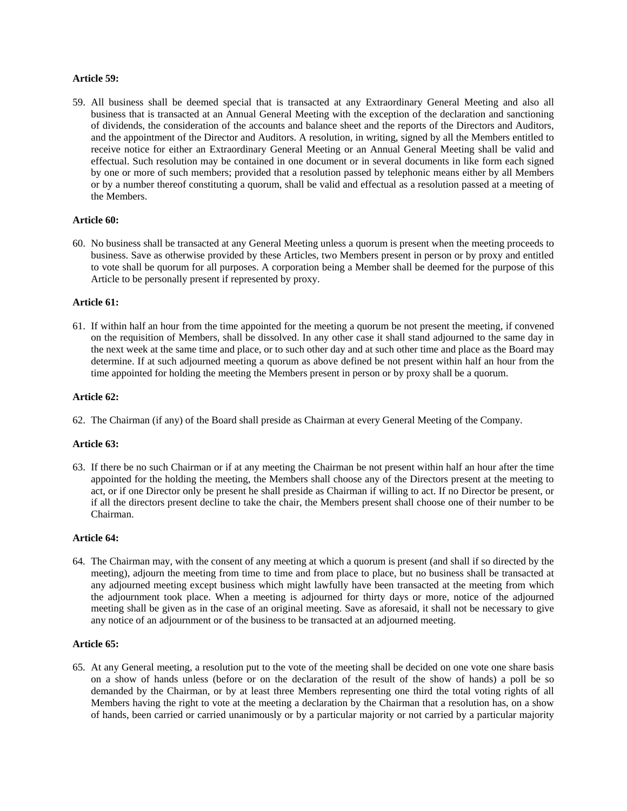## **Article 59:**

59. All business shall be deemed special that is transacted at any Extraordinary General Meeting and also all business that is transacted at an Annual General Meeting with the exception of the declaration and sanctioning of dividends, the consideration of the accounts and balance sheet and the reports of the Directors and Auditors, and the appointment of the Director and Auditors. A resolution, in writing, signed by all the Members entitled to receive notice for either an Extraordinary General Meeting or an Annual General Meeting shall be valid and effectual. Such resolution may be contained in one document or in several documents in like form each signed by one or more of such members; provided that a resolution passed by telephonic means either by all Members or by a number thereof constituting a quorum, shall be valid and effectual as a resolution passed at a meeting of the Members.

## **Article 60:**

60. No business shall be transacted at any General Meeting unless a quorum is present when the meeting proceeds to business. Save as otherwise provided by these Articles, two Members present in person or by proxy and entitled to vote shall be quorum for all purposes. A corporation being a Member shall be deemed for the purpose of this Article to be personally present if represented by proxy.

#### **Article 61:**

61. If within half an hour from the time appointed for the meeting a quorum be not present the meeting, if convened on the requisition of Members, shall be dissolved. In any other case it shall stand adjourned to the same day in the next week at the same time and place, or to such other day and at such other time and place as the Board may determine. If at such adjourned meeting a quorum as above defined be not present within half an hour from the time appointed for holding the meeting the Members present in person or by proxy shall be a quorum.

#### **Article 62:**

62. The Chairman (if any) of the Board shall preside as Chairman at every General Meeting of the Company.

#### **Article 63:**

63. If there be no such Chairman or if at any meeting the Chairman be not present within half an hour after the time appointed for the holding the meeting, the Members shall choose any of the Directors present at the meeting to act, or if one Director only be present he shall preside as Chairman if willing to act. If no Director be present, or if all the directors present decline to take the chair, the Members present shall choose one of their number to be Chairman.

#### **Article 64:**

64. The Chairman may, with the consent of any meeting at which a quorum is present (and shall if so directed by the meeting), adjourn the meeting from time to time and from place to place, but no business shall be transacted at any adjourned meeting except business which might lawfully have been transacted at the meeting from which the adjournment took place. When a meeting is adjourned for thirty days or more, notice of the adjourned meeting shall be given as in the case of an original meeting. Save as aforesaid, it shall not be necessary to give any notice of an adjournment or of the business to be transacted at an adjourned meeting.

## **Article 65:**

65. At any General meeting, a resolution put to the vote of the meeting shall be decided on one vote one share basis on a show of hands unless (before or on the declaration of the result of the show of hands) a poll be so demanded by the Chairman, or by at least three Members representing one third the total voting rights of all Members having the right to vote at the meeting a declaration by the Chairman that a resolution has, on a show of hands, been carried or carried unanimously or by a particular majority or not carried by a particular majority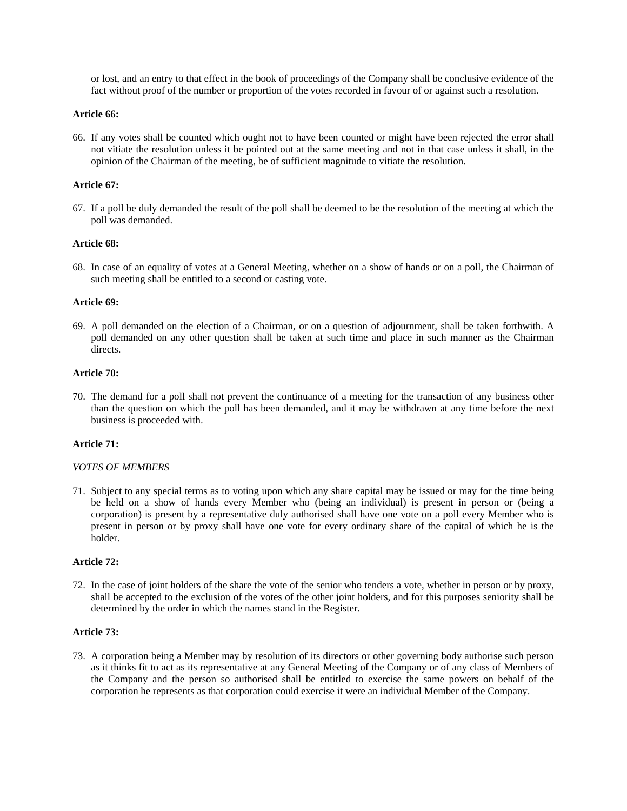or lost, and an entry to that effect in the book of proceedings of the Company shall be conclusive evidence of the fact without proof of the number or proportion of the votes recorded in favour of or against such a resolution.

#### **Article 66:**

66. If any votes shall be counted which ought not to have been counted or might have been rejected the error shall not vitiate the resolution unless it be pointed out at the same meeting and not in that case unless it shall, in the opinion of the Chairman of the meeting, be of sufficient magnitude to vitiate the resolution.

## **Article 67:**

67. If a poll be duly demanded the result of the poll shall be deemed to be the resolution of the meeting at which the poll was demanded.

#### **Article 68:**

68. In case of an equality of votes at a General Meeting, whether on a show of hands or on a poll, the Chairman of such meeting shall be entitled to a second or casting vote.

#### **Article 69:**

69. A poll demanded on the election of a Chairman, or on a question of adjournment, shall be taken forthwith. A poll demanded on any other question shall be taken at such time and place in such manner as the Chairman directs.

#### **Article 70:**

70. The demand for a poll shall not prevent the continuance of a meeting for the transaction of any business other than the question on which the poll has been demanded, and it may be withdrawn at any time before the next business is proceeded with.

#### **Article 71:**

#### *VOTES OF MEMBERS*

71. Subject to any special terms as to voting upon which any share capital may be issued or may for the time being be held on a show of hands every Member who (being an individual) is present in person or (being a corporation) is present by a representative duly authorised shall have one vote on a poll every Member who is present in person or by proxy shall have one vote for every ordinary share of the capital of which he is the holder.

#### **Article 72:**

72. In the case of joint holders of the share the vote of the senior who tenders a vote, whether in person or by proxy, shall be accepted to the exclusion of the votes of the other joint holders, and for this purposes seniority shall be determined by the order in which the names stand in the Register.

#### **Article 73:**

73. A corporation being a Member may by resolution of its directors or other governing body authorise such person as it thinks fit to act as its representative at any General Meeting of the Company or of any class of Members of the Company and the person so authorised shall be entitled to exercise the same powers on behalf of the corporation he represents as that corporation could exercise it were an individual Member of the Company.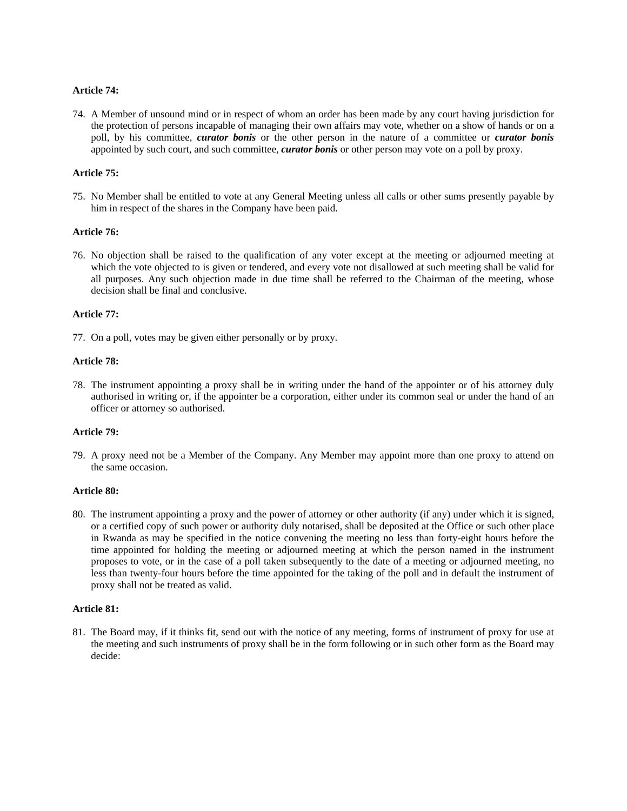## **Article 74:**

74. A Member of unsound mind or in respect of whom an order has been made by any court having jurisdiction for the protection of persons incapable of managing their own affairs may vote, whether on a show of hands or on a poll, by his committee, *curator bonis* or the other person in the nature of a committee or *curator bonis* appointed by such court, and such committee, *curator bonis* or other person may vote on a poll by proxy.

## **Article 75:**

75. No Member shall be entitled to vote at any General Meeting unless all calls or other sums presently payable by him in respect of the shares in the Company have been paid.

## **Article 76:**

76. No objection shall be raised to the qualification of any voter except at the meeting or adjourned meeting at which the vote objected to is given or tendered, and every vote not disallowed at such meeting shall be valid for all purposes. Any such objection made in due time shall be referred to the Chairman of the meeting, whose decision shall be final and conclusive.

#### **Article 77:**

77. On a poll, votes may be given either personally or by proxy.

#### **Article 78:**

78. The instrument appointing a proxy shall be in writing under the hand of the appointer or of his attorney duly authorised in writing or, if the appointer be a corporation, either under its common seal or under the hand of an officer or attorney so authorised.

#### **Article 79:**

79. A proxy need not be a Member of the Company. Any Member may appoint more than one proxy to attend on the same occasion.

#### **Article 80:**

80. The instrument appointing a proxy and the power of attorney or other authority (if any) under which it is signed, or a certified copy of such power or authority duly notarised, shall be deposited at the Office or such other place in Rwanda as may be specified in the notice convening the meeting no less than forty-eight hours before the time appointed for holding the meeting or adjourned meeting at which the person named in the instrument proposes to vote, or in the case of a poll taken subsequently to the date of a meeting or adjourned meeting, no less than twenty-four hours before the time appointed for the taking of the poll and in default the instrument of proxy shall not be treated as valid.

#### **Article 81:**

81. The Board may, if it thinks fit, send out with the notice of any meeting, forms of instrument of proxy for use at the meeting and such instruments of proxy shall be in the form following or in such other form as the Board may decide: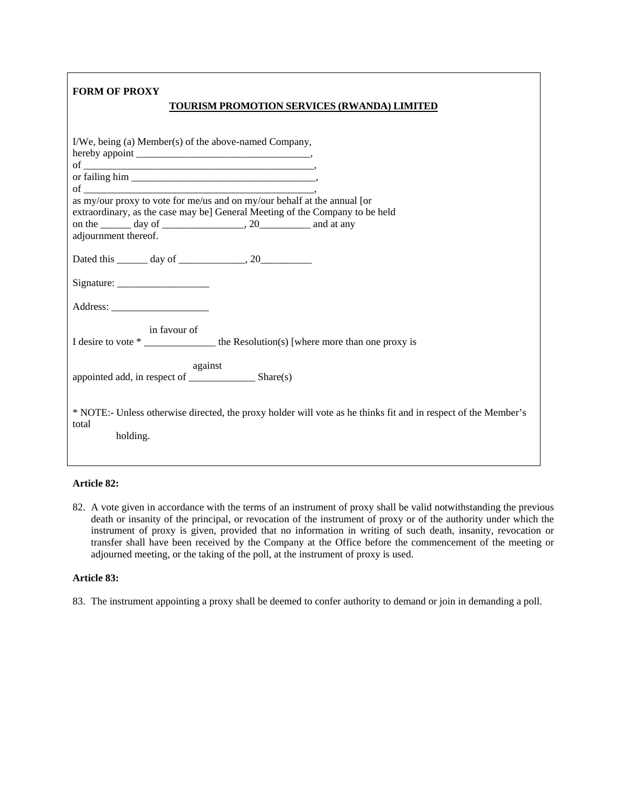| <b>FORM OF PROXY</b><br>TOURISM PROMOTION SERVICES (RWANDA) LIMITED                                                                                                                                                                                                                                                                  |
|--------------------------------------------------------------------------------------------------------------------------------------------------------------------------------------------------------------------------------------------------------------------------------------------------------------------------------------|
| I/We, being (a) Member(s) of the above-named Company,<br>of $\overline{\phantom{a}}$ ,<br>of $\overline{\phantom{a}}$ , $\overline{\phantom{a}}$<br>as my/our proxy to vote for me/us and on my/our behalf at the annual [or<br>extraordinary, as the case may be] General Meeting of the Company to be held<br>adjournment thereof. |
|                                                                                                                                                                                                                                                                                                                                      |
| Signature:                                                                                                                                                                                                                                                                                                                           |
| in favour of                                                                                                                                                                                                                                                                                                                         |
| against                                                                                                                                                                                                                                                                                                                              |
| * NOTE:- Unless otherwise directed, the proxy holder will vote as he thinks fit and in respect of the Member's<br>total<br>holding.                                                                                                                                                                                                  |

## **Article 82:**

82. A vote given in accordance with the terms of an instrument of proxy shall be valid notwithstanding the previous death or insanity of the principal, or revocation of the instrument of proxy or of the authority under which the instrument of proxy is given, provided that no information in writing of such death, insanity, revocation or transfer shall have been received by the Company at the Office before the commencement of the meeting or adjourned meeting, or the taking of the poll, at the instrument of proxy is used.

#### **Article 83:**

83. The instrument appointing a proxy shall be deemed to confer authority to demand or join in demanding a poll.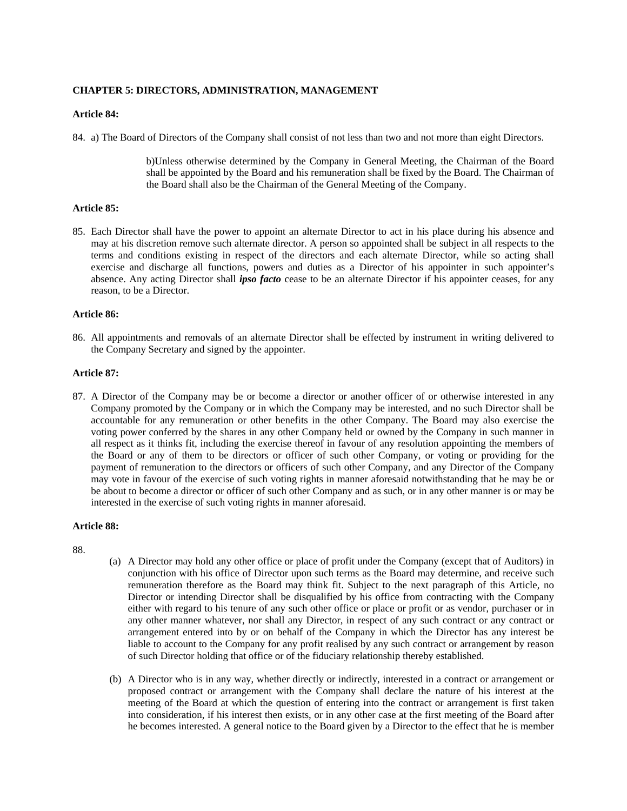## **CHAPTER 5: DIRECTORS, ADMINISTRATION, MANAGEMENT**

## **Article 84:**

84. a) The Board of Directors of the Company shall consist of not less than two and not more than eight Directors.

b)Unless otherwise determined by the Company in General Meeting, the Chairman of the Board shall be appointed by the Board and his remuneration shall be fixed by the Board. The Chairman of the Board shall also be the Chairman of the General Meeting of the Company.

## **Article 85:**

85. Each Director shall have the power to appoint an alternate Director to act in his place during his absence and may at his discretion remove such alternate director. A person so appointed shall be subject in all respects to the terms and conditions existing in respect of the directors and each alternate Director, while so acting shall exercise and discharge all functions, powers and duties as a Director of his appointer in such appointer's absence. Any acting Director shall *ipso facto* cease to be an alternate Director if his appointer ceases, for any reason, to be a Director.

#### **Article 86:**

86. All appointments and removals of an alternate Director shall be effected by instrument in writing delivered to the Company Secretary and signed by the appointer.

#### **Article 87:**

87. A Director of the Company may be or become a director or another officer of or otherwise interested in any Company promoted by the Company or in which the Company may be interested, and no such Director shall be accountable for any remuneration or other benefits in the other Company. The Board may also exercise the voting power conferred by the shares in any other Company held or owned by the Company in such manner in all respect as it thinks fit, including the exercise thereof in favour of any resolution appointing the members of the Board or any of them to be directors or officer of such other Company, or voting or providing for the payment of remuneration to the directors or officers of such other Company, and any Director of the Company may vote in favour of the exercise of such voting rights in manner aforesaid notwithstanding that he may be or be about to become a director or officer of such other Company and as such, or in any other manner is or may be interested in the exercise of such voting rights in manner aforesaid.

#### **Article 88:**

88.

- (a) A Director may hold any other office or place of profit under the Company (except that of Auditors) in conjunction with his office of Director upon such terms as the Board may determine, and receive such remuneration therefore as the Board may think fit. Subject to the next paragraph of this Article, no Director or intending Director shall be disqualified by his office from contracting with the Company either with regard to his tenure of any such other office or place or profit or as vendor, purchaser or in any other manner whatever, nor shall any Director, in respect of any such contract or any contract or arrangement entered into by or on behalf of the Company in which the Director has any interest be liable to account to the Company for any profit realised by any such contract or arrangement by reason of such Director holding that office or of the fiduciary relationship thereby established.
- (b) A Director who is in any way, whether directly or indirectly, interested in a contract or arrangement or proposed contract or arrangement with the Company shall declare the nature of his interest at the meeting of the Board at which the question of entering into the contract or arrangement is first taken into consideration, if his interest then exists, or in any other case at the first meeting of the Board after he becomes interested. A general notice to the Board given by a Director to the effect that he is member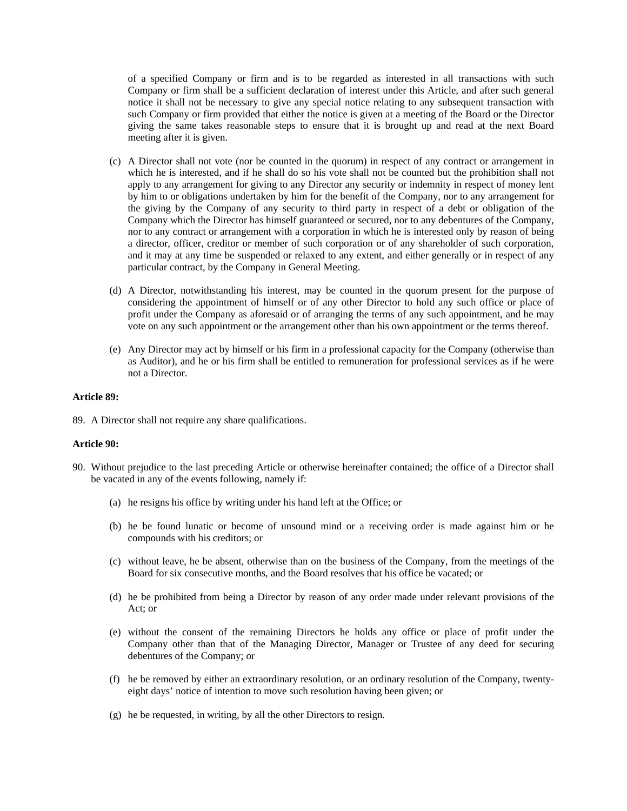of a specified Company or firm and is to be regarded as interested in all transactions with such Company or firm shall be a sufficient declaration of interest under this Article, and after such general notice it shall not be necessary to give any special notice relating to any subsequent transaction with such Company or firm provided that either the notice is given at a meeting of the Board or the Director giving the same takes reasonable steps to ensure that it is brought up and read at the next Board meeting after it is given.

- (c) A Director shall not vote (nor be counted in the quorum) in respect of any contract or arrangement in which he is interested, and if he shall do so his vote shall not be counted but the prohibition shall not apply to any arrangement for giving to any Director any security or indemnity in respect of money lent by him to or obligations undertaken by him for the benefit of the Company, nor to any arrangement for the giving by the Company of any security to third party in respect of a debt or obligation of the Company which the Director has himself guaranteed or secured, nor to any debentures of the Company, nor to any contract or arrangement with a corporation in which he is interested only by reason of being a director, officer, creditor or member of such corporation or of any shareholder of such corporation, and it may at any time be suspended or relaxed to any extent, and either generally or in respect of any particular contract, by the Company in General Meeting.
- (d) A Director, notwithstanding his interest, may be counted in the quorum present for the purpose of considering the appointment of himself or of any other Director to hold any such office or place of profit under the Company as aforesaid or of arranging the terms of any such appointment, and he may vote on any such appointment or the arrangement other than his own appointment or the terms thereof.
- (e) Any Director may act by himself or his firm in a professional capacity for the Company (otherwise than as Auditor), and he or his firm shall be entitled to remuneration for professional services as if he were not a Director.

#### **Article 89:**

89. A Director shall not require any share qualifications.

#### **Article 90:**

- 90. Without prejudice to the last preceding Article or otherwise hereinafter contained; the office of a Director shall be vacated in any of the events following, namely if:
	- (a) he resigns his office by writing under his hand left at the Office; or
	- (b) he be found lunatic or become of unsound mind or a receiving order is made against him or he compounds with his creditors; or
	- (c) without leave, he be absent, otherwise than on the business of the Company, from the meetings of the Board for six consecutive months, and the Board resolves that his office be vacated; or
	- (d) he be prohibited from being a Director by reason of any order made under relevant provisions of the Act; or
	- (e) without the consent of the remaining Directors he holds any office or place of profit under the Company other than that of the Managing Director, Manager or Trustee of any deed for securing debentures of the Company; or
	- (f) he be removed by either an extraordinary resolution, or an ordinary resolution of the Company, twentyeight days' notice of intention to move such resolution having been given; or
	- (g) he be requested, in writing, by all the other Directors to resign.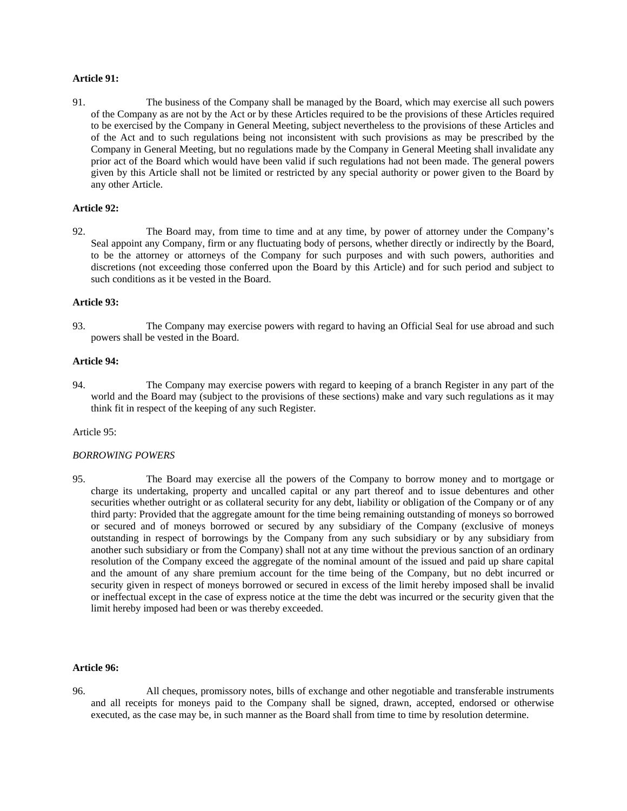#### **Article 91:**

91. The business of the Company shall be managed by the Board, which may exercise all such powers of the Company as are not by the Act or by these Articles required to be the provisions of these Articles required to be exercised by the Company in General Meeting, subject nevertheless to the provisions of these Articles and of the Act and to such regulations being not inconsistent with such provisions as may be prescribed by the Company in General Meeting, but no regulations made by the Company in General Meeting shall invalidate any prior act of the Board which would have been valid if such regulations had not been made. The general powers given by this Article shall not be limited or restricted by any special authority or power given to the Board by any other Article.

#### **Article 92:**

92. The Board may, from time to time and at any time, by power of attorney under the Company's Seal appoint any Company, firm or any fluctuating body of persons, whether directly or indirectly by the Board, to be the attorney or attorneys of the Company for such purposes and with such powers, authorities and discretions (not exceeding those conferred upon the Board by this Article) and for such period and subject to such conditions as it be vested in the Board.

#### **Article 93:**

93. The Company may exercise powers with regard to having an Official Seal for use abroad and such powers shall be vested in the Board.

#### **Article 94:**

94. The Company may exercise powers with regard to keeping of a branch Register in any part of the world and the Board may (subject to the provisions of these sections) make and vary such regulations as it may think fit in respect of the keeping of any such Register.

#### Article 95:

## *BORROWING POWERS*

95. The Board may exercise all the powers of the Company to borrow money and to mortgage or charge its undertaking, property and uncalled capital or any part thereof and to issue debentures and other securities whether outright or as collateral security for any debt, liability or obligation of the Company or of any third party: Provided that the aggregate amount for the time being remaining outstanding of moneys so borrowed or secured and of moneys borrowed or secured by any subsidiary of the Company (exclusive of moneys outstanding in respect of borrowings by the Company from any such subsidiary or by any subsidiary from another such subsidiary or from the Company) shall not at any time without the previous sanction of an ordinary resolution of the Company exceed the aggregate of the nominal amount of the issued and paid up share capital and the amount of any share premium account for the time being of the Company, but no debt incurred or security given in respect of moneys borrowed or secured in excess of the limit hereby imposed shall be invalid or ineffectual except in the case of express notice at the time the debt was incurred or the security given that the limit hereby imposed had been or was thereby exceeded.

#### **Article 96:**

96. All cheques, promissory notes, bills of exchange and other negotiable and transferable instruments and all receipts for moneys paid to the Company shall be signed, drawn, accepted, endorsed or otherwise executed, as the case may be, in such manner as the Board shall from time to time by resolution determine.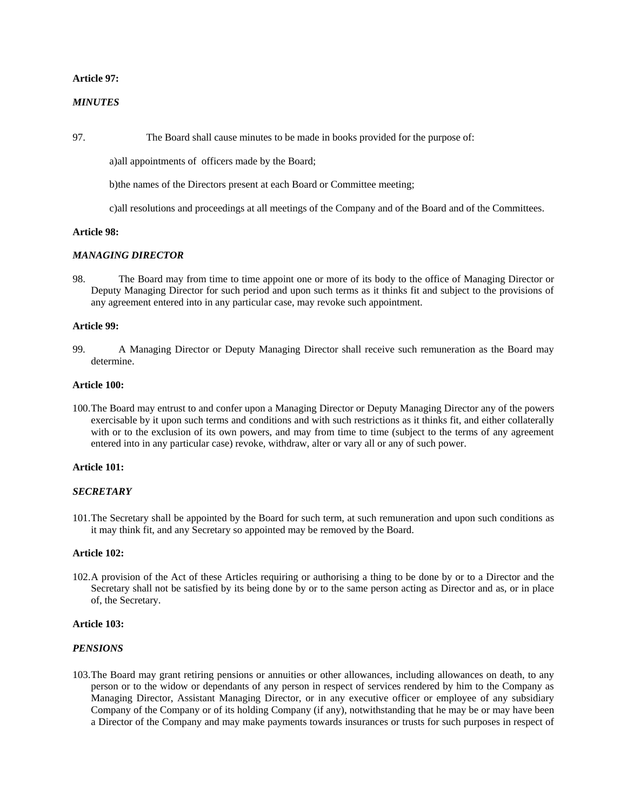#### **Article 97:**

## *MINUTES*

97. The Board shall cause minutes to be made in books provided for the purpose of:

a)all appointments of officers made by the Board;

b)the names of the Directors present at each Board or Committee meeting;

c)all resolutions and proceedings at all meetings of the Company and of the Board and of the Committees.

#### **Article 98:**

#### *MANAGING DIRECTOR*

98. The Board may from time to time appoint one or more of its body to the office of Managing Director or Deputy Managing Director for such period and upon such terms as it thinks fit and subject to the provisions of any agreement entered into in any particular case, may revoke such appointment.

#### **Article 99:**

99. A Managing Director or Deputy Managing Director shall receive such remuneration as the Board may determine.

#### **Article 100:**

100.The Board may entrust to and confer upon a Managing Director or Deputy Managing Director any of the powers exercisable by it upon such terms and conditions and with such restrictions as it thinks fit, and either collaterally with or to the exclusion of its own powers, and may from time to time (subject to the terms of any agreement entered into in any particular case) revoke, withdraw, alter or vary all or any of such power.

#### **Article 101:**

#### *SECRETARY*

101.The Secretary shall be appointed by the Board for such term, at such remuneration and upon such conditions as it may think fit, and any Secretary so appointed may be removed by the Board.

#### **Article 102:**

102.A provision of the Act of these Articles requiring or authorising a thing to be done by or to a Director and the Secretary shall not be satisfied by its being done by or to the same person acting as Director and as, or in place of, the Secretary.

#### **Article 103:**

#### *PENSIONS*

103.The Board may grant retiring pensions or annuities or other allowances, including allowances on death, to any person or to the widow or dependants of any person in respect of services rendered by him to the Company as Managing Director, Assistant Managing Director, or in any executive officer or employee of any subsidiary Company of the Company or of its holding Company (if any), notwithstanding that he may be or may have been a Director of the Company and may make payments towards insurances or trusts for such purposes in respect of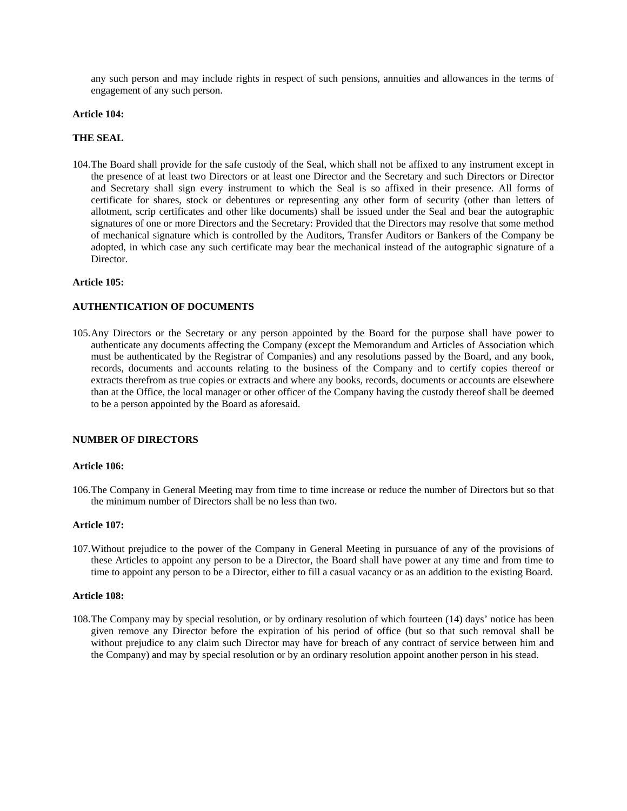any such person and may include rights in respect of such pensions, annuities and allowances in the terms of engagement of any such person.

#### **Article 104:**

#### **THE SEAL**

104.The Board shall provide for the safe custody of the Seal, which shall not be affixed to any instrument except in the presence of at least two Directors or at least one Director and the Secretary and such Directors or Director and Secretary shall sign every instrument to which the Seal is so affixed in their presence. All forms of certificate for shares, stock or debentures or representing any other form of security (other than letters of allotment, scrip certificates and other like documents) shall be issued under the Seal and bear the autographic signatures of one or more Directors and the Secretary: Provided that the Directors may resolve that some method of mechanical signature which is controlled by the Auditors, Transfer Auditors or Bankers of the Company be adopted, in which case any such certificate may bear the mechanical instead of the autographic signature of a Director.

#### **Article 105:**

## **AUTHENTICATION OF DOCUMENTS**

105.Any Directors or the Secretary or any person appointed by the Board for the purpose shall have power to authenticate any documents affecting the Company (except the Memorandum and Articles of Association which must be authenticated by the Registrar of Companies) and any resolutions passed by the Board, and any book, records, documents and accounts relating to the business of the Company and to certify copies thereof or extracts therefrom as true copies or extracts and where any books, records, documents or accounts are elsewhere than at the Office, the local manager or other officer of the Company having the custody thereof shall be deemed to be a person appointed by the Board as aforesaid.

#### **NUMBER OF DIRECTORS**

#### **Article 106:**

106.The Company in General Meeting may from time to time increase or reduce the number of Directors but so that the minimum number of Directors shall be no less than two.

#### **Article 107:**

107.Without prejudice to the power of the Company in General Meeting in pursuance of any of the provisions of these Articles to appoint any person to be a Director, the Board shall have power at any time and from time to time to appoint any person to be a Director, either to fill a casual vacancy or as an addition to the existing Board.

#### **Article 108:**

108.The Company may by special resolution, or by ordinary resolution of which fourteen (14) days' notice has been given remove any Director before the expiration of his period of office (but so that such removal shall be without prejudice to any claim such Director may have for breach of any contract of service between him and the Company) and may by special resolution or by an ordinary resolution appoint another person in his stead.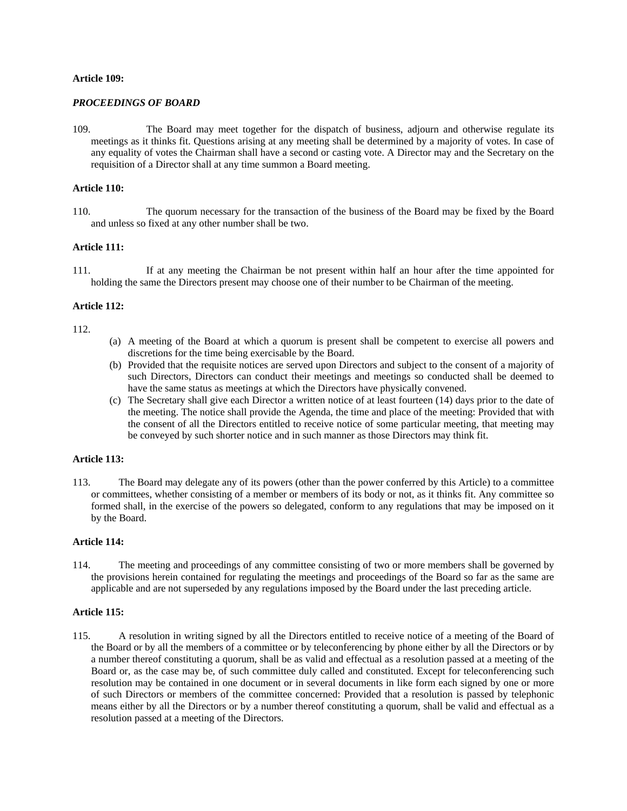#### **Article 109:**

#### *PROCEEDINGS OF BOARD*

109. The Board may meet together for the dispatch of business, adjourn and otherwise regulate its meetings as it thinks fit. Questions arising at any meeting shall be determined by a majority of votes. In case of any equality of votes the Chairman shall have a second or casting vote. A Director may and the Secretary on the requisition of a Director shall at any time summon a Board meeting.

## **Article 110:**

110. The quorum necessary for the transaction of the business of the Board may be fixed by the Board and unless so fixed at any other number shall be two.

## **Article 111:**

111. If at any meeting the Chairman be not present within half an hour after the time appointed for holding the same the Directors present may choose one of their number to be Chairman of the meeting.

#### **Article 112:**

## 112.

- (a) A meeting of the Board at which a quorum is present shall be competent to exercise all powers and discretions for the time being exercisable by the Board.
- (b) Provided that the requisite notices are served upon Directors and subject to the consent of a majority of such Directors, Directors can conduct their meetings and meetings so conducted shall be deemed to have the same status as meetings at which the Directors have physically convened.
- (c) The Secretary shall give each Director a written notice of at least fourteen (14) days prior to the date of the meeting. The notice shall provide the Agenda, the time and place of the meeting: Provided that with the consent of all the Directors entitled to receive notice of some particular meeting, that meeting may be conveyed by such shorter notice and in such manner as those Directors may think fit.

#### **Article 113:**

113. The Board may delegate any of its powers (other than the power conferred by this Article) to a committee or committees, whether consisting of a member or members of its body or not, as it thinks fit. Any committee so formed shall, in the exercise of the powers so delegated, conform to any regulations that may be imposed on it by the Board.

#### **Article 114:**

114. The meeting and proceedings of any committee consisting of two or more members shall be governed by the provisions herein contained for regulating the meetings and proceedings of the Board so far as the same are applicable and are not superseded by any regulations imposed by the Board under the last preceding article.

## **Article 115:**

115. A resolution in writing signed by all the Directors entitled to receive notice of a meeting of the Board of the Board or by all the members of a committee or by teleconferencing by phone either by all the Directors or by a number thereof constituting a quorum, shall be as valid and effectual as a resolution passed at a meeting of the Board or, as the case may be, of such committee duly called and constituted. Except for teleconferencing such resolution may be contained in one document or in several documents in like form each signed by one or more of such Directors or members of the committee concerned: Provided that a resolution is passed by telephonic means either by all the Directors or by a number thereof constituting a quorum, shall be valid and effectual as a resolution passed at a meeting of the Directors.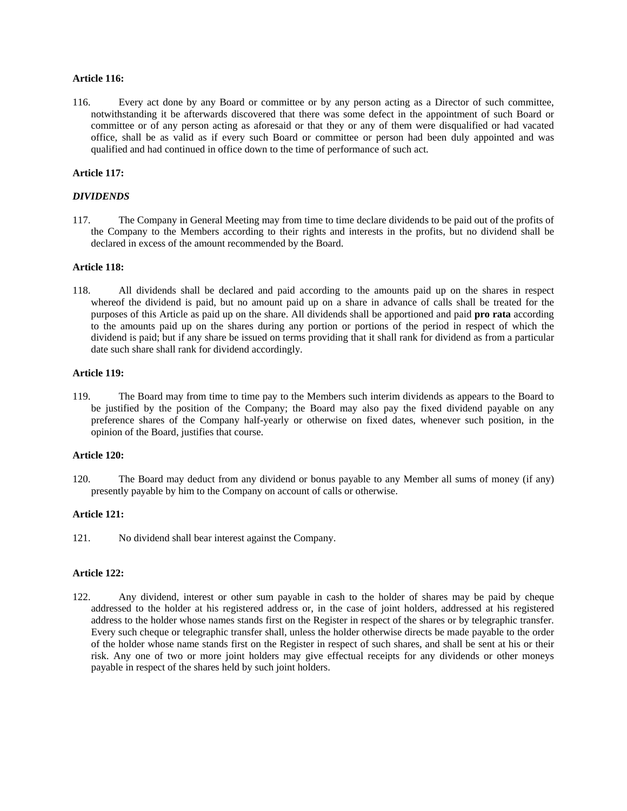## **Article 116:**

116. Every act done by any Board or committee or by any person acting as a Director of such committee, notwithstanding it be afterwards discovered that there was some defect in the appointment of such Board or committee or of any person acting as aforesaid or that they or any of them were disqualified or had vacated office, shall be as valid as if every such Board or committee or person had been duly appointed and was qualified and had continued in office down to the time of performance of such act.

## **Article 117:**

## *DIVIDENDS*

117. The Company in General Meeting may from time to time declare dividends to be paid out of the profits of the Company to the Members according to their rights and interests in the profits, but no dividend shall be declared in excess of the amount recommended by the Board.

#### **Article 118:**

118. All dividends shall be declared and paid according to the amounts paid up on the shares in respect whereof the dividend is paid, but no amount paid up on a share in advance of calls shall be treated for the purposes of this Article as paid up on the share. All dividends shall be apportioned and paid **pro rata** according to the amounts paid up on the shares during any portion or portions of the period in respect of which the dividend is paid; but if any share be issued on terms providing that it shall rank for dividend as from a particular date such share shall rank for dividend accordingly.

## **Article 119:**

119. The Board may from time to time pay to the Members such interim dividends as appears to the Board to be justified by the position of the Company; the Board may also pay the fixed dividend payable on any preference shares of the Company half-yearly or otherwise on fixed dates, whenever such position, in the opinion of the Board, justifies that course.

## **Article 120:**

120. The Board may deduct from any dividend or bonus payable to any Member all sums of money (if any) presently payable by him to the Company on account of calls or otherwise.

## **Article 121:**

121. No dividend shall bear interest against the Company.

## **Article 122:**

122. Any dividend, interest or other sum payable in cash to the holder of shares may be paid by cheque addressed to the holder at his registered address or, in the case of joint holders, addressed at his registered address to the holder whose names stands first on the Register in respect of the shares or by telegraphic transfer. Every such cheque or telegraphic transfer shall, unless the holder otherwise directs be made payable to the order of the holder whose name stands first on the Register in respect of such shares, and shall be sent at his or their risk. Any one of two or more joint holders may give effectual receipts for any dividends or other moneys payable in respect of the shares held by such joint holders.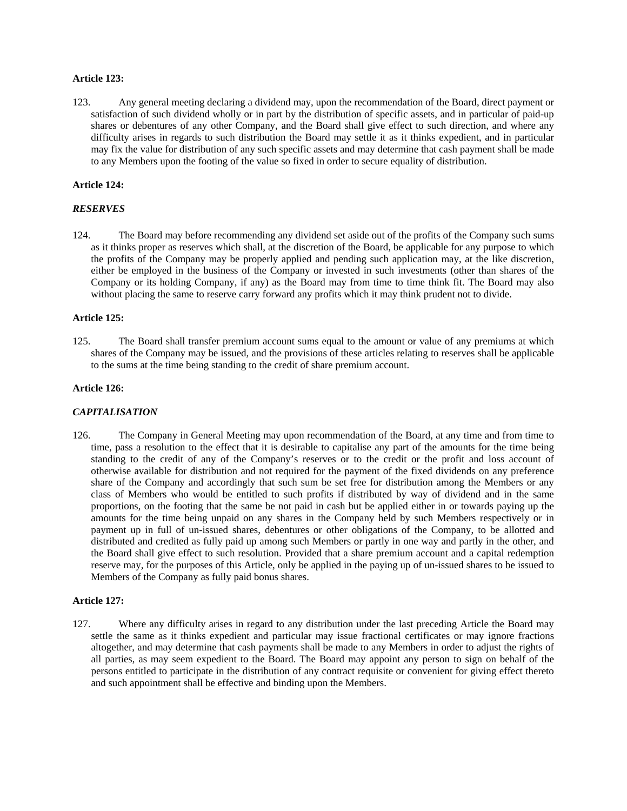#### **Article 123:**

123. Any general meeting declaring a dividend may, upon the recommendation of the Board, direct payment or satisfaction of such dividend wholly or in part by the distribution of specific assets, and in particular of paid-up shares or debentures of any other Company, and the Board shall give effect to such direction, and where any difficulty arises in regards to such distribution the Board may settle it as it thinks expedient, and in particular may fix the value for distribution of any such specific assets and may determine that cash payment shall be made to any Members upon the footing of the value so fixed in order to secure equality of distribution.

## **Article 124:**

## *RESERVES*

124. The Board may before recommending any dividend set aside out of the profits of the Company such sums as it thinks proper as reserves which shall, at the discretion of the Board, be applicable for any purpose to which the profits of the Company may be properly applied and pending such application may, at the like discretion, either be employed in the business of the Company or invested in such investments (other than shares of the Company or its holding Company, if any) as the Board may from time to time think fit. The Board may also without placing the same to reserve carry forward any profits which it may think prudent not to divide.

#### **Article 125:**

125. The Board shall transfer premium account sums equal to the amount or value of any premiums at which shares of the Company may be issued, and the provisions of these articles relating to reserves shall be applicable to the sums at the time being standing to the credit of share premium account.

#### **Article 126:**

## *CAPITALISATION*

126. The Company in General Meeting may upon recommendation of the Board, at any time and from time to time, pass a resolution to the effect that it is desirable to capitalise any part of the amounts for the time being standing to the credit of any of the Company's reserves or to the credit or the profit and loss account of otherwise available for distribution and not required for the payment of the fixed dividends on any preference share of the Company and accordingly that such sum be set free for distribution among the Members or any class of Members who would be entitled to such profits if distributed by way of dividend and in the same proportions, on the footing that the same be not paid in cash but be applied either in or towards paying up the amounts for the time being unpaid on any shares in the Company held by such Members respectively or in payment up in full of un-issued shares, debentures or other obligations of the Company, to be allotted and distributed and credited as fully paid up among such Members or partly in one way and partly in the other, and the Board shall give effect to such resolution. Provided that a share premium account and a capital redemption reserve may, for the purposes of this Article, only be applied in the paying up of un-issued shares to be issued to Members of the Company as fully paid bonus shares.

#### **Article 127:**

127. Where any difficulty arises in regard to any distribution under the last preceding Article the Board may settle the same as it thinks expedient and particular may issue fractional certificates or may ignore fractions altogether, and may determine that cash payments shall be made to any Members in order to adjust the rights of all parties, as may seem expedient to the Board. The Board may appoint any person to sign on behalf of the persons entitled to participate in the distribution of any contract requisite or convenient for giving effect thereto and such appointment shall be effective and binding upon the Members.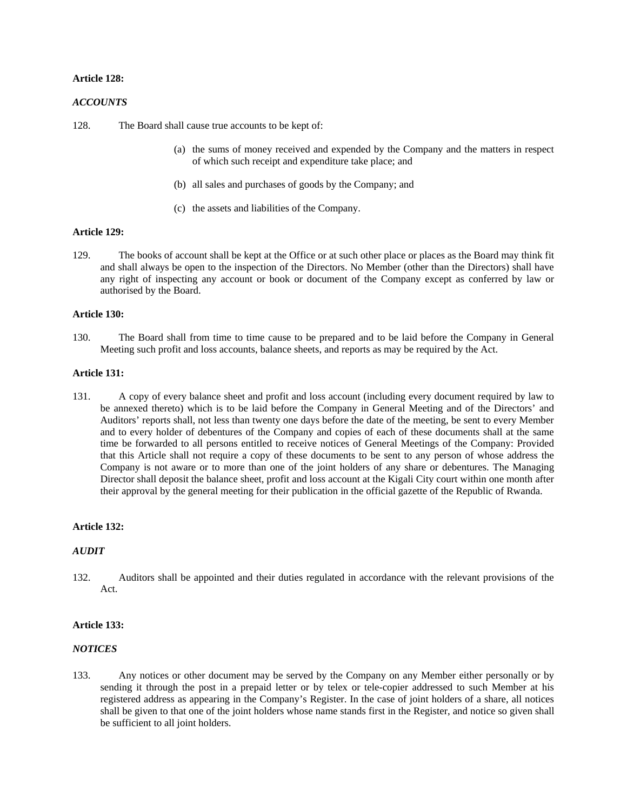## **Article 128:**

#### *ACCOUNTS*

128. The Board shall cause true accounts to be kept of:

- (a) the sums of money received and expended by the Company and the matters in respect of which such receipt and expenditure take place; and
- (b) all sales and purchases of goods by the Company; and
- (c) the assets and liabilities of the Company.

## **Article 129:**

129. The books of account shall be kept at the Office or at such other place or places as the Board may think fit and shall always be open to the inspection of the Directors. No Member (other than the Directors) shall have any right of inspecting any account or book or document of the Company except as conferred by law or authorised by the Board.

#### **Article 130:**

130. The Board shall from time to time cause to be prepared and to be laid before the Company in General Meeting such profit and loss accounts, balance sheets, and reports as may be required by the Act.

#### **Article 131:**

131. A copy of every balance sheet and profit and loss account (including every document required by law to be annexed thereto) which is to be laid before the Company in General Meeting and of the Directors' and Auditors' reports shall, not less than twenty one days before the date of the meeting, be sent to every Member and to every holder of debentures of the Company and copies of each of these documents shall at the same time be forwarded to all persons entitled to receive notices of General Meetings of the Company: Provided that this Article shall not require a copy of these documents to be sent to any person of whose address the Company is not aware or to more than one of the joint holders of any share or debentures. The Managing Director shall deposit the balance sheet, profit and loss account at the Kigali City court within one month after their approval by the general meeting for their publication in the official gazette of the Republic of Rwanda.

#### **Article 132:**

#### *AUDIT*

132. Auditors shall be appointed and their duties regulated in accordance with the relevant provisions of the Act.

## **Article 133:**

## *NOTICES*

133. Any notices or other document may be served by the Company on any Member either personally or by sending it through the post in a prepaid letter or by telex or tele-copier addressed to such Member at his registered address as appearing in the Company's Register. In the case of joint holders of a share, all notices shall be given to that one of the joint holders whose name stands first in the Register, and notice so given shall be sufficient to all joint holders.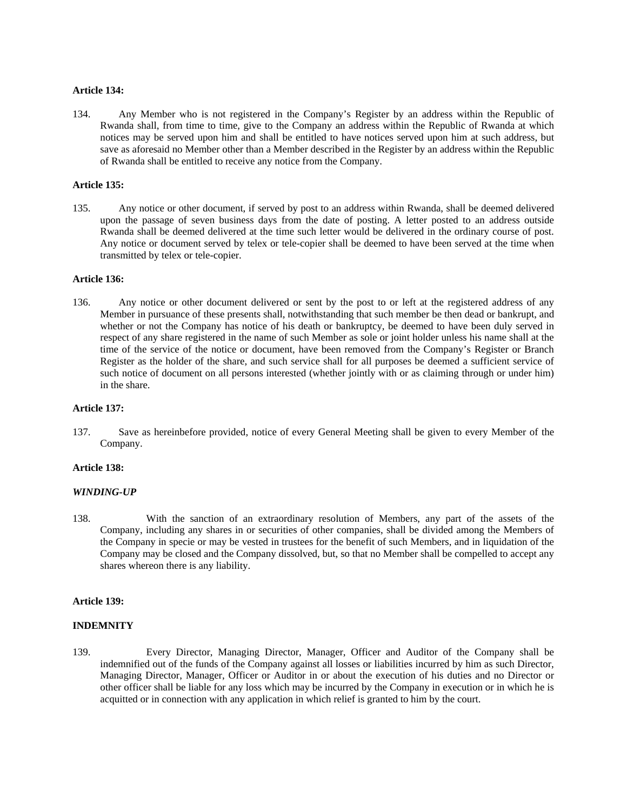#### **Article 134:**

134. Any Member who is not registered in the Company's Register by an address within the Republic of Rwanda shall, from time to time, give to the Company an address within the Republic of Rwanda at which notices may be served upon him and shall be entitled to have notices served upon him at such address, but save as aforesaid no Member other than a Member described in the Register by an address within the Republic of Rwanda shall be entitled to receive any notice from the Company.

## **Article 135:**

135. Any notice or other document, if served by post to an address within Rwanda, shall be deemed delivered upon the passage of seven business days from the date of posting. A letter posted to an address outside Rwanda shall be deemed delivered at the time such letter would be delivered in the ordinary course of post. Any notice or document served by telex or tele-copier shall be deemed to have been served at the time when transmitted by telex or tele-copier.

#### **Article 136:**

136. Any notice or other document delivered or sent by the post to or left at the registered address of any Member in pursuance of these presents shall, notwithstanding that such member be then dead or bankrupt, and whether or not the Company has notice of his death or bankruptcy, be deemed to have been duly served in respect of any share registered in the name of such Member as sole or joint holder unless his name shall at the time of the service of the notice or document, have been removed from the Company's Register or Branch Register as the holder of the share, and such service shall for all purposes be deemed a sufficient service of such notice of document on all persons interested (whether jointly with or as claiming through or under him) in the share.

#### **Article 137:**

137. Save as hereinbefore provided, notice of every General Meeting shall be given to every Member of the Company.

## **Article 138:**

#### *WINDING-UP*

138. With the sanction of an extraordinary resolution of Members, any part of the assets of the Company, including any shares in or securities of other companies, shall be divided among the Members of the Company in specie or may be vested in trustees for the benefit of such Members, and in liquidation of the Company may be closed and the Company dissolved, but, so that no Member shall be compelled to accept any shares whereon there is any liability.

#### **Article 139:**

#### **INDEMNITY**

139. Every Director, Managing Director, Manager, Officer and Auditor of the Company shall be indemnified out of the funds of the Company against all losses or liabilities incurred by him as such Director, Managing Director, Manager, Officer or Auditor in or about the execution of his duties and no Director or other officer shall be liable for any loss which may be incurred by the Company in execution or in which he is acquitted or in connection with any application in which relief is granted to him by the court.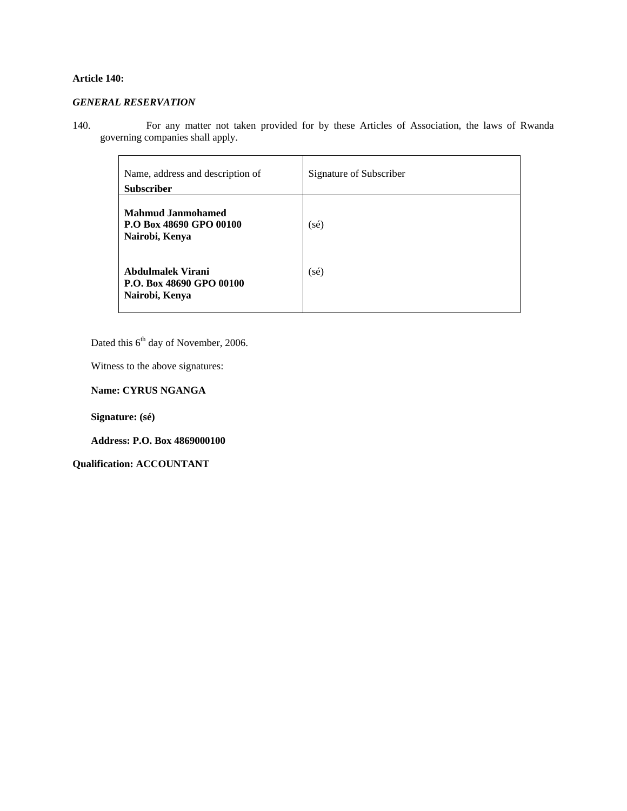## **Article 140:**

## *GENERAL RESERVATION*

140. For any matter not taken provided for by these Articles of Association, the laws of Rwanda governing companies shall apply.

| Name, address and description of<br><b>Subscriber</b>                 | Signature of Subscriber |
|-----------------------------------------------------------------------|-------------------------|
| <b>Mahmud Janmohamed</b><br>P.O Box 48690 GPO 00100<br>Nairobi, Kenya | $(s\acute{e})$          |
| Abdulmalek Virani<br>P.O. Box 48690 GPO 00100<br>Nairobi, Kenya       | $(s\acute{e})$          |

Dated this 6<sup>th</sup> day of November, 2006.

Witness to the above signatures:

**Name: CYRUS NGANGA** 

**Signature: (sé)** 

**Address: P.O. Box 4869000100** 

**Qualification: ACCOUNTANT**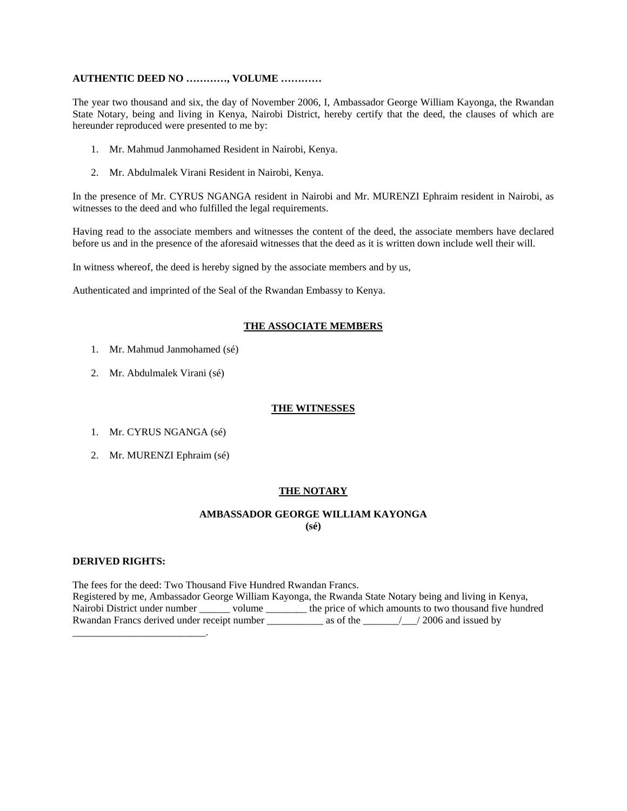## **AUTHENTIC DEED NO …………, VOLUME …………**

The year two thousand and six, the day of November 2006, I, Ambassador George William Kayonga, the Rwandan State Notary, being and living in Kenya, Nairobi District, hereby certify that the deed, the clauses of which are hereunder reproduced were presented to me by:

- 1. Mr. Mahmud Janmohamed Resident in Nairobi, Kenya.
- 2. Mr. Abdulmalek Virani Resident in Nairobi, Kenya.

In the presence of Mr. CYRUS NGANGA resident in Nairobi and Mr. MURENZI Ephraim resident in Nairobi, as witnesses to the deed and who fulfilled the legal requirements.

Having read to the associate members and witnesses the content of the deed, the associate members have declared before us and in the presence of the aforesaid witnesses that the deed as it is written down include well their will.

In witness whereof, the deed is hereby signed by the associate members and by us,

Authenticated and imprinted of the Seal of the Rwandan Embassy to Kenya.

## **THE ASSOCIATE MEMBERS**

- 1. Mr. Mahmud Janmohamed (sé)
- 2. Mr. Abdulmalek Virani (sé)

## **THE WITNESSES**

- 1. Mr. CYRUS NGANGA (sé)
- 2. Mr. MURENZI Ephraim (sé)

## **THE NOTARY**

## **AMBASSADOR GEORGE WILLIAM KAYONGA (sé)**

#### **DERIVED RIGHTS:**

The fees for the deed: Two Thousand Five Hundred Rwandan Francs. Registered by me, Ambassador George William Kayonga, the Rwanda State Notary being and living in Kenya, Nairobi District under number \_\_\_\_\_\_ volume \_\_\_\_\_\_\_\_ the price of which amounts to two thousand five hundred Rwandan Francs derived under receipt number \_\_\_\_\_\_\_\_\_\_\_ as of the \_\_\_\_\_\_\_/\_\_\_/ 2006 and issued by \_\_\_\_\_\_\_\_\_\_\_\_\_\_\_\_\_\_\_\_\_\_\_\_\_\_.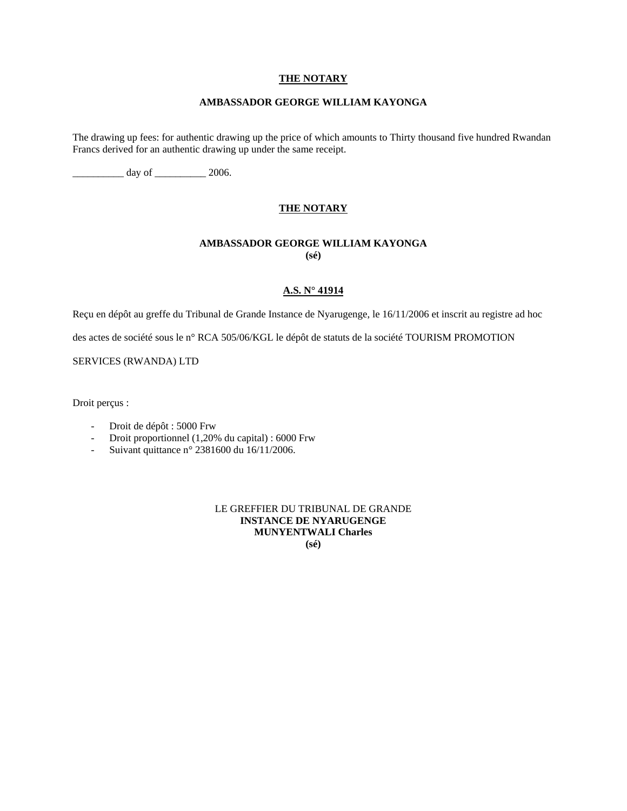## **THE NOTARY**

## **AMBASSADOR GEORGE WILLIAM KAYONGA**

The drawing up fees: for authentic drawing up the price of which amounts to Thirty thousand five hundred Rwandan Francs derived for an authentic drawing up under the same receipt.

 $\frac{1}{2006}$ .

## **THE NOTARY**

## **AMBASSADOR GEORGE WILLIAM KAYONGA (sé)**

## **A.S. N° 41914**

Reçu en dépôt au greffe du Tribunal de Grande Instance de Nyarugenge, le 16/11/2006 et inscrit au registre ad hoc

des actes de société sous le n° RCA 505/06/KGL le dépôt de statuts de la société TOURISM PROMOTION

SERVICES (RWANDA) LTD

Droit perçus :

- Droit de dépôt : 5000 Frw
- Droit proportionnel (1,20% du capital) : 6000 Frw
- Suivant quittance n° 2381600 du 16/11/2006.

# LE GREFFIER DU TRIBUNAL DE GRANDE **INSTANCE DE NYARUGENGE MUNYENTWALI Charles**

**(sé)**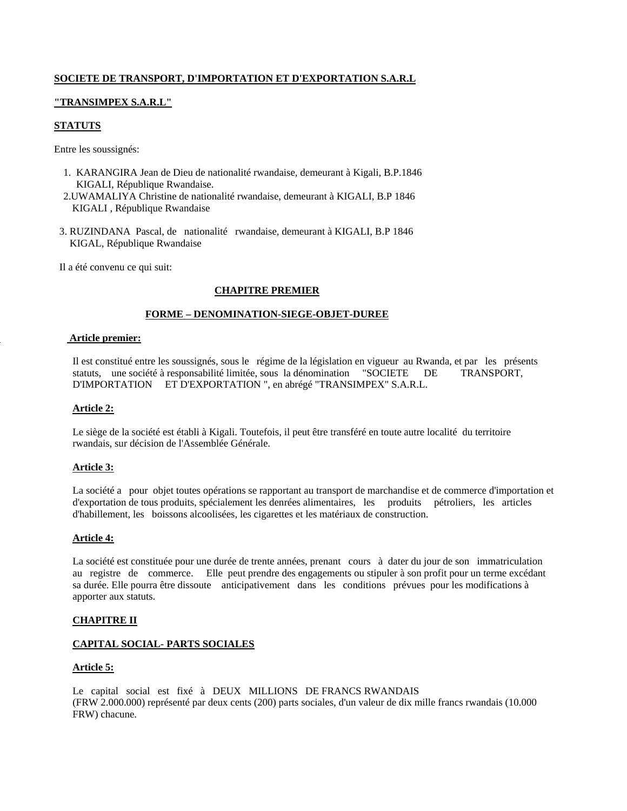## **SOCIETE DE TRANSPORT, D'IMPORTATION ET D'EXPORTATION S.A.R.L**

## **"TRANSIMPEX S.A.R.L"**

## **STATUTS**

Entre les soussignés:

- 1. KARANGIRA Jean de Dieu de nationalité rwandaise, demeurant à Kigali, B.P.1846 KIGALI, République Rwandaise.
- 2.UWAMALIYA Christine de nationalité rwandaise, demeurant à KIGALI, B.P 1846 KIGALI , République Rwandaise
- 3. RUZINDANA Pascal, de nationalité rwandaise, demeurant à KIGALI, B.P 1846 KIGAL, République Rwandaise

Il a été convenu ce qui suit:

## **CHAPITRE PREMIER**

#### **FORME – DENOMINATION-SIEGE-OBJET-DUREE**

#### **Article premier:**

Il est constitué entre les soussignés, sous le régime de la législation en vigueur au Rwanda, et par les présents statuts, une société à responsabilité limitée, sous la dénomination "SOCIETE DE TRANSPORT, D'IMPORTATION ET D'EXPORTATION ", en abrégé "TRANSIMPEX" S.A.R.L.

#### **Article 2:**

Le siège de la société est établi à Kigali. Toutefois, il peut être transféré en toute autre localité du territoire rwandais, sur décision de l'Assemblée Générale.

#### **Article 3:**

La société a pour objet toutes opérations se rapportant au transport de marchandise et de commerce d'importation et d'exportation de tous produits, spécialement les denrées alimentaires, les produits pétroliers, les articles d'habillement, les boissons alcoolisées, les cigarettes et les matériaux de construction.

#### **Article 4:**

La société est constituée pour une durée de trente années, prenant cours à dater du jour de son immatriculation au registre de commerce. Elle peut prendre des engagements ou stipuler à son profit pour un terme excédant sa durée. Elle pourra être dissoute anticipativement dans les conditions prévues pour les modifications à apporter aux statuts.

#### **CHAPITRE II**

## **CAPITAL SOCIAL- PARTS SOCIALES**

#### **Article 5:**

Le capital social est fixé à DEUX MILLIONS DE FRANCS RWANDAIS (FRW 2.000.000) représenté par deux cents (200) parts sociales, d'un valeur de dix mille francs rwandais (10.000 FRW) chacune.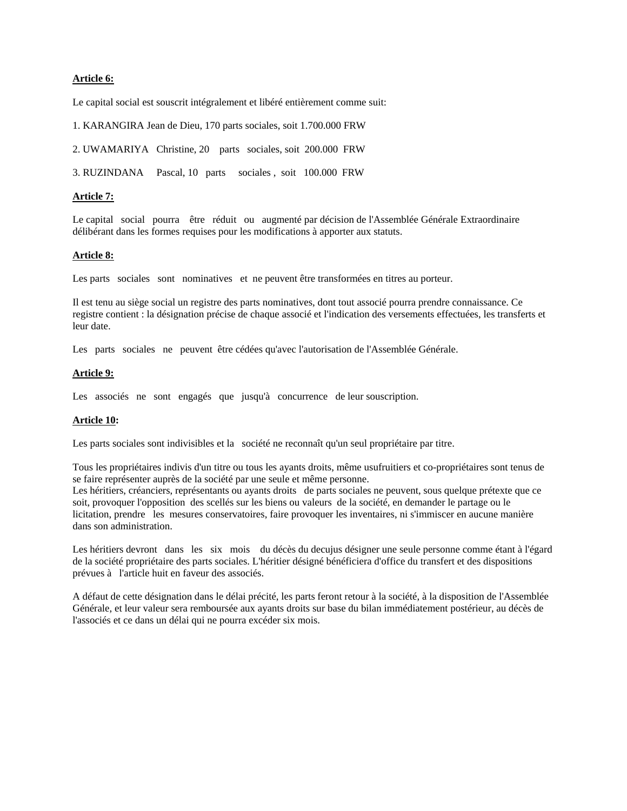## **Article 6:**

Le capital social est souscrit intégralement et libéré entièrement comme suit:

1. KARANGIRA Jean de Dieu, 170 parts sociales, soit 1.700.000 FRW

2. UWAMARIYA Christine, 20 parts sociales, soit 200.000 FRW

3. RUZINDANA Pascal, 10 parts sociales , soit 100.000 FRW

#### **Article 7:**

Le capital social pourra être réduit ou augmenté par décision de l'Assemblée Générale Extraordinaire délibérant dans les formes requises pour les modifications à apporter aux statuts.

#### **Article 8:**

Les parts sociales sont nominatives et ne peuvent être transformées en titres au porteur.

Il est tenu au siège social un registre des parts nominatives, dont tout associé pourra prendre connaissance. Ce registre contient : la désignation précise de chaque associé et l'indication des versements effectuées, les transferts et leur date.

Les parts sociales ne peuvent être cédées qu'avec l'autorisation de l'Assemblée Générale.

#### **Article 9:**

Les associés ne sont engagés que jusqu'à concurrence de leur souscription.

#### **Article 10:**

Les parts sociales sont indivisibles et la société ne reconnaît qu'un seul propriétaire par titre.

Tous les propriétaires indivis d'un titre ou tous les ayants droits, même usufruitiers et co-propriétaires sont tenus de se faire représenter auprès de la société par une seule et même personne.

Les héritiers, créanciers, représentants ou ayants droits de parts sociales ne peuvent, sous quelque prétexte que ce soit, provoquer l'opposition des scellés sur les biens ou valeurs de la société, en demander le partage ou le licitation, prendre les mesures conservatoires, faire provoquer les inventaires, ni s'immiscer en aucune manière dans son administration.

Les héritiers devront dans les six mois du décès du decujus désigner une seule personne comme étant à l'égard de la société propriétaire des parts sociales. L'héritier désigné bénéficiera d'office du transfert et des dispositions prévues à l'article huit en faveur des associés.

A défaut de cette désignation dans le délai précité, les parts feront retour à la société, à la disposition de l'Assemblée Générale, et leur valeur sera remboursée aux ayants droits sur base du bilan immédiatement postérieur, au décès de l'associés et ce dans un délai qui ne pourra excéder six mois.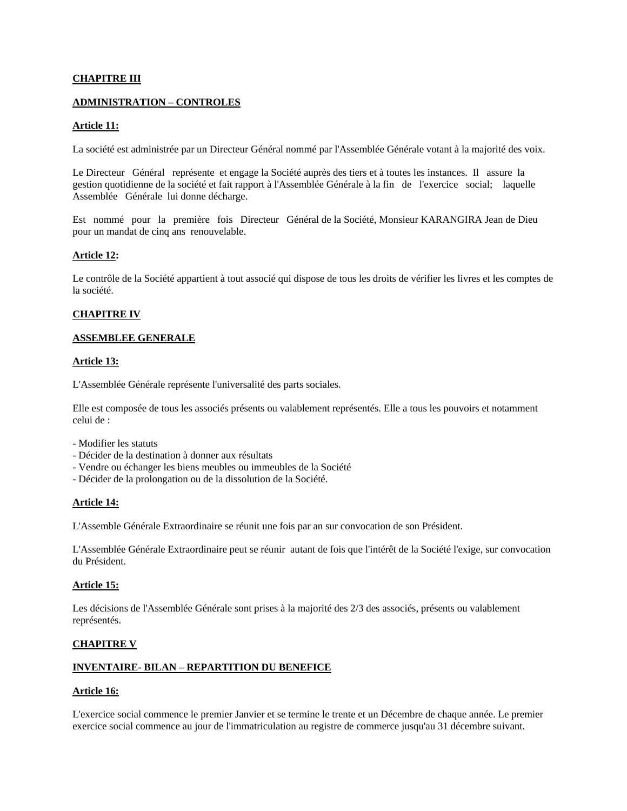## **CHAPITRE III**

#### **ADMINISTRATION – CONTROLES**

## **Article 11:**

La société est administrée par un Directeur Général nommé par l'Assemblée Générale votant à la majorité des voix.

Le Directeur Général représente et engage la Société auprès des tiers et à toutes les instances. Il assure la gestion quotidienne de la société et fait rapport à l'Assemblée Générale à la fin de l'exercice social; laquelle Assemblée Générale lui donne décharge.

Est nommé pour la première fois Directeur Général de la Société, Monsieur KARANGIRA Jean de Dieu pour un mandat de cinq ans renouvelable.

#### **Article 12:**

Le contrôle de la Société appartient à tout associé qui dispose de tous les droits de vérifier les livres et les comptes de la société.

## **CHAPITRE IV**

#### **ASSEMBLEE GENERALE**

#### **Article 13:**

L'Assemblée Générale représente l'universalité des parts sociales.

Elle est composée de tous les associés présents ou valablement représentés. Elle a tous les pouvoirs et notamment celui de :

- Modifier les statuts
- Décider de la destination à donner aux résultats
- Vendre ou échanger les biens meubles ou immeubles de la Société
- Décider de la prolongation ou de la dissolution de la Société.

#### **Article 14:**

L'Assemble Générale Extraordinaire se réunit une fois par an sur convocation de son Président.

L'Assemblée Générale Extraordinaire peut se réunir autant de fois que l'intérêt de la Société l'exige, sur convocation du Président.

#### **Article 15:**

Les décisions de l'Assemblée Générale sont prises à la majorité des 2/3 des associés, présents ou valablement représentés.

#### **CHAPITRE V**

## **INVENTAIRE- BILAN – REPARTITION DU BENEFICE**

#### **Article 16:**

L'exercice social commence le premier Janvier et se termine le trente et un Décembre de chaque année. Le premier exercice social commence au jour de l'immatriculation au registre de commerce jusqu'au 31 décembre suivant.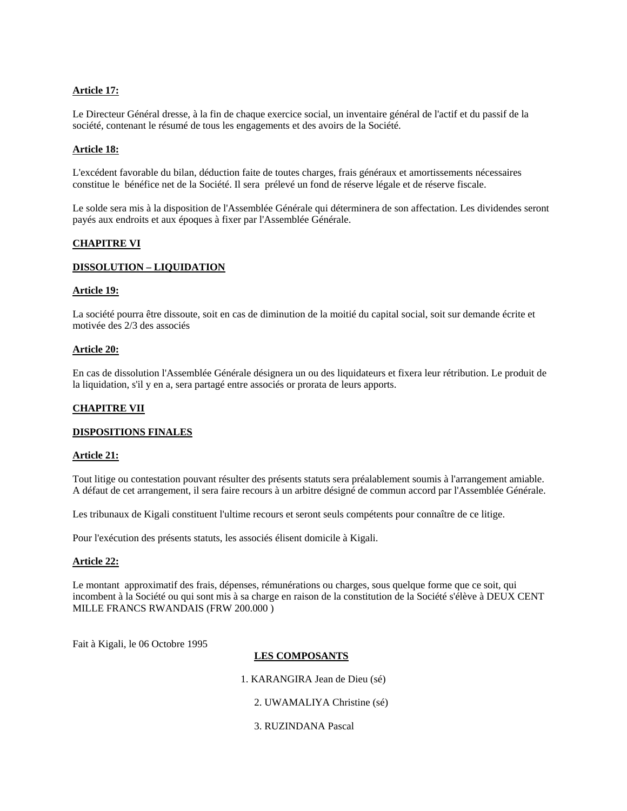## **Article 17:**

Le Directeur Général dresse, à la fin de chaque exercice social, un inventaire général de l'actif et du passif de la société, contenant le résumé de tous les engagements et des avoirs de la Société.

## **Article 18:**

L'excédent favorable du bilan, déduction faite de toutes charges, frais généraux et amortissements nécessaires constitue le bénéfice net de la Société. Il sera prélevé un fond de réserve légale et de réserve fiscale.

Le solde sera mis à la disposition de l'Assemblée Générale qui déterminera de son affectation. Les dividendes seront payés aux endroits et aux époques à fixer par l'Assemblée Générale.

#### **CHAPITRE VI**

## **DISSOLUTION – LIQUIDATION**

#### **Article 19:**

La société pourra être dissoute, soit en cas de diminution de la moitié du capital social, soit sur demande écrite et motivée des 2/3 des associés

#### **Article 20:**

En cas de dissolution l'Assemblée Générale désignera un ou des liquidateurs et fixera leur rétribution. Le produit de la liquidation, s'il y en a, sera partagé entre associés or prorata de leurs apports.

## **CHAPITRE VII**

#### **DISPOSITIONS FINALES**

#### **Article 21:**

Tout litige ou contestation pouvant résulter des présents statuts sera préalablement soumis à l'arrangement amiable. A défaut de cet arrangement, il sera faire recours à un arbitre désigné de commun accord par l'Assemblée Générale.

Les tribunaux de Kigali constituent l'ultime recours et seront seuls compétents pour connaître de ce litige.

Pour l'exécution des présents statuts, les associés élisent domicile à Kigali.

#### **Article 22:**

Le montant approximatif des frais, dépenses, rémunérations ou charges, sous quelque forme que ce soit, qui incombent à la Société ou qui sont mis à sa charge en raison de la constitution de la Société s'élève à DEUX CENT MILLE FRANCS RWANDAIS (FRW 200.000 )

Fait à Kigali, le 06 Octobre 1995

## **LES COMPOSANTS**

1. KARANGIRA Jean de Dieu (sé)

2. UWAMALIYA Christine (sé)

3. RUZINDANA Pascal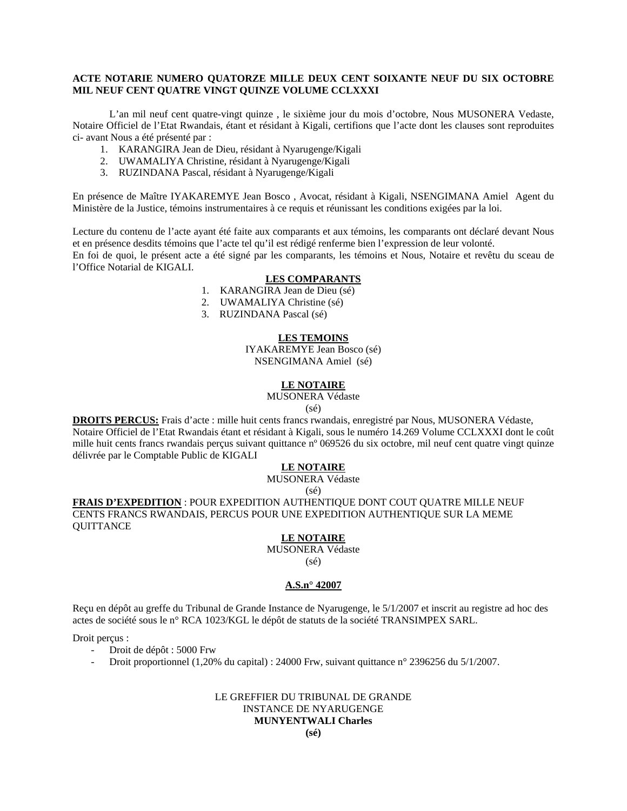## **ACTE NOTARIE NUMERO QUATORZE MILLE DEUX CENT SOIXANTE NEUF DU SIX OCTOBRE MIL NEUF CENT QUATRE VINGT QUINZE VOLUME CCLXXXI**

 L'an mil neuf cent quatre-vingt quinze , le sixième jour du mois d'octobre, Nous MUSONERA Vedaste, Notaire Officiel de l'Etat Rwandais, étant et résidant à Kigali, certifions que l'acte dont les clauses sont reproduites ci- avant Nous a été présenté par :

- 1. KARANGIRA Jean de Dieu, résidant à Nyarugenge/Kigali
- 2. UWAMALIYA Christine, résidant à Nyarugenge/Kigali
- 3. RUZINDANA Pascal, résidant à Nyarugenge/Kigali

En présence de Maître IYAKAREMYE Jean Bosco , Avocat, résidant à Kigali, NSENGIMANA Amiel Agent du Ministère de la Justice, témoins instrumentaires à ce requis et réunissant les conditions exigées par la loi.

Lecture du contenu de l'acte ayant été faite aux comparants et aux témoins, les comparants ont déclaré devant Nous et en présence desdits témoins que l'acte tel qu'il est rédigé renferme bien l'expression de leur volonté. En foi de quoi, le présent acte a été signé par les comparants, les témoins et Nous, Notaire et revêtu du sceau de l'Office Notarial de KIGALI.

#### **LES COMPARANTS**

- 1. KARANGIRA Jean de Dieu (sé)
- 2. UWAMALIYA Christine (sé)
- 3. RUZINDANA Pascal (sé)

## **LES TEMOINS**

IYAKAREMYE Jean Bosco (sé) NSENGIMANA Amiel (sé)

## **LE NOTAIRE**

MUSONERA Védaste

(sé)

**DROITS PERCUS:** Frais d'acte : mille huit cents francs rwandais, enregistré par Nous, MUSONERA Védaste, Notaire Officiel de l'Etat Rwandais étant et résidant à Kigali, sous le numéro 14.269 Volume CCLXXXI dont le coût mille huit cents francs rwandais perçus suivant quittance n° 069526 du six octobre, mil neuf cent quatre vingt quinze délivrée par le Comptable Public de KIGALI

## **LE NOTAIRE**

# MUSONERA Védaste

(sé)

**FRAIS D'EXPEDITION** : POUR EXPEDITION AUTHENTIQUE DONT COUT QUATRE MILLE NEUF CENTS FRANCS RWANDAIS, PERCUS POUR UNE EXPEDITION AUTHENTIQUE SUR LA MEME **OUITTANCE** 

## **LE NOTAIRE**

MUSONERA Védaste (sé)

## **A.S.n° 42007**

Reçu en dépôt au greffe du Tribunal de Grande Instance de Nyarugenge, le 5/1/2007 et inscrit au registre ad hoc des actes de société sous le n° RCA 1023/KGL le dépôt de statuts de la société TRANSIMPEX SARL.

Droit perçus :

- Droit de dépôt : 5000 Frw
- Droit proportionnel (1,20% du capital) : 24000 Frw, suivant quittance n° 2396256 du 5/1/2007.

## LE GREFFIER DU TRIBUNAL DE GRANDE INSTANCE DE NYARUGENGE **MUNYENTWALI Charles**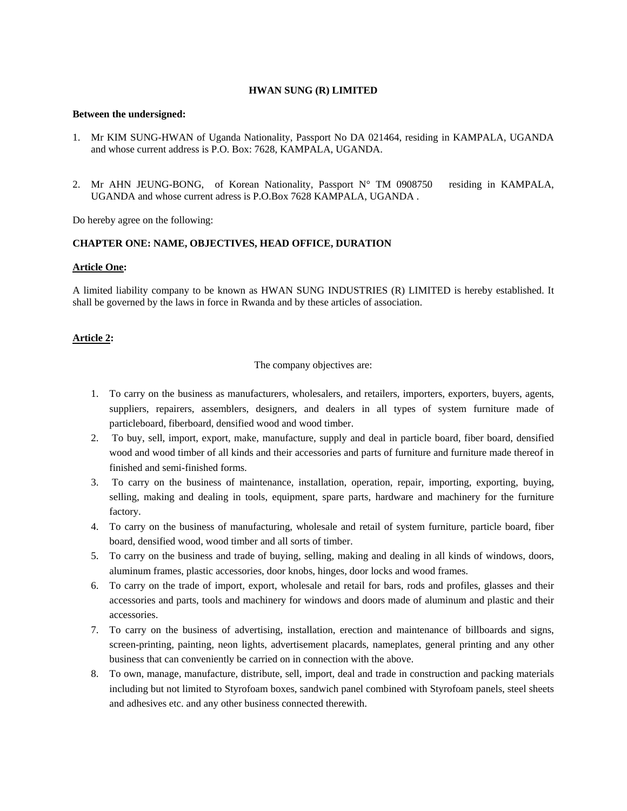## **HWAN SUNG (R) LIMITED**

#### **Between the undersigned:**

- 1. Mr KIM SUNG-HWAN of Uganda Nationality, Passport No DA 021464, residing in KAMPALA, UGANDA and whose current address is P.O. Box: 7628, KAMPALA, UGANDA.
- 2. Mr AHN JEUNG-BONG, of Korean Nationality, Passport N° TM 0908750 residing in KAMPALA, UGANDA and whose current adress is P.O.Box 7628 KAMPALA, UGANDA .

Do hereby agree on the following:

## **CHAPTER ONE: NAME, OBJECTIVES, HEAD OFFICE, DURATION**

#### **Article One:**

A limited liability company to be known as HWAN SUNG INDUSTRIES (R) LIMITED is hereby established. It shall be governed by the laws in force in Rwanda and by these articles of association.

## **Article 2:**

The company objectives are:

- 1. To carry on the business as manufacturers, wholesalers, and retailers, importers, exporters, buyers, agents, suppliers, repairers, assemblers, designers, and dealers in all types of system furniture made of particleboard, fiberboard, densified wood and wood timber.
- 2. To buy, sell, import, export, make, manufacture, supply and deal in particle board, fiber board, densified wood and wood timber of all kinds and their accessories and parts of furniture and furniture made thereof in finished and semi-finished forms.
- 3. To carry on the business of maintenance, installation, operation, repair, importing, exporting, buying, selling, making and dealing in tools, equipment, spare parts, hardware and machinery for the furniture factory.
- 4. To carry on the business of manufacturing, wholesale and retail of system furniture, particle board, fiber board, densified wood, wood timber and all sorts of timber.
- 5. To carry on the business and trade of buying, selling, making and dealing in all kinds of windows, doors, aluminum frames, plastic accessories, door knobs, hinges, door locks and wood frames.
- 6. To carry on the trade of import, export, wholesale and retail for bars, rods and profiles, glasses and their accessories and parts, tools and machinery for windows and doors made of aluminum and plastic and their accessories.
- 7. To carry on the business of advertising, installation, erection and maintenance of billboards and signs, screen-printing, painting, neon lights, advertisement placards, nameplates, general printing and any other business that can conveniently be carried on in connection with the above.
- 8. To own, manage, manufacture, distribute, sell, import, deal and trade in construction and packing materials including but not limited to Styrofoam boxes, sandwich panel combined with Styrofoam panels, steel sheets and adhesives etc. and any other business connected therewith.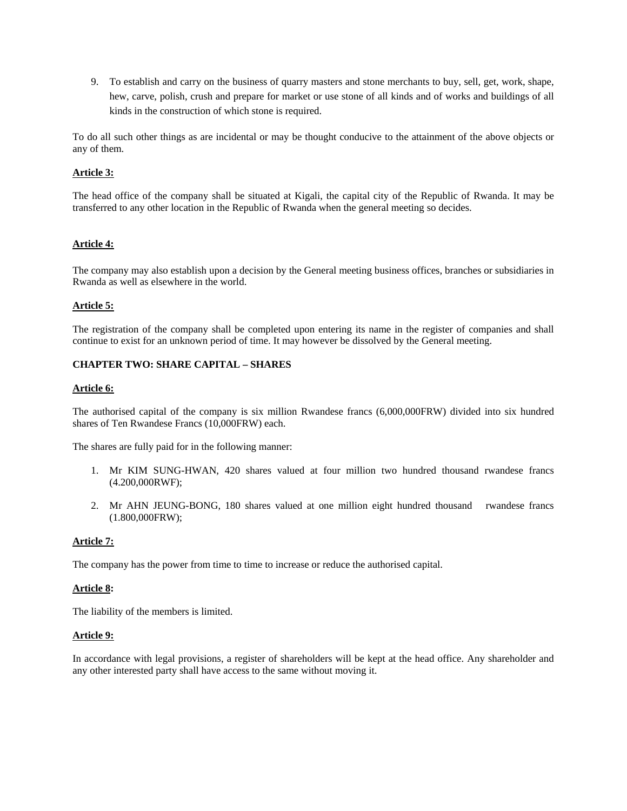9. To establish and carry on the business of quarry masters and stone merchants to buy, sell, get, work, shape, hew, carve, polish, crush and prepare for market or use stone of all kinds and of works and buildings of all kinds in the construction of which stone is required.

To do all such other things as are incidental or may be thought conducive to the attainment of the above objects or any of them.

## **Article 3:**

The head office of the company shall be situated at Kigali, the capital city of the Republic of Rwanda. It may be transferred to any other location in the Republic of Rwanda when the general meeting so decides.

#### **Article 4:**

The company may also establish upon a decision by the General meeting business offices, branches or subsidiaries in Rwanda as well as elsewhere in the world.

#### **Article 5:**

The registration of the company shall be completed upon entering its name in the register of companies and shall continue to exist for an unknown period of time. It may however be dissolved by the General meeting.

#### **CHAPTER TWO: SHARE CAPITAL – SHARES**

#### **Article 6:**

The authorised capital of the company is six million Rwandese francs (6,000,000FRW) divided into six hundred shares of Ten Rwandese Francs (10,000FRW) each.

The shares are fully paid for in the following manner:

- 1. Mr KIM SUNG-HWAN, 420 shares valued at four million two hundred thousand rwandese francs (4.200,000RWF);
- 2. Mr AHN JEUNG-BONG, 180 shares valued at one million eight hundred thousand rwandese francs (1.800,000FRW);

#### **Article 7:**

The company has the power from time to time to increase or reduce the authorised capital.

#### **Article 8:**

The liability of the members is limited.

#### **Article 9:**

In accordance with legal provisions, a register of shareholders will be kept at the head office. Any shareholder and any other interested party shall have access to the same without moving it.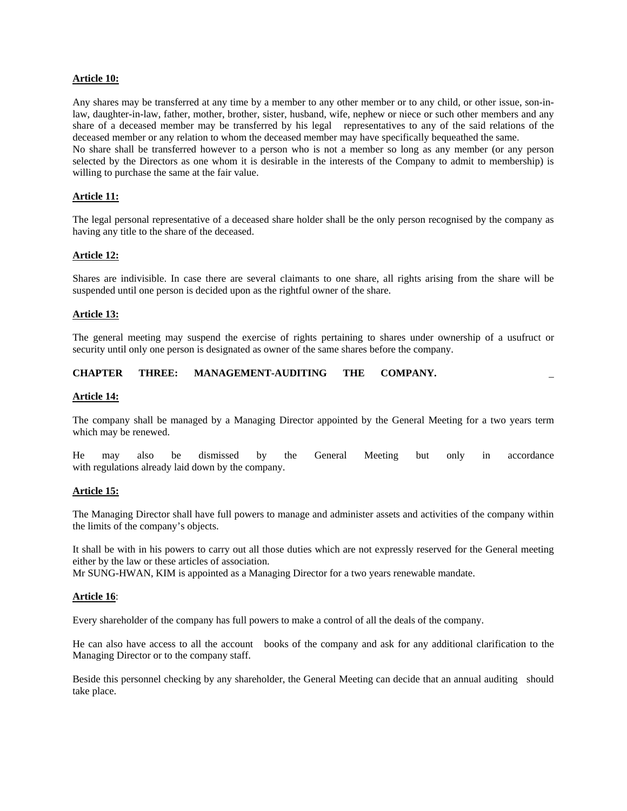## **Article 10:**

Any shares may be transferred at any time by a member to any other member or to any child, or other issue, son-inlaw, daughter-in-law, father, mother, brother, sister, husband, wife, nephew or niece or such other members and any share of a deceased member may be transferred by his legal representatives to any of the said relations of the deceased member or any relation to whom the deceased member may have specifically bequeathed the same.

No share shall be transferred however to a person who is not a member so long as any member (or any person selected by the Directors as one whom it is desirable in the interests of the Company to admit to membership) is willing to purchase the same at the fair value.

## **Article 11:**

The legal personal representative of a deceased share holder shall be the only person recognised by the company as having any title to the share of the deceased.

#### **Article 12:**

Shares are indivisible. In case there are several claimants to one share, all rights arising from the share will be suspended until one person is decided upon as the rightful owner of the share.

#### **Article 13:**

The general meeting may suspend the exercise of rights pertaining to shares under ownership of a usufruct or security until only one person is designated as owner of the same shares before the company.

## **CHAPTER THREE: MANAGEMENT-AUDITING THE COMPANY.** \_

#### **Article 14:**

The company shall be managed by a Managing Director appointed by the General Meeting for a two years term which may be renewed.

He may also be dismissed by the General Meeting but only in accordance with regulations already laid down by the company.

#### **Article 15:**

The Managing Director shall have full powers to manage and administer assets and activities of the company within the limits of the company's objects.

It shall be with in his powers to carry out all those duties which are not expressly reserved for the General meeting either by the law or these articles of association.

Mr SUNG-HWAN, KIM is appointed as a Managing Director for a two years renewable mandate.

#### **Article 16**:

Every shareholder of the company has full powers to make a control of all the deals of the company.

He can also have access to all the account books of the company and ask for any additional clarification to the Managing Director or to the company staff.

Beside this personnel checking by any shareholder, the General Meeting can decide that an annual auditing should take place.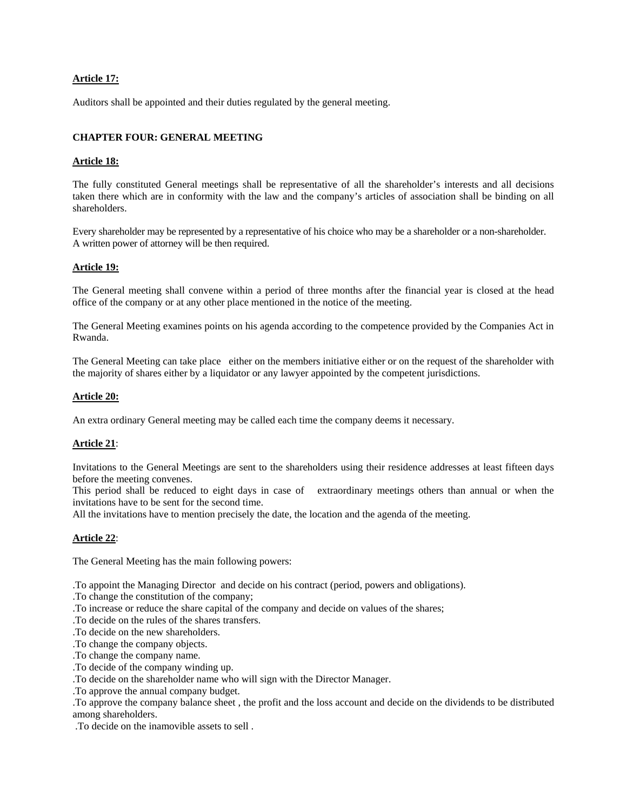## **Article 17:**

Auditors shall be appointed and their duties regulated by the general meeting.

## **CHAPTER FOUR: GENERAL MEETING**

## **Article 18:**

The fully constituted General meetings shall be representative of all the shareholder's interests and all decisions taken there which are in conformity with the law and the company's articles of association shall be binding on all shareholders.

Every shareholder may be represented by a representative of his choice who may be a shareholder or a non-shareholder. A written power of attorney will be then required.

## **Article 19:**

The General meeting shall convene within a period of three months after the financial year is closed at the head office of the company or at any other place mentioned in the notice of the meeting.

The General Meeting examines points on his agenda according to the competence provided by the Companies Act in Rwanda.

The General Meeting can take place either on the members initiative either or on the request of the shareholder with the majority of shares either by a liquidator or any lawyer appointed by the competent jurisdictions.

## **Article 20:**

An extra ordinary General meeting may be called each time the company deems it necessary.

## **Article 21**:

Invitations to the General Meetings are sent to the shareholders using their residence addresses at least fifteen days before the meeting convenes.

This period shall be reduced to eight days in case of extraordinary meetings others than annual or when the invitations have to be sent for the second time.

All the invitations have to mention precisely the date, the location and the agenda of the meeting.

#### **Article 22**:

The General Meeting has the main following powers:

.To appoint the Managing Director and decide on his contract (period, powers and obligations).

- .To change the constitution of the company;
- .To increase or reduce the share capital of the company and decide on values of the shares;
- .To decide on the rules of the shares transfers.
- .To decide on the new shareholders.
- .To change the company objects.
- .To change the company name.
- .To decide of the company winding up.
- .To decide on the shareholder name who will sign with the Director Manager.
- .To approve the annual company budget.

.To approve the company balance sheet , the profit and the loss account and decide on the dividends to be distributed among shareholders.

.To decide on the inamovible assets to sell .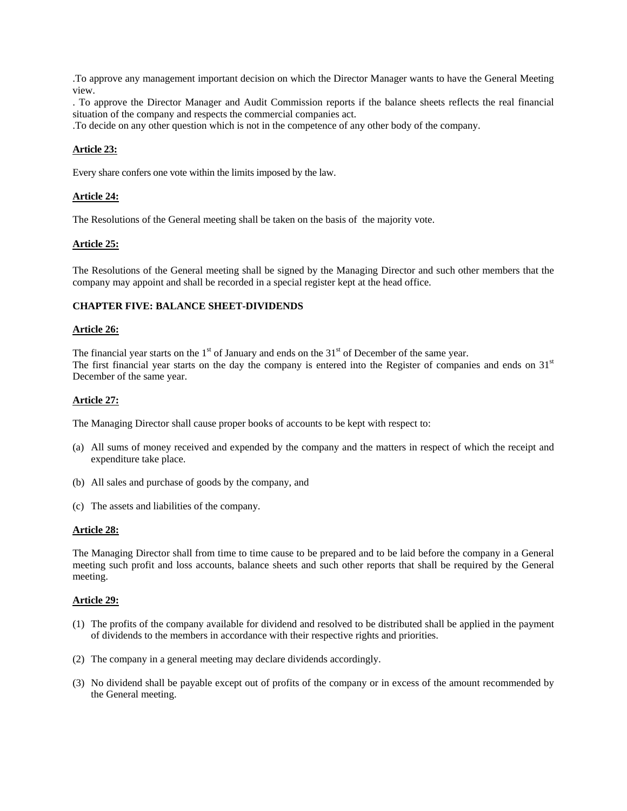.To approve any management important decision on which the Director Manager wants to have the General Meeting view.

. To approve the Director Manager and Audit Commission reports if the balance sheets reflects the real financial situation of the company and respects the commercial companies act.

.To decide on any other question which is not in the competence of any other body of the company.

## **Article 23:**

Every share confers one vote within the limits imposed by the law.

## **Article 24:**

The Resolutions of the General meeting shall be taken on the basis of the majority vote.

## **Article 25:**

The Resolutions of the General meeting shall be signed by the Managing Director and such other members that the company may appoint and shall be recorded in a special register kept at the head office.

## **CHAPTER FIVE: BALANCE SHEET-DIVIDENDS**

## **Article 26:**

The financial year starts on the  $1<sup>st</sup>$  of January and ends on the  $31<sup>st</sup>$  of December of the same year. The first financial year starts on the day the company is entered into the Register of companies and ends on  $31<sup>st</sup>$ December of the same year.

## **Article 27:**

The Managing Director shall cause proper books of accounts to be kept with respect to:

- (a) All sums of money received and expended by the company and the matters in respect of which the receipt and expenditure take place.
- (b) All sales and purchase of goods by the company, and
- (c) The assets and liabilities of the company.

#### **Article 28:**

The Managing Director shall from time to time cause to be prepared and to be laid before the company in a General meeting such profit and loss accounts, balance sheets and such other reports that shall be required by the General meeting.

#### **Article 29:**

- (1) The profits of the company available for dividend and resolved to be distributed shall be applied in the payment of dividends to the members in accordance with their respective rights and priorities.
- (2) The company in a general meeting may declare dividends accordingly.
- (3) No dividend shall be payable except out of profits of the company or in excess of the amount recommended by the General meeting.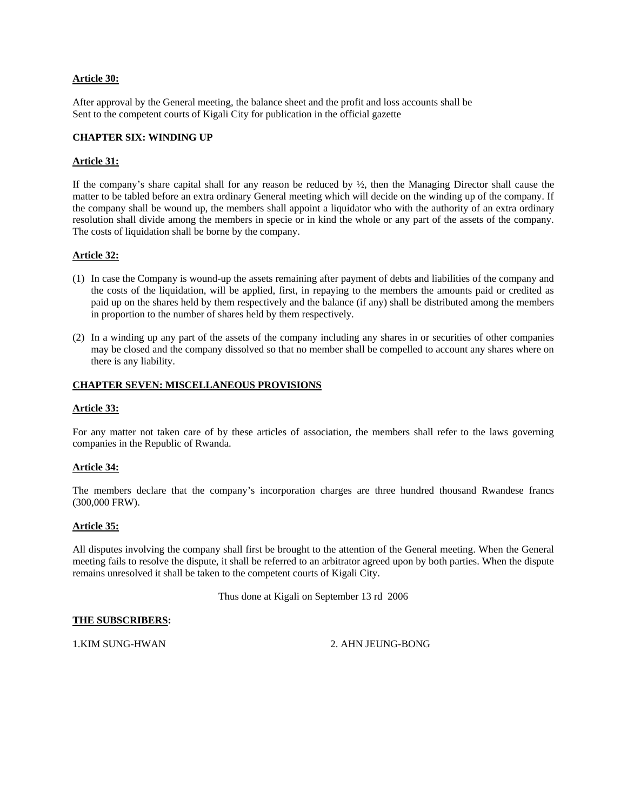## **Article 30:**

After approval by the General meeting, the balance sheet and the profit and loss accounts shall be Sent to the competent courts of Kigali City for publication in the official gazette

## **CHAPTER SIX: WINDING UP**

## **Article 31:**

If the company's share capital shall for any reason be reduced by ½, then the Managing Director shall cause the matter to be tabled before an extra ordinary General meeting which will decide on the winding up of the company. If the company shall be wound up, the members shall appoint a liquidator who with the authority of an extra ordinary resolution shall divide among the members in specie or in kind the whole or any part of the assets of the company. The costs of liquidation shall be borne by the company.

## **Article 32:**

- (1) In case the Company is wound-up the assets remaining after payment of debts and liabilities of the company and the costs of the liquidation, will be applied, first, in repaying to the members the amounts paid or credited as paid up on the shares held by them respectively and the balance (if any) shall be distributed among the members in proportion to the number of shares held by them respectively.
- (2) In a winding up any part of the assets of the company including any shares in or securities of other companies may be closed and the company dissolved so that no member shall be compelled to account any shares where on there is any liability.

## **CHAPTER SEVEN: MISCELLANEOUS PROVISIONS**

#### **Article 33:**

For any matter not taken care of by these articles of association, the members shall refer to the laws governing companies in the Republic of Rwanda.

#### **Article 34:**

The members declare that the company's incorporation charges are three hundred thousand Rwandese francs (300,000 FRW).

#### **Article 35:**

All disputes involving the company shall first be brought to the attention of the General meeting. When the General meeting fails to resolve the dispute, it shall be referred to an arbitrator agreed upon by both parties. When the dispute remains unresolved it shall be taken to the competent courts of Kigali City.

Thus done at Kigali on September 13 rd 2006

#### **THE SUBSCRIBERS:**

1.KIM SUNG-HWAN 2. AHN JEUNG-BONG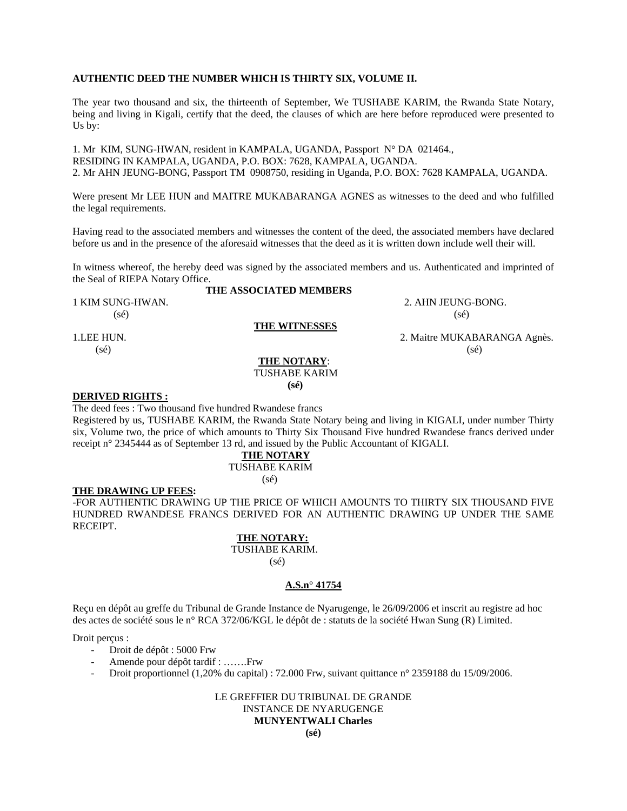## **AUTHENTIC DEED THE NUMBER WHICH IS THIRTY SIX, VOLUME II.**

The year two thousand and six, the thirteenth of September, We TUSHABE KARIM, the Rwanda State Notary, being and living in Kigali, certify that the deed, the clauses of which are here before reproduced were presented to Us by:

1. Mr KIM, SUNG-HWAN, resident in KAMPALA, UGANDA, Passport N° DA 021464., RESIDING IN KAMPALA, UGANDA, P.O. BOX: 7628, KAMPALA, UGANDA. 2. Mr AHN JEUNG-BONG, Passport TM 0908750, residing in Uganda, P.O. BOX: 7628 KAMPALA, UGANDA.

Were present Mr LEE HUN and MAITRE MUKABARANGA AGNES as witnesses to the deed and who fulfilled the legal requirements.

Having read to the associated members and witnesses the content of the deed, the associated members have declared before us and in the presence of the aforesaid witnesses that the deed as it is written down include well their will.

In witness whereof, the hereby deed was signed by the associated members and us. Authenticated and imprinted of the Seal of RIEPA Notary Office.

## **THE ASSOCIATED MEMBERS**

1 KIM SUNG-HWAN. 2. AHN JEUNG-BONG.  $(s\acute{e})$  (sé)

## **THE WITNESSES**

 **THE NOTARY**: TUSHABE KARIM  **(sé)** 

#### **DERIVED RIGHTS :**

The deed fees : Two thousand five hundred Rwandese francs

Registered by us, TUSHABE KARIM, the Rwanda State Notary being and living in KIGALI, under number Thirty six, Volume two, the price of which amounts to Thirty Six Thousand Five hundred Rwandese francs derived under receipt n° 2345444 as of September 13 rd, and issued by the Public Accountant of KIGALI.

## **THE NOTARY** TUSHABE KARIM (sé)

#### **THE DRAWING UP FEES:**

-FOR AUTHENTIC DRAWING UP THE PRICE OF WHICH AMOUNTS TO THIRTY SIX THOUSAND FIVE HUNDRED RWANDESE FRANCS DERIVED FOR AN AUTHENTIC DRAWING UP UNDER THE SAME RECEIPT.

## **THE NOTARY:**

 TUSHABE KARIM. (sé)

# **A.S.n° 41754**

Reçu en dépôt au greffe du Tribunal de Grande Instance de Nyarugenge, le 26/09/2006 et inscrit au registre ad hoc des actes de société sous le n° RCA 372/06/KGL le dépôt de : statuts de la société Hwan Sung (R) Limited.

#### Droit perçus :

- Droit de dépôt : 5000 Frw
- Amende pour dépôt tardif : …….Frw
- Droit proportionnel (1,20% du capital) : 72.000 Frw, suivant quittance n° 2359188 du 15/09/2006.

LE GREFFIER DU TRIBUNAL DE GRANDE INSTANCE DE NYARUGENGE

## **MUNYENTWALI Charles**

1.LEE HUN. 2. Maitre MUKABARANGA Agnès.  $(\text{se})$  (sé)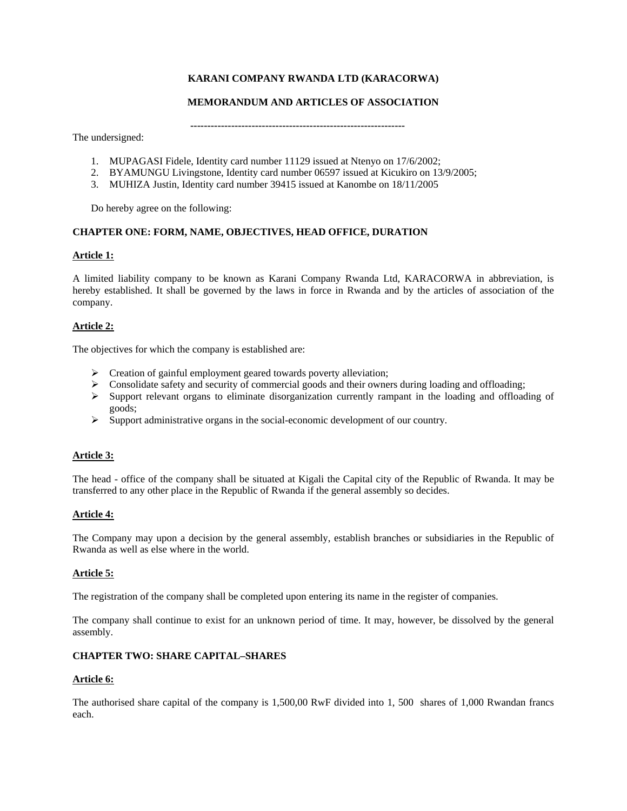# **KARANI COMPANY RWANDA LTD (KARACORWA)**

## **MEMORANDUM AND ARTICLES OF ASSOCIATION**

 **---------------------------------------------------------------** 

The undersigned:

- 1. MUPAGASI Fidele, Identity card number 11129 issued at Ntenyo on 17/6/2002;
- 2. BYAMUNGU Livingstone, Identity card number 06597 issued at Kicukiro on 13/9/2005;
- 3. MUHIZA Justin, Identity card number 39415 issued at Kanombe on 18/11/2005

Do hereby agree on the following:

## **CHAPTER ONE: FORM, NAME, OBJECTIVES, HEAD OFFICE, DURATION**

## **Article 1:**

A limited liability company to be known as Karani Company Rwanda Ltd, KARACORWA in abbreviation, is hereby established. It shall be governed by the laws in force in Rwanda and by the articles of association of the company.

## **Article 2:**

The objectives for which the company is established are:

- $\triangleright$  Creation of gainful employment geared towards poverty alleviation;
- $\triangleright$  Consolidate safety and security of commercial goods and their owners during loading and offloading;
- $\triangleright$  Support relevant organs to eliminate disorganization currently rampant in the loading and offloading of goods;
- $\triangleright$  Support administrative organs in the social-economic development of our country.

## **Article 3:**

The head - office of the company shall be situated at Kigali the Capital city of the Republic of Rwanda. It may be transferred to any other place in the Republic of Rwanda if the general assembly so decides.

## **Article 4:**

The Company may upon a decision by the general assembly, establish branches or subsidiaries in the Republic of Rwanda as well as else where in the world.

#### **Article 5:**

The registration of the company shall be completed upon entering its name in the register of companies.

The company shall continue to exist for an unknown period of time. It may, however, be dissolved by the general assembly.

## **CHAPTER TWO: SHARE CAPITAL–SHARES**

## **Article 6:**

The authorised share capital of the company is 1,500,00 RwF divided into 1, 500 shares of 1,000 Rwandan francs each.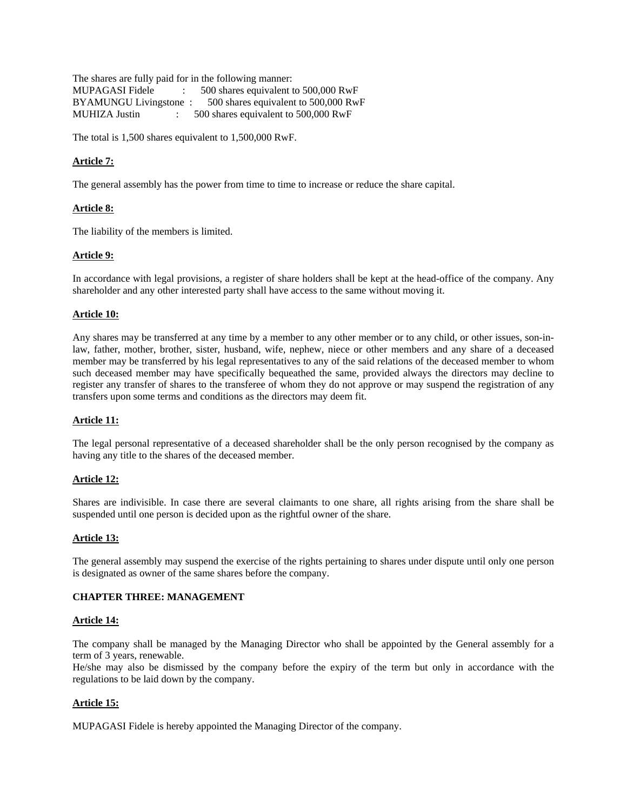The shares are fully paid for in the following manner: MUPAGASI Fidele : 500 shares equivalent to 500,000 RwF BYAMUNGU Livingstone : 500 shares equivalent to 500,000 RwF MUHIZA Justin : 500 shares equivalent to 500,000 RwF

The total is 1,500 shares equivalent to 1,500,000 RwF.

# **Article 7:**

The general assembly has the power from time to time to increase or reduce the share capital.

## **Article 8:**

The liability of the members is limited.

## **Article 9:**

In accordance with legal provisions, a register of share holders shall be kept at the head-office of the company. Any shareholder and any other interested party shall have access to the same without moving it.

## **Article 10:**

Any shares may be transferred at any time by a member to any other member or to any child, or other issues, son-inlaw, father, mother, brother, sister, husband, wife, nephew, niece or other members and any share of a deceased member may be transferred by his legal representatives to any of the said relations of the deceased member to whom such deceased member may have specifically bequeathed the same, provided always the directors may decline to register any transfer of shares to the transferee of whom they do not approve or may suspend the registration of any transfers upon some terms and conditions as the directors may deem fit.

## **Article 11:**

The legal personal representative of a deceased shareholder shall be the only person recognised by the company as having any title to the shares of the deceased member.

## **Article 12:**

Shares are indivisible. In case there are several claimants to one share, all rights arising from the share shall be suspended until one person is decided upon as the rightful owner of the share.

## **Article 13:**

The general assembly may suspend the exercise of the rights pertaining to shares under dispute until only one person is designated as owner of the same shares before the company.

## **CHAPTER THREE: MANAGEMENT**

#### **Article 14:**

The company shall be managed by the Managing Director who shall be appointed by the General assembly for a term of 3 years, renewable.

He/she may also be dismissed by the company before the expiry of the term but only in accordance with the regulations to be laid down by the company.

## **Article 15:**

MUPAGASI Fidele is hereby appointed the Managing Director of the company.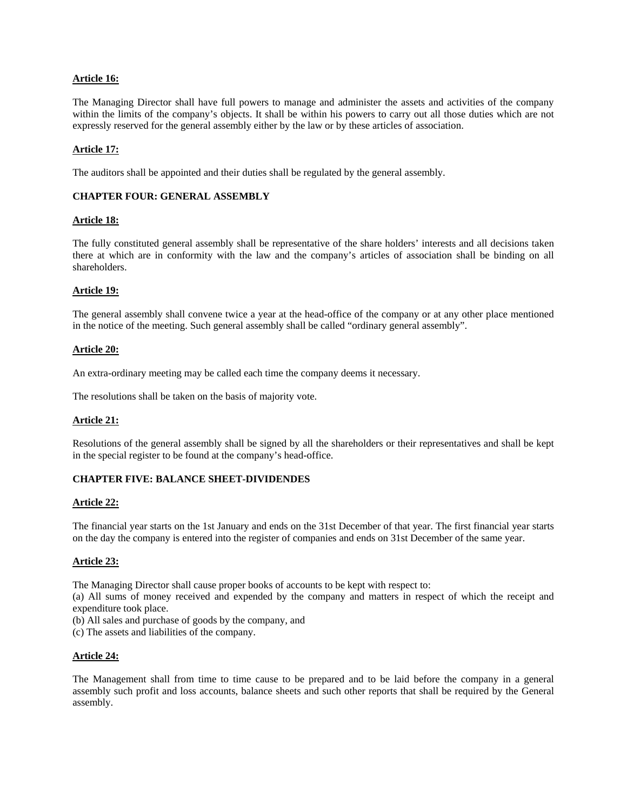## **Article 16:**

The Managing Director shall have full powers to manage and administer the assets and activities of the company within the limits of the company's objects. It shall be within his powers to carry out all those duties which are not expressly reserved for the general assembly either by the law or by these articles of association.

## **Article 17:**

The auditors shall be appointed and their duties shall be regulated by the general assembly.

## **CHAPTER FOUR: GENERAL ASSEMBLY**

#### **Article 18:**

The fully constituted general assembly shall be representative of the share holders' interests and all decisions taken there at which are in conformity with the law and the company's articles of association shall be binding on all shareholders.

#### **Article 19:**

The general assembly shall convene twice a year at the head-office of the company or at any other place mentioned in the notice of the meeting. Such general assembly shall be called "ordinary general assembly".

#### **Article 20:**

An extra-ordinary meeting may be called each time the company deems it necessary.

The resolutions shall be taken on the basis of majority vote.

#### **Article 21:**

Resolutions of the general assembly shall be signed by all the shareholders or their representatives and shall be kept in the special register to be found at the company's head-office.

## **CHAPTER FIVE: BALANCE SHEET-DIVIDENDES**

#### **Article 22:**

The financial year starts on the 1st January and ends on the 31st December of that year. The first financial year starts on the day the company is entered into the register of companies and ends on 31st December of the same year.

#### **Article 23:**

The Managing Director shall cause proper books of accounts to be kept with respect to:

(a) All sums of money received and expended by the company and matters in respect of which the receipt and expenditure took place.

(b) All sales and purchase of goods by the company, and

(c) The assets and liabilities of the company.

#### **Article 24:**

The Management shall from time to time cause to be prepared and to be laid before the company in a general assembly such profit and loss accounts, balance sheets and such other reports that shall be required by the General assembly.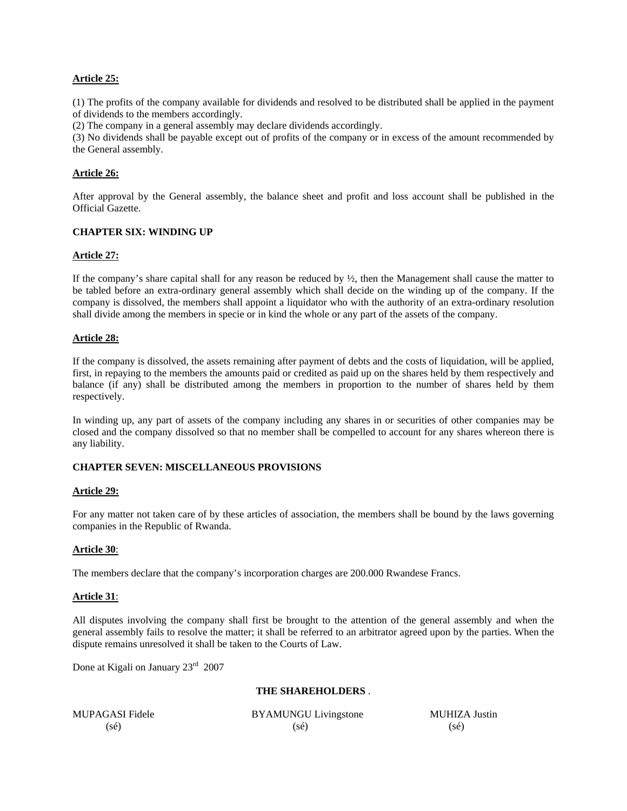## **Article 25:**

(1) The profits of the company available for dividends and resolved to be distributed shall be applied in the payment of dividends to the members accordingly.

(2) The company in a general assembly may declare dividends accordingly.

(3) No dividends shall be payable except out of profits of the company or in excess of the amount recommended by the General assembly.

#### **Article 26:**

After approval by the General assembly, the balance sheet and profit and loss account shall be published in the Official Gazette.

## **CHAPTER SIX: WINDING UP**

#### **Article 27:**

If the company's share capital shall for any reason be reduced by  $\frac{1}{2}$ , then the Management shall cause the matter to be tabled before an extra-ordinary general assembly which shall decide on the winding up of the company. If the company is dissolved, the members shall appoint a liquidator who with the authority of an extra-ordinary resolution shall divide among the members in specie or in kind the whole or any part of the assets of the company.

## **Article 28:**

If the company is dissolved, the assets remaining after payment of debts and the costs of liquidation, will be applied, first, in repaying to the members the amounts paid or credited as paid up on the shares held by them respectively and balance (if any) shall be distributed among the members in proportion to the number of shares held by them respectively.

In winding up, any part of assets of the company including any shares in or securities of other companies may be closed and the company dissolved so that no member shall be compelled to account for any shares whereon there is any liability.

## **CHAPTER SEVEN: MISCELLANEOUS PROVISIONS**

#### **Article 29:**

For any matter not taken care of by these articles of association, the members shall be bound by the laws governing companies in the Republic of Rwanda.

#### **Article 30**:

The members declare that the company's incorporation charges are 200.000 Rwandese Francs.

#### **Article 31**:

All disputes involving the company shall first be brought to the attention of the general assembly and when the general assembly fails to resolve the matter; it shall be referred to an arbitrator agreed upon by the parties. When the dispute remains unresolved it shall be taken to the Courts of Law.

Done at Kigali on January 23rd 2007

#### **THE SHAREHOLDERS** .

MUPAGASI Fidele BYAMUNGU Livingstone MUHIZA Justin  $(s\acute{e})$  (sé) (sé)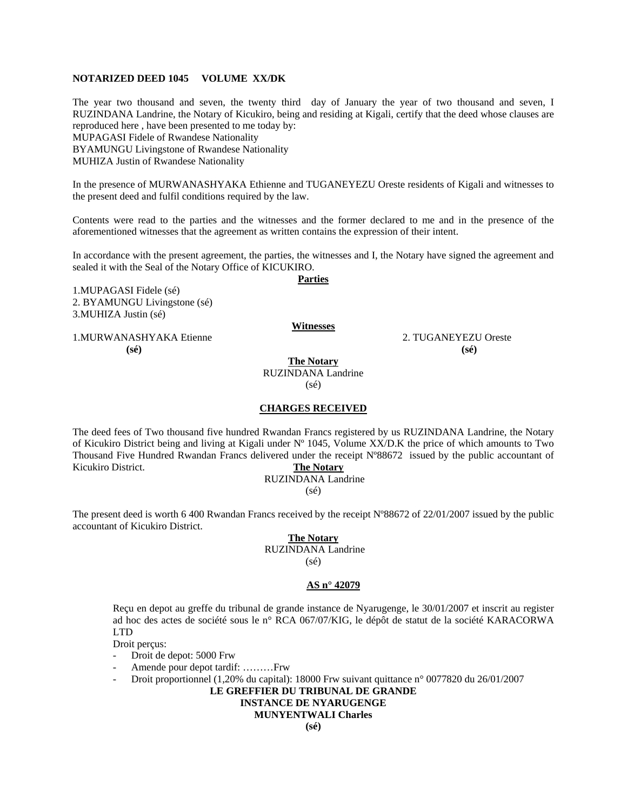## **NOTARIZED DEED 1045 VOLUME XX/DK**

The year two thousand and seven, the twenty third day of January the year of two thousand and seven, I RUZINDANA Landrine, the Notary of Kicukiro, being and residing at Kigali, certify that the deed whose clauses are reproduced here , have been presented to me today by: MUPAGASI Fidele of Rwandese Nationality BYAMUNGU Livingstone of Rwandese Nationality MUHIZA Justin of Rwandese Nationality

In the presence of MURWANASHYAKA Ethienne and TUGANEYEZU Oreste residents of Kigali and witnesses to the present deed and fulfil conditions required by the law.

Contents were read to the parties and the witnesses and the former declared to me and in the presence of the aforementioned witnesses that the agreement as written contains the expression of their intent.

In accordance with the present agreement, the parties, the witnesses and I, the Notary have signed the agreement and sealed it with the Seal of the Notary Office of KICUKIRO.

**Parties**

1.MUPAGASI Fidele (sé) 2. BYAMUNGU Livingstone (sé) 3.MUHIZA Justin (sé)

1.MURWANASHYAKA Etienne 2. TUGANEYEZU Oreste  **(sé) (sé)** 

**The Notary**

**Witnesses**

RUZINDANA Landrine (sé)

#### **CHARGES RECEIVED**

The deed fees of Two thousand five hundred Rwandan Francs registered by us RUZINDANA Landrine, the Notary of Kicukiro District being and living at Kigali under Nº 1045, Volume XX/D.K the price of which amounts to Two Thousand Five Hundred Rwandan Francs delivered under the receipt Nº88672 issued by the public accountant of Kicukiro District. **The Notary**

#### RUZINDANA Landrine

 $(sé)$ 

The present deed is worth 6 400 Rwandan Francs received by the receipt Nº88672 of 22/01/2007 issued by the public accountant of Kicukiro District.

#### **The Notary**

RUZINDANA Landrine

(sé)

## **AS n° 42079**

Reçu en depot au greffe du tribunal de grande instance de Nyarugenge, le 30/01/2007 et inscrit au register ad hoc des actes de société sous le n° RCA 067/07/KIG, le dépôt de statut de la société KARACORWA LTD

Droit perçus:

- Droit de depot: 5000 Frw
- Amende pour depot tardif: ………Frw
- Droit proportionnel (1,20% du capital): 18000 Frw suivant quittance n° 0077820 du 26/01/2007

# **LE GREFFIER DU TRIBUNAL DE GRANDE**

# **INSTANCE DE NYARUGENGE**

# **MUNYENTWALI Charles**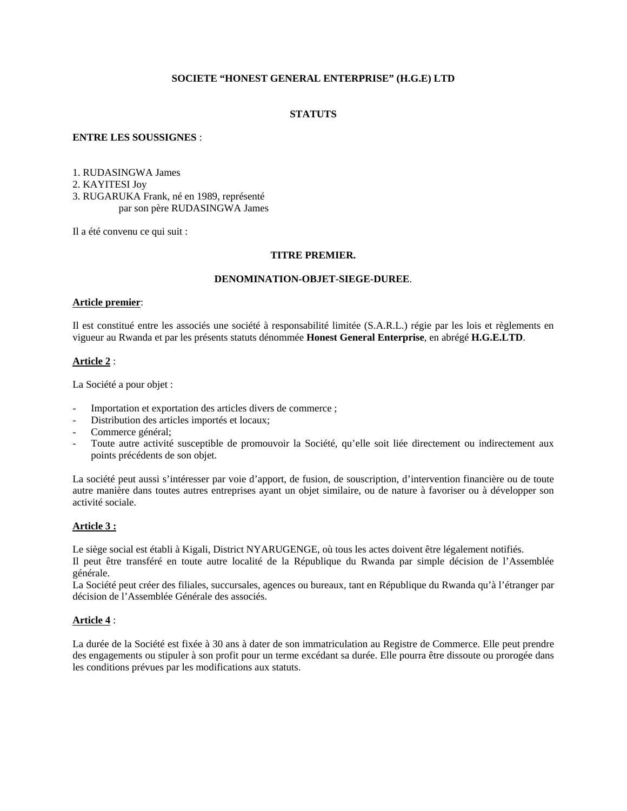## **SOCIETE "HONEST GENERAL ENTERPRISE" (H.G.E) LTD**

## **STATUTS**

## **ENTRE LES SOUSSIGNES** :

1. RUDASINGWA James 2. KAYITESI Joy 3. RUGARUKA Frank, né en 1989, représenté par son père RUDASINGWA James

Il a été convenu ce qui suit :

#### **TITRE PREMIER.**

## **DENOMINATION-OBJET-SIEGE-DUREE**.

#### **Article premier**:

Il est constitué entre les associés une société à responsabilité limitée (S.A.R.L.) régie par les lois et règlements en vigueur au Rwanda et par les présents statuts dénommée **Honest General Enterprise**, en abrégé **H.G.E.LTD**.

## **Article 2** :

La Société a pour objet :

- Importation et exportation des articles divers de commerce ;
- Distribution des articles importés et locaux;
- Commerce général;
- Toute autre activité susceptible de promouvoir la Société, qu'elle soit liée directement ou indirectement aux points précédents de son objet.

La société peut aussi s'intéresser par voie d'apport, de fusion, de souscription, d'intervention financière ou de toute autre manière dans toutes autres entreprises ayant un objet similaire, ou de nature à favoriser ou à développer son activité sociale.

## **Article 3 :**

Le siège social est établi à Kigali, District NYARUGENGE, où tous les actes doivent être légalement notifiés. Il peut être transféré en toute autre localité de la République du Rwanda par simple décision de l'Assemblée générale.

La Société peut créer des filiales, succursales, agences ou bureaux, tant en République du Rwanda qu'à l'étranger par décision de l'Assemblée Générale des associés.

## **Article 4** :

La durée de la Société est fixée à 30 ans à dater de son immatriculation au Registre de Commerce. Elle peut prendre des engagements ou stipuler à son profit pour un terme excédant sa durée. Elle pourra être dissoute ou prorogée dans les conditions prévues par les modifications aux statuts.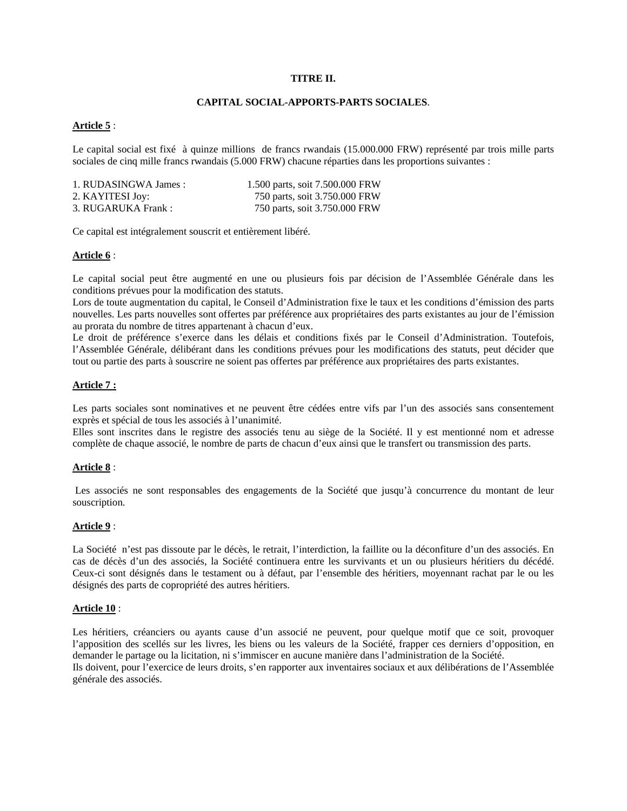# **TITRE II.**

# **CAPITAL SOCIAL-APPORTS-PARTS SOCIALES**.

### **Article 5** :

Le capital social est fixé à quinze millions de francs rwandais (15.000.000 FRW) représenté par trois mille parts sociales de cinq mille francs rwandais (5.000 FRW) chacune réparties dans les proportions suivantes :

| 1. RUDASINGWA James: | 1.500 parts, soit 7.500.000 FRW |
|----------------------|---------------------------------|
| 2. KAYITESI Joy:     | 750 parts, soit 3.750.000 FRW   |
| 3. RUGARUKA Frank:   | 750 parts, soit 3.750.000 FRW   |

Ce capital est intégralement souscrit et entièrement libéré.

### **Article 6** :

Le capital social peut être augmenté en une ou plusieurs fois par décision de l'Assemblée Générale dans les conditions prévues pour la modification des statuts.

Lors de toute augmentation du capital, le Conseil d'Administration fixe le taux et les conditions d'émission des parts nouvelles. Les parts nouvelles sont offertes par préférence aux propriétaires des parts existantes au jour de l'émission au prorata du nombre de titres appartenant à chacun d'eux.

Le droit de préférence s'exerce dans les délais et conditions fixés par le Conseil d'Administration. Toutefois, l'Assemblée Générale, délibérant dans les conditions prévues pour les modifications des statuts, peut décider que tout ou partie des parts à souscrire ne soient pas offertes par préférence aux propriétaires des parts existantes.

# **Article 7 :**

Les parts sociales sont nominatives et ne peuvent être cédées entre vifs par l'un des associés sans consentement exprès et spécial de tous les associés à l'unanimité.

Elles sont inscrites dans le registre des associés tenu au siège de la Société. Il y est mentionné nom et adresse complète de chaque associé, le nombre de parts de chacun d'eux ainsi que le transfert ou transmission des parts.

### **Article 8** :

 Les associés ne sont responsables des engagements de la Société que jusqu'à concurrence du montant de leur souscription.

### **Article 9** :

La Société n'est pas dissoute par le décès, le retrait, l'interdiction, la faillite ou la déconfiture d'un des associés. En cas de décès d'un des associés, la Société continuera entre les survivants et un ou plusieurs héritiers du décédé. Ceux-ci sont désignés dans le testament ou à défaut, par l'ensemble des héritiers, moyennant rachat par le ou les désignés des parts de copropriété des autres héritiers.

### **Article 10** :

Les héritiers, créanciers ou ayants cause d'un associé ne peuvent, pour quelque motif que ce soit, provoquer l'apposition des scellés sur les livres, les biens ou les valeurs de la Société, frapper ces derniers d'opposition, en demander le partage ou la licitation, ni s'immiscer en aucune manière dans l'administration de la Société. Ils doivent, pour l'exercice de leurs droits, s'en rapporter aux inventaires sociaux et aux délibérations de l'Assemblée générale des associés.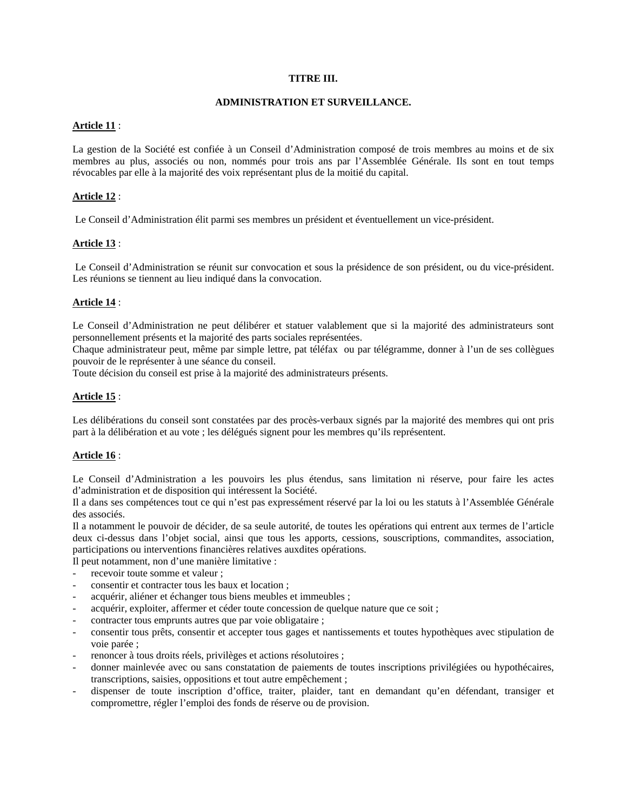# **TITRE III.**

### **ADMINISTRATION ET SURVEILLANCE.**

## **Article 11** :

La gestion de la Société est confiée à un Conseil d'Administration composé de trois membres au moins et de six membres au plus, associés ou non, nommés pour trois ans par l'Assemblée Générale. Ils sont en tout temps révocables par elle à la majorité des voix représentant plus de la moitié du capital.

# **Article 12** :

Le Conseil d'Administration élit parmi ses membres un président et éventuellement un vice-président.

# **Article 13** :

 Le Conseil d'Administration se réunit sur convocation et sous la présidence de son président, ou du vice-président. Les réunions se tiennent au lieu indiqué dans la convocation.

# **Article 14** :

Le Conseil d'Administration ne peut délibérer et statuer valablement que si la majorité des administrateurs sont personnellement présents et la majorité des parts sociales représentées.

Chaque administrateur peut, même par simple lettre, pat téléfax ou par télégramme, donner à l'un de ses collègues pouvoir de le représenter à une séance du conseil.

Toute décision du conseil est prise à la majorité des administrateurs présents.

# **Article 15** :

Les délibérations du conseil sont constatées par des procès-verbaux signés par la majorité des membres qui ont pris part à la délibération et au vote ; les délégués signent pour les membres qu'ils représentent.

# **Article 16** :

Le Conseil d'Administration a les pouvoirs les plus étendus, sans limitation ni réserve, pour faire les actes d'administration et de disposition qui intéressent la Société.

Il a dans ses compétences tout ce qui n'est pas expressément réservé par la loi ou les statuts à l'Assemblée Générale des associés.

Il a notamment le pouvoir de décider, de sa seule autorité, de toutes les opérations qui entrent aux termes de l'article deux ci-dessus dans l'objet social, ainsi que tous les apports, cessions, souscriptions, commandites, association, participations ou interventions financières relatives auxdites opérations.

Il peut notamment, non d'une manière limitative :

- recevoir toute somme et valeur :
- consentir et contracter tous les baux et location ;
- acquérir, aliéner et échanger tous biens meubles et immeubles ;
- acquérir, exploiter, affermer et céder toute concession de quelque nature que ce soit ;
- contracter tous emprunts autres que par voie obligataire ;
- consentir tous prêts, consentir et accepter tous gages et nantissements et toutes hypothèques avec stipulation de voie parée ;
- renoncer à tous droits réels, privilèges et actions résolutoires ;
- donner mainlevée avec ou sans constatation de paiements de toutes inscriptions privilégiées ou hypothécaires, transcriptions, saisies, oppositions et tout autre empêchement ;
- dispenser de toute inscription d'office, traiter, plaider, tant en demandant qu'en défendant, transiger et compromettre, régler l'emploi des fonds de réserve ou de provision.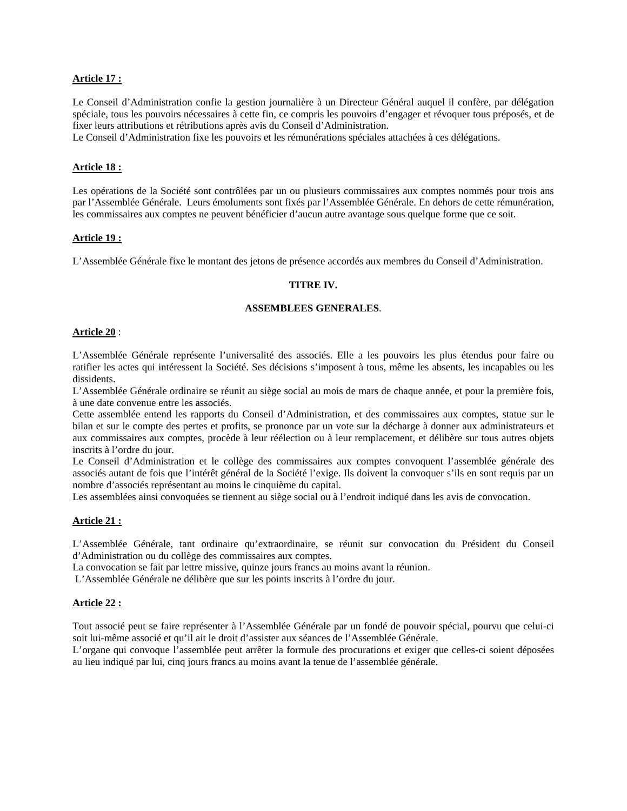## **Article 17 :**

Le Conseil d'Administration confie la gestion journalière à un Directeur Général auquel il confère, par délégation spéciale, tous les pouvoirs nécessaires à cette fin, ce compris les pouvoirs d'engager et révoquer tous préposés, et de fixer leurs attributions et rétributions après avis du Conseil d'Administration.

Le Conseil d'Administration fixe les pouvoirs et les rémunérations spéciales attachées à ces délégations.

### **Article 18 :**

Les opérations de la Société sont contrôlées par un ou plusieurs commissaires aux comptes nommés pour trois ans par l'Assemblée Générale. Leurs émoluments sont fixés par l'Assemblée Générale. En dehors de cette rémunération, les commissaires aux comptes ne peuvent bénéficier d'aucun autre avantage sous quelque forme que ce soit.

#### **Article 19 :**

L'Assemblée Générale fixe le montant des jetons de présence accordés aux membres du Conseil d'Administration.

#### **TITRE IV.**

#### **ASSEMBLEES GENERALES**.

#### **Article 20** :

L'Assemblée Générale représente l'universalité des associés. Elle a les pouvoirs les plus étendus pour faire ou ratifier les actes qui intéressent la Société. Ses décisions s'imposent à tous, même les absents, les incapables ou les dissidents.

L'Assemblée Générale ordinaire se réunit au siège social au mois de mars de chaque année, et pour la première fois, à une date convenue entre les associés.

Cette assemblée entend les rapports du Conseil d'Administration, et des commissaires aux comptes, statue sur le bilan et sur le compte des pertes et profits, se prononce par un vote sur la décharge à donner aux administrateurs et aux commissaires aux comptes, procède à leur réélection ou à leur remplacement, et délibère sur tous autres objets inscrits à l'ordre du jour.

Le Conseil d'Administration et le collège des commissaires aux comptes convoquent l'assemblée générale des associés autant de fois que l'intérêt général de la Société l'exige. Ils doivent la convoquer s'ils en sont requis par un nombre d'associés représentant au moins le cinquième du capital.

Les assemblées ainsi convoquées se tiennent au siège social ou à l'endroit indiqué dans les avis de convocation.

### **Article 21 :**

L'Assemblée Générale, tant ordinaire qu'extraordinaire, se réunit sur convocation du Président du Conseil d'Administration ou du collège des commissaires aux comptes.

La convocation se fait par lettre missive, quinze jours francs au moins avant la réunion.

L'Assemblée Générale ne délibère que sur les points inscrits à l'ordre du jour.

### **Article 22 :**

Tout associé peut se faire représenter à l'Assemblée Générale par un fondé de pouvoir spécial, pourvu que celui-ci soit lui-même associé et qu'il ait le droit d'assister aux séances de l'Assemblée Générale.

L'organe qui convoque l'assemblée peut arrêter la formule des procurations et exiger que celles-ci soient déposées au lieu indiqué par lui, cinq jours francs au moins avant la tenue de l'assemblée générale.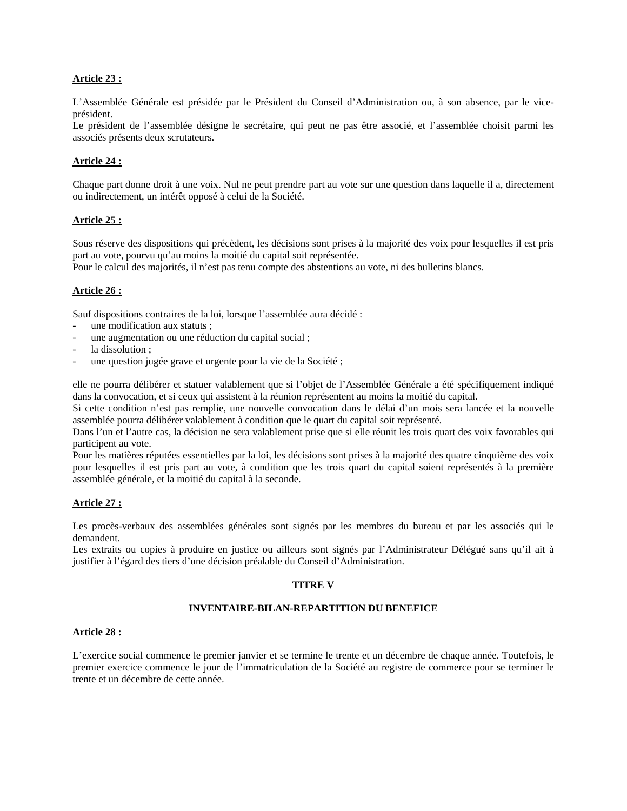# **Article 23 :**

L'Assemblée Générale est présidée par le Président du Conseil d'Administration ou, à son absence, par le viceprésident.

Le président de l'assemblée désigne le secrétaire, qui peut ne pas être associé, et l'assemblée choisit parmi les associés présents deux scrutateurs.

# **Article 24 :**

Chaque part donne droit à une voix. Nul ne peut prendre part au vote sur une question dans laquelle il a, directement ou indirectement, un intérêt opposé à celui de la Société.

# **Article 25 :**

Sous réserve des dispositions qui précèdent, les décisions sont prises à la majorité des voix pour lesquelles il est pris part au vote, pourvu qu'au moins la moitié du capital soit représentée.

Pour le calcul des majorités, il n'est pas tenu compte des abstentions au vote, ni des bulletins blancs.

# **Article 26 :**

Sauf dispositions contraires de la loi, lorsque l'assemblée aura décidé :

- une modification aux statuts ;
- une augmentation ou une réduction du capital social ;
- la dissolution :
- une question jugée grave et urgente pour la vie de la Société ;

elle ne pourra délibérer et statuer valablement que si l'objet de l'Assemblée Générale a été spécifiquement indiqué dans la convocation, et si ceux qui assistent à la réunion représentent au moins la moitié du capital.

Si cette condition n'est pas remplie, une nouvelle convocation dans le délai d'un mois sera lancée et la nouvelle assemblée pourra délibérer valablement à condition que le quart du capital soit représenté.

Dans l'un et l'autre cas, la décision ne sera valablement prise que si elle réunit les trois quart des voix favorables qui participent au vote.

Pour les matières réputées essentielles par la loi, les décisions sont prises à la majorité des quatre cinquième des voix pour lesquelles il est pris part au vote, à condition que les trois quart du capital soient représentés à la première assemblée générale, et la moitié du capital à la seconde.

### **Article 27 :**

Les procès-verbaux des assemblées générales sont signés par les membres du bureau et par les associés qui le demandent.

Les extraits ou copies à produire en justice ou ailleurs sont signés par l'Administrateur Délégué sans qu'il ait à justifier à l'égard des tiers d'une décision préalable du Conseil d'Administration.

### **TITRE V**

# **INVENTAIRE-BILAN-REPARTITION DU BENEFICE**

### **Article 28 :**

L'exercice social commence le premier janvier et se termine le trente et un décembre de chaque année. Toutefois, le premier exercice commence le jour de l'immatriculation de la Société au registre de commerce pour se terminer le trente et un décembre de cette année.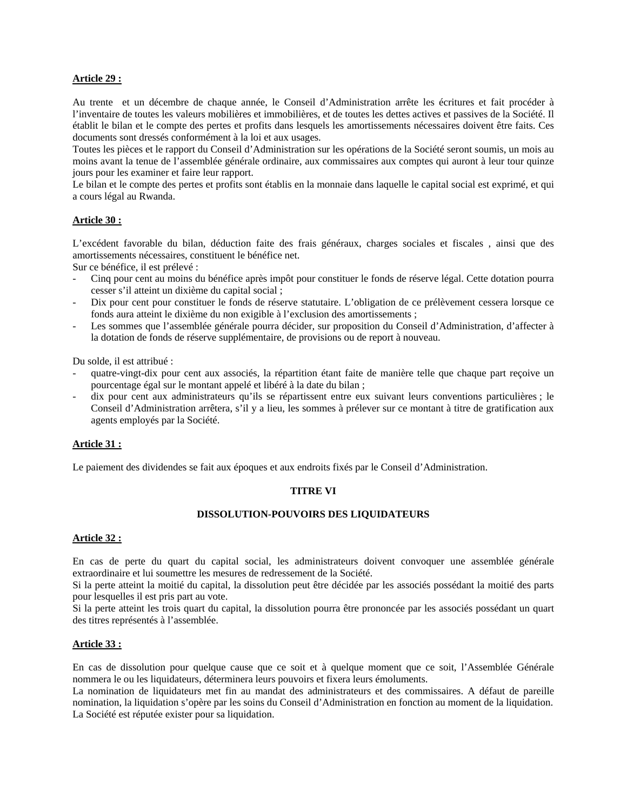# **Article 29 :**

Au trente et un décembre de chaque année, le Conseil d'Administration arrête les écritures et fait procéder à l'inventaire de toutes les valeurs mobilières et immobilières, et de toutes les dettes actives et passives de la Société. Il établit le bilan et le compte des pertes et profits dans lesquels les amortissements nécessaires doivent être faits. Ces documents sont dressés conformément à la loi et aux usages.

Toutes les pièces et le rapport du Conseil d'Administration sur les opérations de la Société seront soumis, un mois au moins avant la tenue de l'assemblée générale ordinaire, aux commissaires aux comptes qui auront à leur tour quinze jours pour les examiner et faire leur rapport.

Le bilan et le compte des pertes et profits sont établis en la monnaie dans laquelle le capital social est exprimé, et qui a cours légal au Rwanda.

# **Article 30 :**

L'excédent favorable du bilan, déduction faite des frais généraux, charges sociales et fiscales , ainsi que des amortissements nécessaires, constituent le bénéfice net.

Sur ce bénéfice, il est prélevé :

- Cinq pour cent au moins du bénéfice après impôt pour constituer le fonds de réserve légal. Cette dotation pourra cesser s'il atteint un dixième du capital social ;
- Dix pour cent pour constituer le fonds de réserve statutaire. L'obligation de ce prélèvement cessera lorsque ce fonds aura atteint le dixième du non exigible à l'exclusion des amortissements ;
- Les sommes que l'assemblée générale pourra décider, sur proposition du Conseil d'Administration, d'affecter à la dotation de fonds de réserve supplémentaire, de provisions ou de report à nouveau.

Du solde, il est attribué :

- quatre-vingt-dix pour cent aux associés, la répartition étant faite de manière telle que chaque part reçoive un pourcentage égal sur le montant appelé et libéré à la date du bilan ;
- dix pour cent aux administrateurs qu'ils se répartissent entre eux suivant leurs conventions particulières ; le Conseil d'Administration arrêtera, s'il y a lieu, les sommes à prélever sur ce montant à titre de gratification aux agents employés par la Société.

### **Article 31 :**

Le paiement des dividendes se fait aux époques et aux endroits fixés par le Conseil d'Administration.

### **TITRE VI**

#### **DISSOLUTION-POUVOIRS DES LIQUIDATEURS**

#### **Article 32 :**

En cas de perte du quart du capital social, les administrateurs doivent convoquer une assemblée générale extraordinaire et lui soumettre les mesures de redressement de la Société.

Si la perte atteint la moitié du capital, la dissolution peut être décidée par les associés possédant la moitié des parts pour lesquelles il est pris part au vote.

Si la perte atteint les trois quart du capital, la dissolution pourra être prononcée par les associés possédant un quart des titres représentés à l'assemblée.

#### **Article 33 :**

En cas de dissolution pour quelque cause que ce soit et à quelque moment que ce soit, l'Assemblée Générale nommera le ou les liquidateurs, déterminera leurs pouvoirs et fixera leurs émoluments.

La nomination de liquidateurs met fin au mandat des administrateurs et des commissaires. A défaut de pareille nomination, la liquidation s'opère par les soins du Conseil d'Administration en fonction au moment de la liquidation. La Société est réputée exister pour sa liquidation.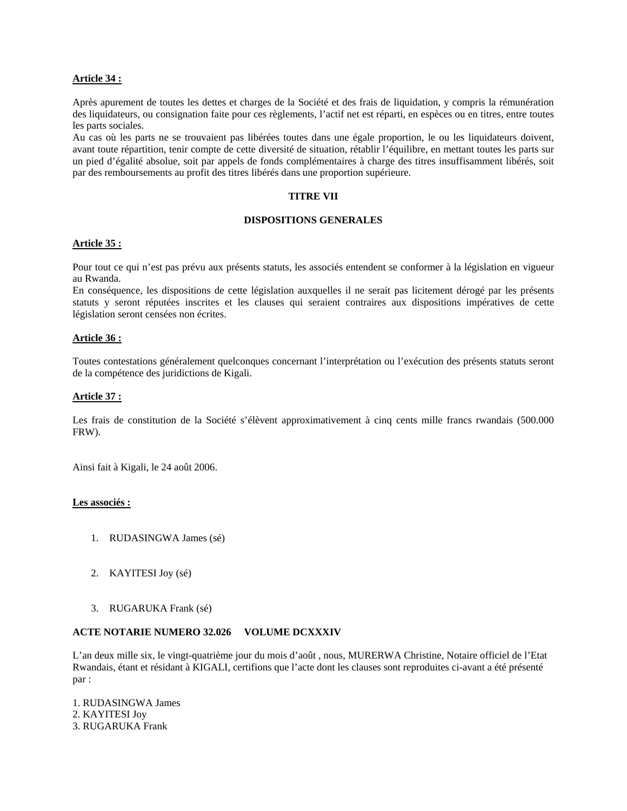# **Article 34 :**

Après apurement de toutes les dettes et charges de la Société et des frais de liquidation, y compris la rémunération des liquidateurs, ou consignation faite pour ces règlements, l'actif net est réparti, en espèces ou en titres, entre toutes les parts sociales.

Au cas où les parts ne se trouvaient pas libérées toutes dans une égale proportion, le ou les liquidateurs doivent, avant toute répartition, tenir compte de cette diversité de situation, rétablir l'équilibre, en mettant toutes les parts sur un pied d'égalité absolue, soit par appels de fonds complémentaires à charge des titres insuffisamment libérés, soit par des remboursements au profit des titres libérés dans une proportion supérieure.

# **TITRE VII**

# **DISPOSITIONS GENERALES**

# **Article 35 :**

Pour tout ce qui n'est pas prévu aux présents statuts, les associés entendent se conformer à la législation en vigueur au Rwanda.

En conséquence, les dispositions de cette législation auxquelles il ne serait pas licitement dérogé par les présents statuts y seront réputées inscrites et les clauses qui seraient contraires aux dispositions impératives de cette législation seront censées non écrites.

# **Article 36 :**

Toutes contestations généralement quelconques concernant l'interprétation ou l'exécution des présents statuts seront de la compétence des juridictions de Kigali.

# **Article 37 :**

Les frais de constitution de la Société s'élèvent approximativement à cinq cents mille francs rwandais (500.000 FRW).

Ainsi fait à Kigali, le 24 août 2006.

### **Les associés :**

- 1. RUDASINGWA James (sé)
- 2. KAYITESI Joy (sé)
- 3. RUGARUKA Frank (sé)

### **ACTE NOTARIE NUMERO 32.026 VOLUME DCXXXIV**

L'an deux mille six, le vingt-quatrième jour du mois d'août , nous, MURERWA Christine, Notaire officiel de l'Etat Rwandais, étant et résidant à KIGALI, certifions que l'acte dont les clauses sont reproduites ci-avant a été présenté par :

1. RUDASINGWA James 2. KAYITESI Joy 3. RUGARUKA Frank